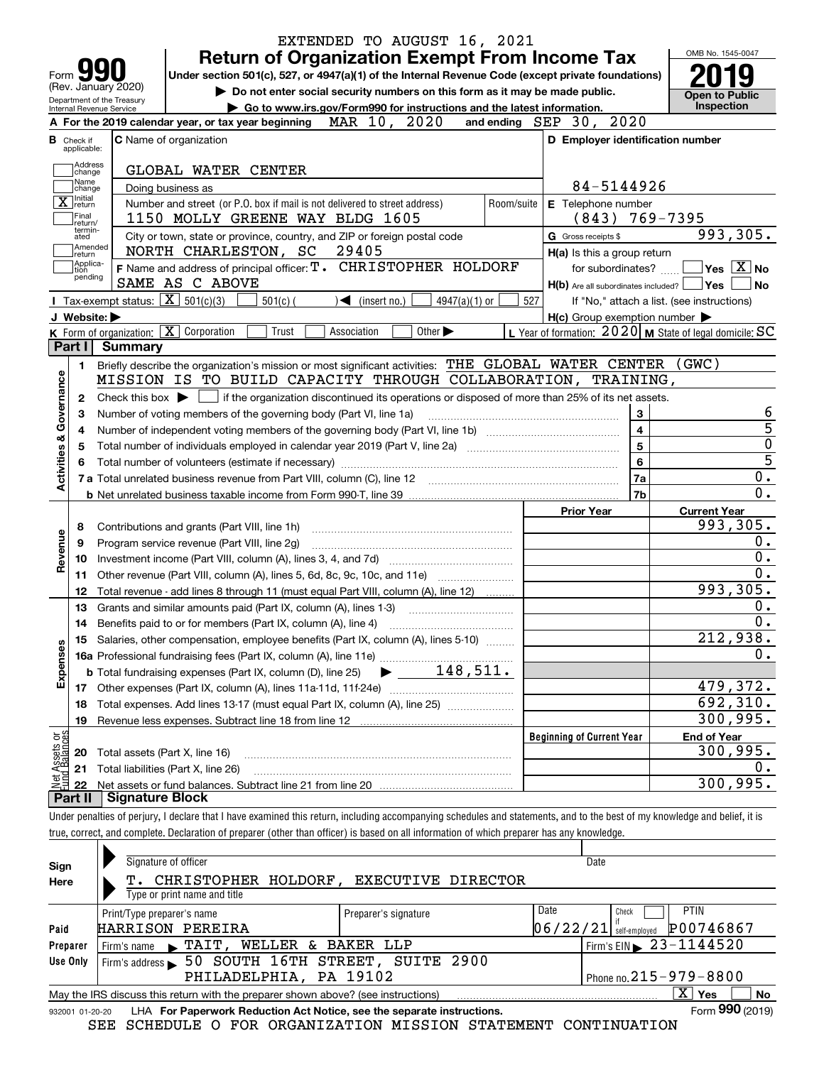|                             |                                                   |                                      |                                                                                                                                                                            | EXTENDED TO AUGUST 16, 2021                                                                     |            |                                                     |                                                           |
|-----------------------------|---------------------------------------------------|--------------------------------------|----------------------------------------------------------------------------------------------------------------------------------------------------------------------------|-------------------------------------------------------------------------------------------------|------------|-----------------------------------------------------|-----------------------------------------------------------|
|                             |                                                   |                                      |                                                                                                                                                                            | <b>Return of Organization Exempt From Income Tax</b>                                            |            |                                                     | OMB No. 1545-0047                                         |
| Form                        |                                                   |                                      | Under section 501(c), 527, or 4947(a)(1) of the Internal Revenue Code (except private foundations)                                                                         |                                                                                                 |            |                                                     |                                                           |
|                             | (Rev. January 2020)<br>Department of the Treasury |                                      |                                                                                                                                                                            | Do not enter social security numbers on this form as it may be made public.                     |            |                                                     | <b>Open to Public</b>                                     |
|                             | Internal Revenue Service                          |                                      |                                                                                                                                                                            | Go to www.irs.gov/Form990 for instructions and the latest information.                          |            |                                                     | Inspection                                                |
|                             |                                                   |                                      | A For the 2019 calendar year, or tax year beginning                                                                                                                        | MAR 10, 2020                                                                                    |            | and ending SEP 30, 2020                             |                                                           |
|                             | <b>B</b> Check if<br>applicable:                  |                                      | C Name of organization                                                                                                                                                     |                                                                                                 |            | D Employer identification number                    |                                                           |
|                             | Address<br>change                                 |                                      | GLOBAL WATER CENTER                                                                                                                                                        |                                                                                                 |            |                                                     |                                                           |
|                             | Name<br>change                                    |                                      | Doing business as                                                                                                                                                          |                                                                                                 |            | 84-5144926                                          |                                                           |
|                             | X return<br>Final<br>return/                      |                                      | Number and street (or P.O. box if mail is not delivered to street address)<br>1150 MOLLY GREENE WAY BLDG 1605                                                              |                                                                                                 | Room/suite | E Telephone number<br>$(843)$ 769-7395              |                                                           |
|                             | termin-<br>ated<br>Amended                        |                                      | City or town, state or province, country, and ZIP or foreign postal code                                                                                                   |                                                                                                 |            | G Gross receipts \$                                 | 993,305.                                                  |
|                             | ∣return<br> Applica-                              |                                      | NORTH CHARLESTON, SC<br>F Name and address of principal officer: T. CHRISTOPHER HOLDORF                                                                                    | 29405                                                                                           |            | H(a) Is this a group return<br>for subordinates?    | $\sqrt{}$ Yes $\sqrt{}$ X $\sqrt{}$ No                    |
|                             | tion<br>pending                                   |                                      | SAME AS C ABOVE                                                                                                                                                            |                                                                                                 |            | $H(b)$ Are all subordinates included? $\Box$ Yes    | <b>No</b>                                                 |
|                             |                                                   |                                      | Tax-exempt status: $\boxed{\mathbf{X}}$ 501(c)(3)<br>$501(c)$ (                                                                                                            | $\blacktriangleleft$ (insert no.)<br>$4947(a)(1)$ or                                            | 527        |                                                     | If "No," attach a list. (see instructions)                |
|                             | J Website:                                        |                                      |                                                                                                                                                                            |                                                                                                 |            | $H(c)$ Group exemption number $\blacktriangleright$ |                                                           |
|                             |                                                   |                                      | K Form of organization: X Corporation<br>Trust                                                                                                                             | Other $\blacktriangleright$<br>Association                                                      |            |                                                     | L Year of formation: $2020$ M State of legal domicile: SC |
|                             |                                                   | Part I Summary                       |                                                                                                                                                                            |                                                                                                 |            |                                                     |                                                           |
|                             | 1.                                                |                                      | Briefly describe the organization's mission or most significant activities: THE GLOBAL WATER CENTER (GWC)                                                                  |                                                                                                 |            |                                                     |                                                           |
| Activities & Governance     |                                                   |                                      | MISSION IS TO BUILD CAPACITY THROUGH COLLABORATION, TRAINING,                                                                                                              |                                                                                                 |            |                                                     |                                                           |
|                             | 2                                                 | Check this box $\blacktriangleright$ |                                                                                                                                                                            | if the organization discontinued its operations or disposed of more than 25% of its net assets. |            |                                                     |                                                           |
|                             | з                                                 |                                      | Number of voting members of the governing body (Part VI, line 1a)                                                                                                          |                                                                                                 |            | 3                                                   | 6                                                         |
|                             | 4                                                 |                                      |                                                                                                                                                                            |                                                                                                 |            | $\overline{\mathbf{4}}$                             | $\overline{5}$                                            |
|                             | 5                                                 |                                      |                                                                                                                                                                            |                                                                                                 |            | 5                                                   | $\overline{0}$                                            |
|                             |                                                   |                                      |                                                                                                                                                                            |                                                                                                 |            | $6\phantom{a}$                                      | $\overline{5}$                                            |
|                             |                                                   |                                      |                                                                                                                                                                            |                                                                                                 |            | <b>7a</b>                                           | $\overline{0}$ .                                          |
|                             |                                                   |                                      |                                                                                                                                                                            |                                                                                                 |            | 7b                                                  | $\overline{0}$ .                                          |
|                             |                                                   |                                      |                                                                                                                                                                            |                                                                                                 |            | <b>Prior Year</b>                                   | <b>Current Year</b>                                       |
|                             | 8                                                 |                                      | Contributions and grants (Part VIII, line 1h)                                                                                                                              |                                                                                                 |            |                                                     | 993,305.                                                  |
|                             | 9                                                 |                                      | Program service revenue (Part VIII, line 2g)                                                                                                                               |                                                                                                 |            |                                                     | 0.                                                        |
| Revenue                     | 10                                                |                                      |                                                                                                                                                                            |                                                                                                 |            |                                                     | 0.                                                        |
|                             | 11                                                |                                      | Other revenue (Part VIII, column (A), lines 5, 6d, 8c, 9c, 10c, and 11e)                                                                                                   |                                                                                                 |            |                                                     | 0.                                                        |
|                             | 12                                                |                                      | Total revenue - add lines 8 through 11 (must equal Part VIII, column (A), line 12)                                                                                         |                                                                                                 |            |                                                     | 993,305.                                                  |
|                             | 13                                                |                                      | Grants and similar amounts paid (Part IX, column (A), lines 1-3)                                                                                                           |                                                                                                 |            |                                                     | 0.                                                        |
|                             | 14                                                |                                      | Benefits paid to or for members (Part IX, column (A), line 4)                                                                                                              |                                                                                                 |            |                                                     | 0.                                                        |
|                             |                                                   |                                      | 15 Salaries, other compensation, employee benefits (Part IX, column (A), lines 5-10)                                                                                       |                                                                                                 |            |                                                     | 212,938.                                                  |
| Expenses                    |                                                   |                                      |                                                                                                                                                                            |                                                                                                 |            |                                                     | 0.                                                        |
|                             |                                                   |                                      |                                                                                                                                                                            |                                                                                                 |            |                                                     |                                                           |
|                             |                                                   |                                      |                                                                                                                                                                            |                                                                                                 |            |                                                     | 479,372.                                                  |
|                             | 18                                                |                                      | Total expenses. Add lines 13-17 (must equal Part IX, column (A), line 25) [                                                                                                |                                                                                                 |            |                                                     | 692,310.                                                  |
|                             | 19                                                |                                      | Revenue less expenses. Subtract line 18 from line 12                                                                                                                       |                                                                                                 |            |                                                     | 300, 995.                                                 |
|                             |                                                   |                                      |                                                                                                                                                                            |                                                                                                 |            | <b>Beginning of Current Year</b>                    | <b>End of Year</b>                                        |
| et Assets or<br>ad Balances | 20                                                |                                      | Total assets (Part X, line 16)                                                                                                                                             |                                                                                                 |            |                                                     | 300, 995.                                                 |
|                             | 21                                                |                                      | Total liabilities (Part X, line 26)                                                                                                                                        |                                                                                                 |            |                                                     | 0.                                                        |
| 휧                           | 22                                                |                                      |                                                                                                                                                                            |                                                                                                 |            |                                                     | 300,995.                                                  |
|                             | Part II                                           | <b>Signature Block</b>               |                                                                                                                                                                            |                                                                                                 |            |                                                     |                                                           |
|                             |                                                   |                                      | Under penalties of perjury, I declare that I have examined this return, including accompanying schedules and statements, and to the best of my knowledge and belief, it is |                                                                                                 |            |                                                     |                                                           |
|                             |                                                   |                                      | true, correct, and complete. Declaration of preparer (other than officer) is based on all information of which preparer has any knowledge.                                 |                                                                                                 |            |                                                     |                                                           |
|                             |                                                   |                                      |                                                                                                                                                                            |                                                                                                 |            |                                                     |                                                           |
| Sign                        |                                                   |                                      | Signature of officer                                                                                                                                                       |                                                                                                 |            | Date                                                |                                                           |
| Here                        |                                                   |                                      | T. CHRISTOPHER HOLDORF, EXECUTIVE DIRECTOR<br>Type or print name and title                                                                                                 |                                                                                                 |            |                                                     |                                                           |
|                             |                                                   |                                      |                                                                                                                                                                            |                                                                                                 |            | Date<br>Check                                       | <b>PTIN</b>                                               |
| Paid                        |                                                   |                                      | Print/Type preparer's name<br>HARRISON PEREIRA                                                                                                                             | Preparer's signature                                                                            |            | $\left 0\,6\,/\,2\,2\,/\,2\,1\right $ self-employed | P00746867                                                 |
| Preparer                    |                                                   | Firm's name                          | TAIT, WELLER & BAKER LLP                                                                                                                                                   |                                                                                                 |            |                                                     | Firm's EIN $\triangleright$ 23-1144520                    |
| Use Only                    |                                                   |                                      | Firm's address > 50 SOUTH 16TH STREET, SUITE 2900                                                                                                                          |                                                                                                 |            |                                                     |                                                           |
|                             |                                                   |                                      | PHILADELPHIA, PA 19102                                                                                                                                                     |                                                                                                 |            |                                                     | Phone no. 215 - 979 - 8800                                |
|                             |                                                   |                                      |                                                                                                                                                                            |                                                                                                 |            |                                                     |                                                           |

| 932001 01-20-20 | LHA For Paperwork Reduction Act Notice, see the separate instructions. |  |  |                                                                |  |  |  |  |  |  |
|-----------------|------------------------------------------------------------------------|--|--|----------------------------------------------------------------|--|--|--|--|--|--|
|                 |                                                                        |  |  | SEE SCHEDULE O FOR ORGANIZATION MISSION STATEMENT CONTINUATION |  |  |  |  |  |  |

May the IRS discuss this return with the preparer shown above? (see instructions)

LHA **For Paperwork Reduction Act Notice, see the separate instructions. Form 990 (2019) 990**

**Yes No** X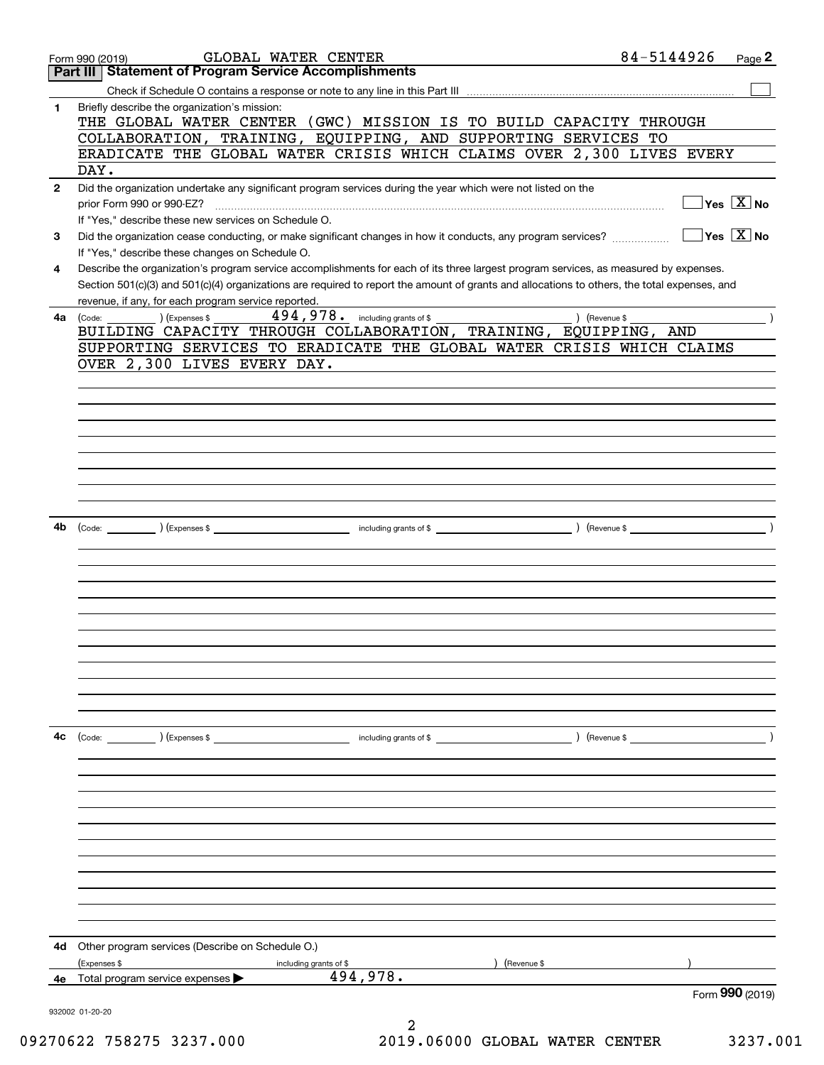|              | GLOBAL WATER CENTER<br>Form 990 (2019)                                                                                                                                                              | 84-5144926<br>Page 2                                           |
|--------------|-----------------------------------------------------------------------------------------------------------------------------------------------------------------------------------------------------|----------------------------------------------------------------|
|              | <b>Statement of Program Service Accomplishments</b><br>Part III I                                                                                                                                   |                                                                |
|              |                                                                                                                                                                                                     |                                                                |
| 1            | Briefly describe the organization's mission:<br>THE GLOBAL WATER CENTER (GWC) MISSION IS TO BUILD CAPACITY THROUGH                                                                                  |                                                                |
|              | COLLABORATION, TRAINING, EQUIPPING, AND SUPPORTING SERVICES TO                                                                                                                                      |                                                                |
|              | ERADICATE THE GLOBAL WATER CRISIS WHICH CLAIMS OVER 2,300 LIVES EVERY<br>DAY.                                                                                                                       |                                                                |
| $\mathbf{2}$ | Did the organization undertake any significant program services during the year which were not listed on the                                                                                        |                                                                |
|              | prior Form 990 or 990-EZ?                                                                                                                                                                           | $\overline{\mathsf{Yes}\mathrel{\hspace{0.05cm}\mathbf{X}}$ No |
|              | If "Yes," describe these new services on Schedule O.                                                                                                                                                |                                                                |
| 3            | Did the organization cease conducting, or make significant changes in how it conducts, any program services?<br>If "Yes," describe these changes on Schedule O.                                     | $\sqrt{}$ Yes $\sqrt{}$ X $\sqrt{}$ No                         |
| 4            | Describe the organization's program service accomplishments for each of its three largest program services, as measured by expenses.                                                                |                                                                |
|              | Section 501(c)(3) and 501(c)(4) organizations are required to report the amount of grants and allocations to others, the total expenses, and<br>revenue, if any, for each program service reported. |                                                                |
| 4a           | $\text{(Code:)}$ $\text{1}$ $\text{Expenses }$ \$                                                                                                                                                   |                                                                |
|              | BUILDING CAPACITY THROUGH COLLABORATION, TRAINING, EQUIPPING, AND                                                                                                                                   |                                                                |
|              | SUPPORTING SERVICES TO ERADICATE THE GLOBAL WATER CRISIS WHICH CLAIMS                                                                                                                               |                                                                |
|              | OVER 2,300 LIVES EVERY DAY.                                                                                                                                                                         |                                                                |
|              |                                                                                                                                                                                                     |                                                                |
|              |                                                                                                                                                                                                     |                                                                |
|              |                                                                                                                                                                                                     |                                                                |
|              |                                                                                                                                                                                                     |                                                                |
|              |                                                                                                                                                                                                     |                                                                |
|              |                                                                                                                                                                                                     |                                                                |
|              |                                                                                                                                                                                                     |                                                                |
|              |                                                                                                                                                                                                     |                                                                |
| 4b           |                                                                                                                                                                                                     |                                                                |
|              |                                                                                                                                                                                                     |                                                                |
|              |                                                                                                                                                                                                     |                                                                |
|              |                                                                                                                                                                                                     |                                                                |
|              |                                                                                                                                                                                                     |                                                                |
|              |                                                                                                                                                                                                     |                                                                |
|              |                                                                                                                                                                                                     |                                                                |
|              |                                                                                                                                                                                                     |                                                                |
|              |                                                                                                                                                                                                     |                                                                |
|              |                                                                                                                                                                                                     |                                                                |
|              |                                                                                                                                                                                                     |                                                                |
|              |                                                                                                                                                                                                     |                                                                |
| 4c           |                                                                                                                                                                                                     |                                                                |
|              | (Code: ) (Expenses \$<br>$\blacksquare$ including grants of \$                                                                                                                                      |                                                                |
|              |                                                                                                                                                                                                     |                                                                |
|              |                                                                                                                                                                                                     |                                                                |
|              |                                                                                                                                                                                                     |                                                                |
|              |                                                                                                                                                                                                     |                                                                |
|              |                                                                                                                                                                                                     |                                                                |
|              |                                                                                                                                                                                                     |                                                                |
|              |                                                                                                                                                                                                     |                                                                |
|              |                                                                                                                                                                                                     |                                                                |
|              |                                                                                                                                                                                                     |                                                                |
|              |                                                                                                                                                                                                     |                                                                |
|              |                                                                                                                                                                                                     |                                                                |
| 4d           | Other program services (Describe on Schedule O.)                                                                                                                                                    |                                                                |
|              | (Expenses \$<br>) (Revenue \$<br>including grants of \$<br>494,978.<br>Total program service expenses                                                                                               |                                                                |
| 4е           |                                                                                                                                                                                                     | Form 990 (2019)                                                |
|              | 932002 01-20-20                                                                                                                                                                                     |                                                                |
|              | 2                                                                                                                                                                                                   |                                                                |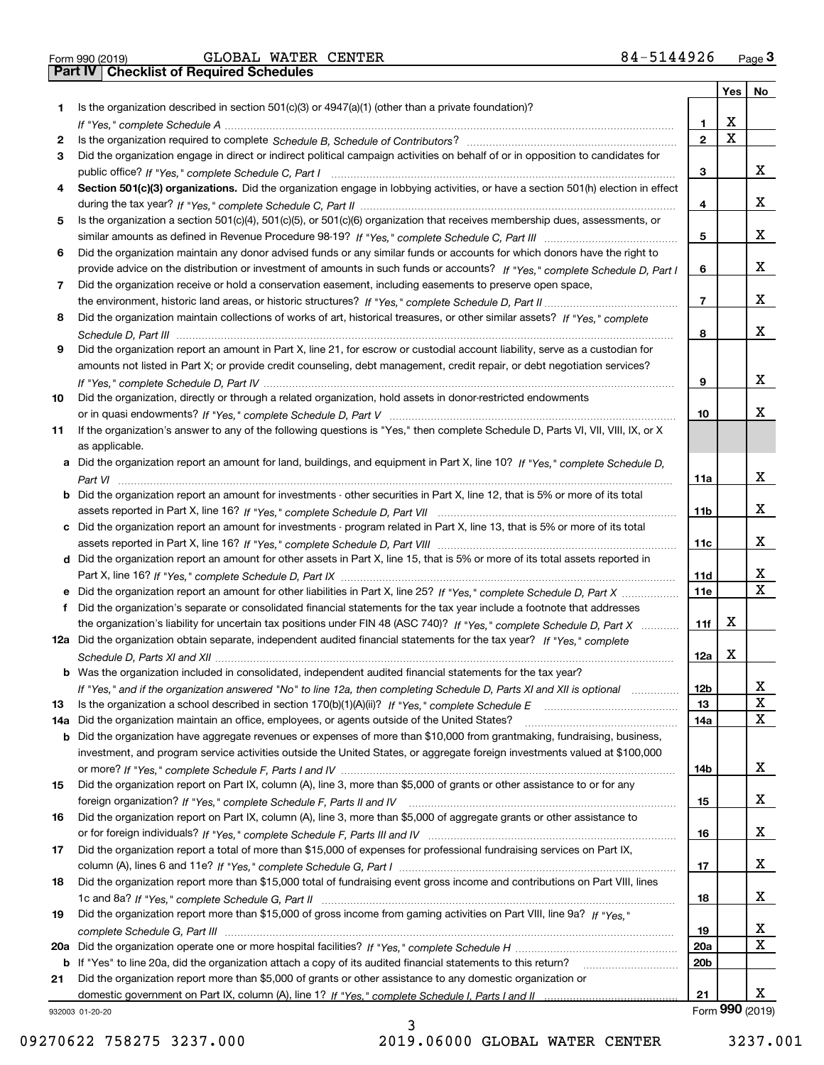Form 990 (2019) GLOBAL WATER CENTER 8 4~51449 26 <sub>Page</sub> 3<br>**Part IV | Checklist of Required Schedules** 

|     |                                                                                                                                                    |                 | Yes | No              |
|-----|----------------------------------------------------------------------------------------------------------------------------------------------------|-----------------|-----|-----------------|
| 1.  | Is the organization described in section $501(c)(3)$ or $4947(a)(1)$ (other than a private foundation)?                                            |                 |     |                 |
|     |                                                                                                                                                    | 1               | х   |                 |
| 2   |                                                                                                                                                    | $\overline{2}$  | X   |                 |
| 3   | Did the organization engage in direct or indirect political campaign activities on behalf of or in opposition to candidates for                    |                 |     |                 |
|     |                                                                                                                                                    | 3               |     | x               |
| 4   | Section 501(c)(3) organizations. Did the organization engage in lobbying activities, or have a section 501(h) election in effect                   |                 |     |                 |
|     |                                                                                                                                                    | 4               |     | x               |
| 5   | Is the organization a section 501(c)(4), 501(c)(5), or 501(c)(6) organization that receives membership dues, assessments, or                       |                 |     |                 |
|     |                                                                                                                                                    | 5               |     | х               |
| 6   | Did the organization maintain any donor advised funds or any similar funds or accounts for which donors have the right to                          |                 |     |                 |
|     | provide advice on the distribution or investment of amounts in such funds or accounts? If "Yes," complete Schedule D, Part I                       | 6               |     | x               |
| 7   | Did the organization receive or hold a conservation easement, including easements to preserve open space,                                          |                 |     |                 |
|     |                                                                                                                                                    | $\overline{7}$  |     | x               |
| 8   | Did the organization maintain collections of works of art, historical treasures, or other similar assets? If "Yes," complete                       |                 |     | x               |
|     |                                                                                                                                                    | 8               |     |                 |
| 9   | Did the organization report an amount in Part X, line 21, for escrow or custodial account liability, serve as a custodian for                      |                 |     |                 |
|     | amounts not listed in Part X; or provide credit counseling, debt management, credit repair, or debt negotiation services?                          |                 |     | x               |
|     |                                                                                                                                                    | 9               |     |                 |
| 10  | Did the organization, directly or through a related organization, hold assets in donor-restricted endowments                                       | 10              |     | x.              |
|     |                                                                                                                                                    |                 |     |                 |
| 11  | If the organization's answer to any of the following questions is "Yes," then complete Schedule D, Parts VI, VII, VIII, IX, or X<br>as applicable. |                 |     |                 |
|     | a Did the organization report an amount for land, buildings, and equipment in Part X, line 10? If "Yes," complete Schedule D,                      |                 |     |                 |
|     |                                                                                                                                                    | 11a             |     | x               |
|     | <b>b</b> Did the organization report an amount for investments - other securities in Part X, line 12, that is 5% or more of its total              |                 |     |                 |
|     |                                                                                                                                                    | 11b             |     | x               |
|     | c Did the organization report an amount for investments - program related in Part X, line 13, that is 5% or more of its total                      |                 |     |                 |
|     |                                                                                                                                                    | 11c             |     | x               |
|     | d Did the organization report an amount for other assets in Part X, line 15, that is 5% or more of its total assets reported in                    |                 |     |                 |
|     |                                                                                                                                                    | 11d             |     | X               |
|     | e Did the organization report an amount for other liabilities in Part X, line 25? If "Yes," complete Schedule D, Part X                            | 11e             |     | X               |
| f   | Did the organization's separate or consolidated financial statements for the tax year include a footnote that addresses                            |                 |     |                 |
|     | the organization's liability for uncertain tax positions under FIN 48 (ASC 740)? If "Yes," complete Schedule D, Part X                             | 11f             | x   |                 |
|     | 12a Did the organization obtain separate, independent audited financial statements for the tax year? If "Yes," complete                            |                 |     |                 |
|     |                                                                                                                                                    | 12a             | X   |                 |
|     | <b>b</b> Was the organization included in consolidated, independent audited financial statements for the tax year?                                 |                 |     |                 |
|     | If "Yes," and if the organization answered "No" to line 12a, then completing Schedule D, Parts XI and XII is optional                              | 12 <sub>b</sub> |     | X               |
| 13  | Is the organization a school described in section 170(b)(1)(A)(ii)? If "Yes," complete Schedule E                                                  | 13              |     | X               |
| 14a | Did the organization maintain an office, employees, or agents outside of the United States?                                                        | 14a             |     | x               |
|     | <b>b</b> Did the organization have aggregate revenues or expenses of more than \$10,000 from grantmaking, fundraising, business,                   |                 |     |                 |
|     | investment, and program service activities outside the United States, or aggregate foreign investments valued at \$100,000                         |                 |     |                 |
|     |                                                                                                                                                    | 14b             |     | x               |
| 15  | Did the organization report on Part IX, column (A), line 3, more than \$5,000 of grants or other assistance to or for any                          |                 |     |                 |
|     |                                                                                                                                                    | 15              |     | x               |
| 16  | Did the organization report on Part IX, column (A), line 3, more than \$5,000 of aggregate grants or other assistance to                           |                 |     |                 |
|     |                                                                                                                                                    | 16              |     | x               |
| 17  | Did the organization report a total of more than \$15,000 of expenses for professional fundraising services on Part IX,                            |                 |     |                 |
|     |                                                                                                                                                    | 17              |     | x               |
| 18  | Did the organization report more than \$15,000 total of fundraising event gross income and contributions on Part VIII, lines                       |                 |     |                 |
|     |                                                                                                                                                    | 18              |     | x               |
| 19  | Did the organization report more than \$15,000 of gross income from gaming activities on Part VIII, line 9a? If "Yes."                             |                 |     |                 |
|     |                                                                                                                                                    | 19              |     | x               |
| 20a |                                                                                                                                                    | 20a             |     | X               |
|     | b If "Yes" to line 20a, did the organization attach a copy of its audited financial statements to this return?                                     | 20 <sub>b</sub> |     |                 |
| 21  | Did the organization report more than \$5,000 of grants or other assistance to any domestic organization or                                        |                 |     |                 |
|     |                                                                                                                                                    | 21              |     | x               |
|     | 932003 01-20-20                                                                                                                                    |                 |     | Form 990 (2019) |

932003 01-20-20

3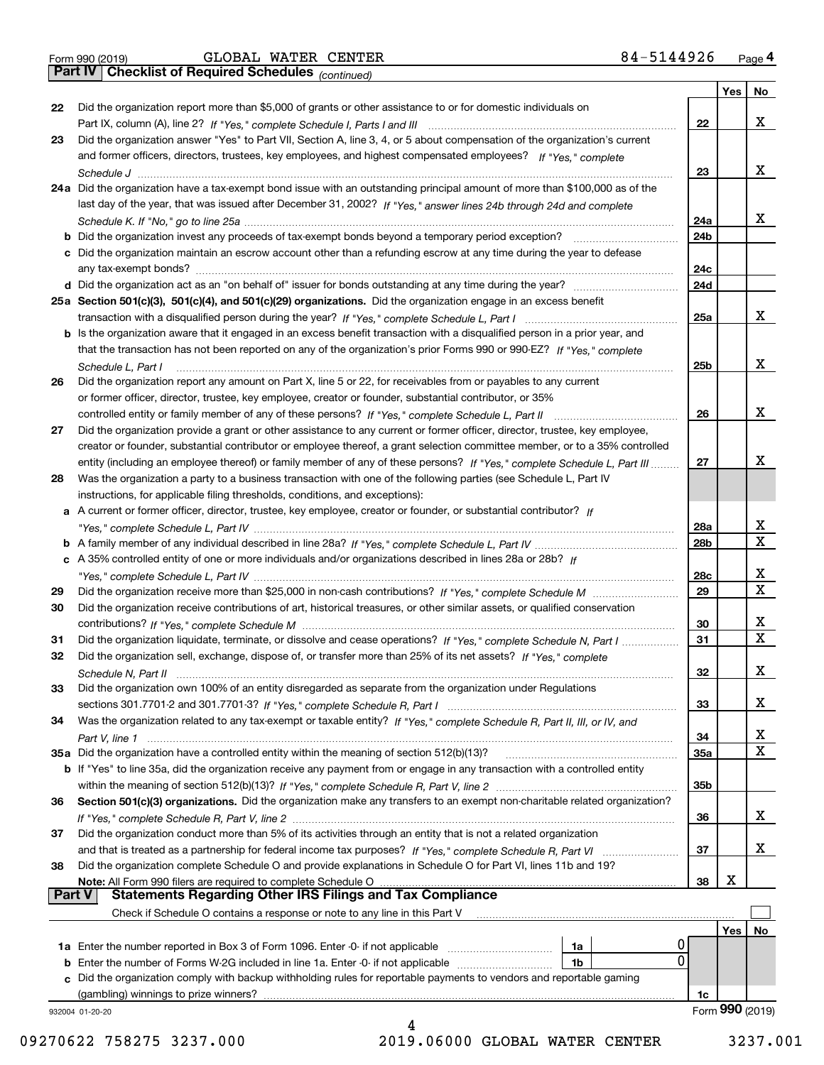| Form 990 (2019) |  |  |
|-----------------|--|--|

*(continued)*

|        |                                                                                                                              |                 | Yes | <b>No</b>       |
|--------|------------------------------------------------------------------------------------------------------------------------------|-----------------|-----|-----------------|
| 22     | Did the organization report more than \$5,000 of grants or other assistance to or for domestic individuals on                |                 |     |                 |
|        |                                                                                                                              | 22              |     | х               |
| 23     | Did the organization answer "Yes" to Part VII, Section A, line 3, 4, or 5 about compensation of the organization's current   |                 |     |                 |
|        | and former officers, directors, trustees, key employees, and highest compensated employees? If "Yes," complete               |                 |     |                 |
|        |                                                                                                                              | 23              |     | х               |
|        | 24a Did the organization have a tax-exempt bond issue with an outstanding principal amount of more than \$100,000 as of the  |                 |     |                 |
|        | last day of the year, that was issued after December 31, 2002? If "Yes," answer lines 24b through 24d and complete           |                 |     |                 |
|        |                                                                                                                              | 24a             |     | х               |
|        | b Did the organization invest any proceeds of tax-exempt bonds beyond a temporary period exception?                          | 24b             |     |                 |
|        | c Did the organization maintain an escrow account other than a refunding escrow at any time during the year to defease       |                 |     |                 |
|        | any tax-exempt bonds?                                                                                                        | 24c             |     |                 |
|        |                                                                                                                              | 24d             |     |                 |
|        | 25a Section 501(c)(3), 501(c)(4), and 501(c)(29) organizations. Did the organization engage in an excess benefit             |                 |     |                 |
|        |                                                                                                                              | 25a             |     | х               |
|        | b Is the organization aware that it engaged in an excess benefit transaction with a disqualified person in a prior year, and |                 |     |                 |
|        | that the transaction has not been reported on any of the organization's prior Forms 990 or 990-EZ? If "Yes," complete        |                 |     |                 |
|        |                                                                                                                              |                 |     | х               |
|        | Schedule L, Part I                                                                                                           | 25 <sub>b</sub> |     |                 |
| 26     | Did the organization report any amount on Part X, line 5 or 22, for receivables from or payables to any current              |                 |     |                 |
|        | or former officer, director, trustee, key employee, creator or founder, substantial contributor, or 35%                      |                 |     |                 |
|        |                                                                                                                              | 26              |     | х               |
| 27     | Did the organization provide a grant or other assistance to any current or former officer, director, trustee, key employee,  |                 |     |                 |
|        | creator or founder, substantial contributor or employee thereof, a grant selection committee member, or to a 35% controlled  |                 |     |                 |
|        | entity (including an employee thereof) or family member of any of these persons? If "Yes," complete Schedule L, Part III     | 27              |     | x               |
| 28     | Was the organization a party to a business transaction with one of the following parties (see Schedule L, Part IV            |                 |     |                 |
|        | instructions, for applicable filing thresholds, conditions, and exceptions):                                                 |                 |     |                 |
|        | a A current or former officer, director, trustee, key employee, creator or founder, or substantial contributor? If           |                 |     |                 |
|        |                                                                                                                              | 28a             |     | х               |
|        |                                                                                                                              | 28 <sub>b</sub> |     | $\mathbf X$     |
|        | c A 35% controlled entity of one or more individuals and/or organizations described in lines 28a or 28b? If                  |                 |     |                 |
|        |                                                                                                                              | 28c             |     | x               |
| 29     |                                                                                                                              | 29              |     | $\mathbf X$     |
| 30     | Did the organization receive contributions of art, historical treasures, or other similar assets, or qualified conservation  |                 |     |                 |
|        |                                                                                                                              | 30              |     | x               |
| 31     | Did the organization liquidate, terminate, or dissolve and cease operations? If "Yes," complete Schedule N, Part I           | 31              |     | $\mathbf X$     |
| 32     | Did the organization sell, exchange, dispose of, or transfer more than 25% of its net assets? If "Yes," complete             |                 |     |                 |
|        |                                                                                                                              | 32              |     | х               |
| 33     | Did the organization own 100% of an entity disregarded as separate from the organization under Regulations                   |                 |     |                 |
|        |                                                                                                                              | 33              |     | х               |
| 34     | Was the organization related to any tax-exempt or taxable entity? If "Yes," complete Schedule R, Part II, III, or IV, and    |                 |     |                 |
|        |                                                                                                                              | 34              |     | х               |
|        | 35a Did the organization have a controlled entity within the meaning of section 512(b)(13)?                                  | 35a             |     | х               |
|        | b If "Yes" to line 35a, did the organization receive any payment from or engage in any transaction with a controlled entity  |                 |     |                 |
|        |                                                                                                                              | 35b             |     |                 |
| 36     | Section 501(c)(3) organizations. Did the organization make any transfers to an exempt non-charitable related organization?   |                 |     |                 |
|        |                                                                                                                              | 36              |     | x               |
| 37     | Did the organization conduct more than 5% of its activities through an entity that is not a related organization             |                 |     |                 |
|        |                                                                                                                              | 37              |     | x               |
| 38     | Did the organization complete Schedule O and provide explanations in Schedule O for Part VI, lines 11b and 19?               |                 |     |                 |
|        | Note: All Form 990 filers are required to complete Schedule O                                                                | 38              | х   |                 |
| Part V | <b>Statements Regarding Other IRS Filings and Tax Compliance</b>                                                             |                 |     |                 |
|        | Check if Schedule O contains a response or note to any line in this Part V                                                   |                 |     |                 |
|        |                                                                                                                              |                 | Yes | No              |
|        | <b>1a</b> Enter the number reported in Box 3 of Form 1096. Enter -0- if not applicable <i>mummumumum</i><br>1a               |                 |     |                 |
|        | 0<br><b>b</b> Enter the number of Forms W-2G included in line 1a. Enter -0- if not applicable <i>manumumumum</i><br>1b       |                 |     |                 |
|        | c Did the organization comply with backup withholding rules for reportable payments to vendors and reportable gaming         |                 |     |                 |
|        | (gambling) winnings to prize winners?                                                                                        | 1c              |     |                 |
|        | 932004 01-20-20                                                                                                              |                 |     | Form 990 (2019) |
|        |                                                                                                                              |                 |     |                 |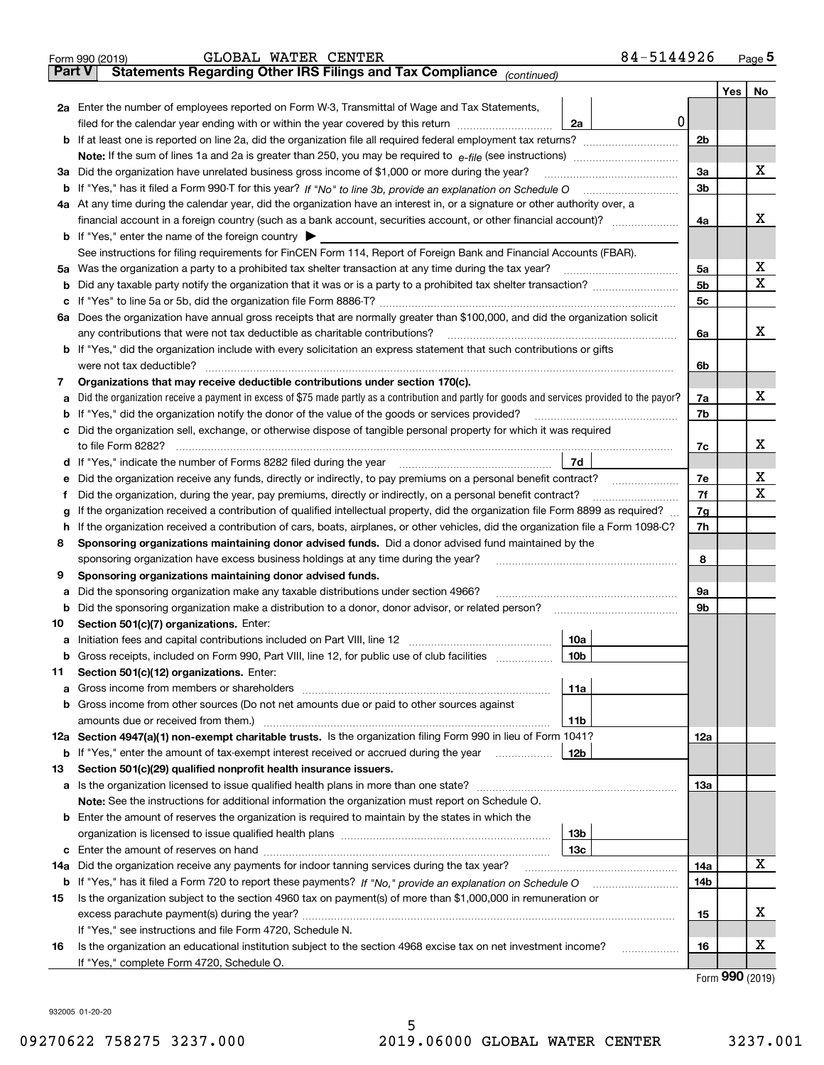|               | 84-5144926<br>GLOBAL WATER CENTER<br>Form 990 (2019)                                                                                                                                      |                |                      | Page $5$ |  |  |
|---------------|-------------------------------------------------------------------------------------------------------------------------------------------------------------------------------------------|----------------|----------------------|----------|--|--|
| <b>Part V</b> | Statements Regarding Other IRS Filings and Tax Compliance (continued)                                                                                                                     |                |                      |          |  |  |
|               |                                                                                                                                                                                           |                | Yes                  | No       |  |  |
|               | 2a Enter the number of employees reported on Form W-3, Transmittal of Wage and Tax Statements,                                                                                            |                |                      |          |  |  |
|               | 0 <br>filed for the calendar year ending with or within the year covered by this return [11] [11] filed for the calendar year ending with or within the year covered by this return<br>2a |                |                      |          |  |  |
|               |                                                                                                                                                                                           | 2 <sub>b</sub> |                      |          |  |  |
|               |                                                                                                                                                                                           |                |                      |          |  |  |
|               | 3a Did the organization have unrelated business gross income of \$1,000 or more during the year?                                                                                          | 3a             |                      | х        |  |  |
|               |                                                                                                                                                                                           | 3 <sub>b</sub> |                      |          |  |  |
|               | 4a At any time during the calendar year, did the organization have an interest in, or a signature or other authority over, a                                                              |                |                      |          |  |  |
|               |                                                                                                                                                                                           | 4a             |                      | х        |  |  |
|               | <b>b</b> If "Yes," enter the name of the foreign country $\blacktriangleright$                                                                                                            |                |                      |          |  |  |
|               | See instructions for filing requirements for FinCEN Form 114, Report of Foreign Bank and Financial Accounts (FBAR).                                                                       |                |                      |          |  |  |
|               | 5a Was the organization a party to a prohibited tax shelter transaction at any time during the tax year?                                                                                  | 5a             |                      | х        |  |  |
|               |                                                                                                                                                                                           | 5 <sub>b</sub> |                      | Х        |  |  |
|               |                                                                                                                                                                                           | 5 <sub>c</sub> |                      |          |  |  |
|               | 6a Does the organization have annual gross receipts that are normally greater than \$100,000, and did the organization solicit                                                            |                |                      |          |  |  |
|               | any contributions that were not tax deductible as charitable contributions?                                                                                                               | 6a             |                      | х        |  |  |
|               | <b>b</b> If "Yes," did the organization include with every solicitation an express statement that such contributions or gifts                                                             |                |                      |          |  |  |
|               | were not tax deductible?                                                                                                                                                                  | 6b             |                      |          |  |  |
| 7             | Organizations that may receive deductible contributions under section 170(c).                                                                                                             |                |                      |          |  |  |
| а             | Did the organization receive a payment in excess of \$75 made partly as a contribution and partly for goods and services provided to the payor?                                           | 7a             |                      | х        |  |  |
|               | <b>b</b> If "Yes," did the organization notify the donor of the value of the goods or services provided?                                                                                  | 7b             |                      |          |  |  |
|               | c Did the organization sell, exchange, or otherwise dispose of tangible personal property for which it was required                                                                       |                |                      |          |  |  |
|               |                                                                                                                                                                                           | 7c             |                      | х        |  |  |
|               | 7d                                                                                                                                                                                        |                |                      |          |  |  |
|               | e Did the organization receive any funds, directly or indirectly, to pay premiums on a personal benefit contract?                                                                         | 7e             |                      | х        |  |  |
| Ť             | Did the organization, during the year, pay premiums, directly or indirectly, on a personal benefit contract?                                                                              | 7f<br>7g       |                      | Х        |  |  |
| g             | If the organization received a contribution of qualified intellectual property, did the organization file Form 8899 as required?                                                          |                |                      |          |  |  |
|               | h If the organization received a contribution of cars, boats, airplanes, or other vehicles, did the organization file a Form 1098-C?                                                      |                |                      |          |  |  |
| 8             | Sponsoring organizations maintaining donor advised funds. Did a donor advised fund maintained by the                                                                                      |                |                      |          |  |  |
|               | sponsoring organization have excess business holdings at any time during the year?                                                                                                        | 8              |                      |          |  |  |
| 9             | Sponsoring organizations maintaining donor advised funds.                                                                                                                                 |                |                      |          |  |  |
| а             | Did the sponsoring organization make any taxable distributions under section 4966?                                                                                                        | 9a             |                      |          |  |  |
|               | <b>b</b> Did the sponsoring organization make a distribution to a donor, donor advisor, or related person?                                                                                | 9b             |                      |          |  |  |
| 10            | Section 501(c)(7) organizations. Enter:                                                                                                                                                   |                |                      |          |  |  |
|               | 10a                                                                                                                                                                                       |                |                      |          |  |  |
|               | <b>b</b> Gross receipts, included on Form 990, Part VIII, line 12, for public use of club facilities <i>manumum</i><br>10b                                                                |                |                      |          |  |  |
| 11            | Section 501(c)(12) organizations. Enter:                                                                                                                                                  |                |                      |          |  |  |
|               | 11a                                                                                                                                                                                       |                |                      |          |  |  |
|               | <b>b</b> Gross income from other sources (Do not net amounts due or paid to other sources against                                                                                         |                |                      |          |  |  |
|               | amounts due or received from them.)<br>11b                                                                                                                                                |                |                      |          |  |  |
|               | 12a Section 4947(a)(1) non-exempt charitable trusts. Is the organization filing Form 990 in lieu of Form 1041?                                                                            | 12a            |                      |          |  |  |
|               | 12b<br><b>b</b> If "Yes," enter the amount of tax-exempt interest received or accrued during the year <i>manument</i>                                                                     |                |                      |          |  |  |
| 13            | Section 501(c)(29) qualified nonprofit health insurance issuers.                                                                                                                          |                |                      |          |  |  |
|               | <b>a</b> Is the organization licensed to issue qualified health plans in more than one state?                                                                                             | 13а            |                      |          |  |  |
|               | Note: See the instructions for additional information the organization must report on Schedule O.                                                                                         |                |                      |          |  |  |
|               | <b>b</b> Enter the amount of reserves the organization is required to maintain by the states in which the                                                                                 |                |                      |          |  |  |
|               | 13 <sub>b</sub>                                                                                                                                                                           |                |                      |          |  |  |
|               | 13с                                                                                                                                                                                       |                |                      | х        |  |  |
| 14a           | Did the organization receive any payments for indoor tanning services during the tax year?                                                                                                | 14a            |                      |          |  |  |
|               |                                                                                                                                                                                           | 14b            |                      |          |  |  |
| 15            | Is the organization subject to the section 4960 tax on payment(s) of more than \$1,000,000 in remuneration or                                                                             |                |                      | х        |  |  |
|               |                                                                                                                                                                                           | 15             |                      |          |  |  |
|               | If "Yes," see instructions and file Form 4720, Schedule N.                                                                                                                                |                |                      | х        |  |  |
| 16            | Is the organization an educational institution subject to the section 4968 excise tax on net investment income?<br>.                                                                      | 16             |                      |          |  |  |
|               | If "Yes," complete Form 4720, Schedule O.                                                                                                                                                 |                | $000 \, \mathrm{mm}$ |          |  |  |

Form (2019) **990**

932005 01-20-20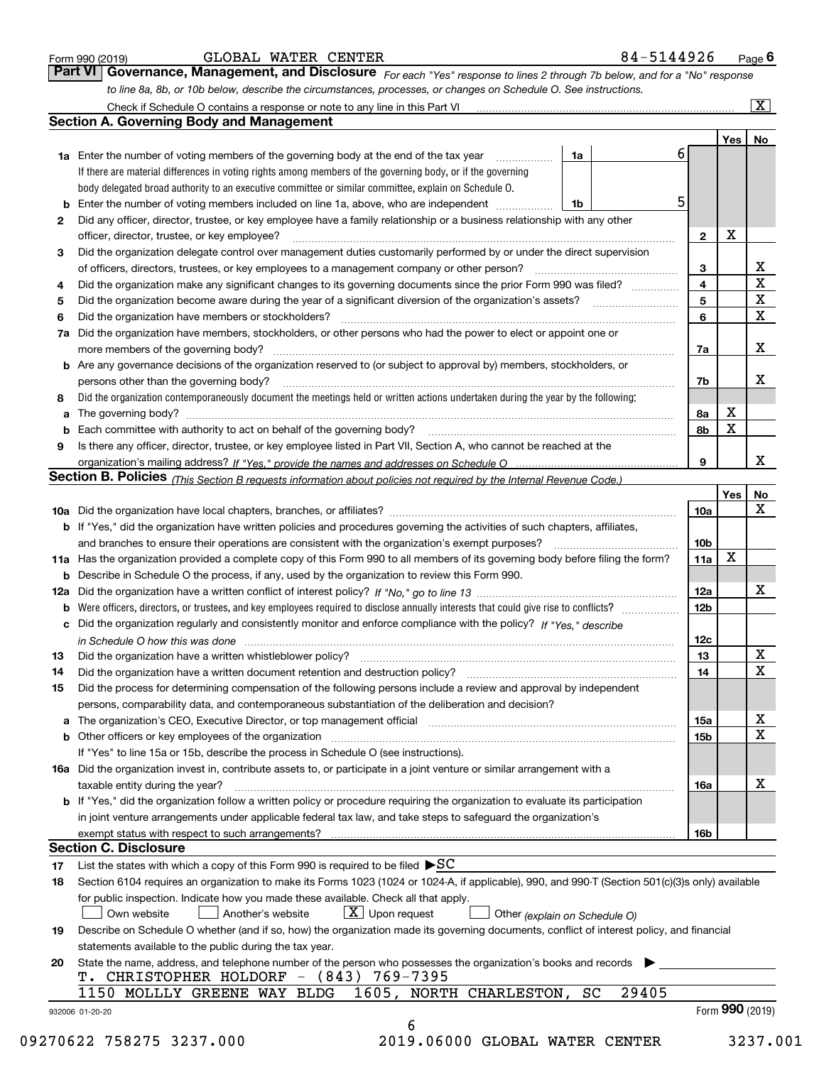| Form 990 (2019) |  |  |
|-----------------|--|--|
|                 |  |  |

| GLOBAL | <b>WATER</b> | <b>CENTER</b> |
|--------|--------------|---------------|
|--------|--------------|---------------|

*For each "Yes" response to lines 2 through 7b below, and for a "No" response to line 8a, 8b, or 10b below, describe the circumstances, processes, or changes on Schedule O. See instructions.* Form 990 (2019) **CLOBAL WATER CENTER**<br>**Part VI Governance, Management, and Disclosure** For each "Yes" response to lines 2 through 7b below, and for a "No" response

|    | <b>Section A. Governing Body and Management</b>                                                                                                                            |                               |                 | Yes   No    |                         |
|----|----------------------------------------------------------------------------------------------------------------------------------------------------------------------------|-------------------------------|-----------------|-------------|-------------------------|
|    | <b>1a</b> Enter the number of voting members of the governing body at the end of the tax year                                                                              | 1a                            | 6               |             |                         |
|    | .<br>If there are material differences in voting rights among members of the governing body, or if the governing                                                           |                               |                 |             |                         |
|    | body delegated broad authority to an executive committee or similar committee, explain on Schedule O.                                                                      |                               |                 |             |                         |
|    | <b>b</b> Enter the number of voting members included on line 1a, above, who are independent                                                                                | 1b                            | 5               |             |                         |
| 2  | Did any officer, director, trustee, or key employee have a family relationship or a business relationship with any other                                                   |                               |                 |             |                         |
|    |                                                                                                                                                                            |                               | $\overline{2}$  | X           |                         |
|    | officer, director, trustee, or key employee?<br>Did the organization delegate control over management duties customarily performed by or under the direct supervision      |                               |                 |             |                         |
| 3  |                                                                                                                                                                            |                               |                 |             | х                       |
|    |                                                                                                                                                                            |                               | 3               |             | $\overline{\mathbf{x}}$ |
| 4  | Did the organization make any significant changes to its governing documents since the prior Form 990 was filed?                                                           |                               | 4               |             | $\overline{\mathbf{x}}$ |
| 5  |                                                                                                                                                                            |                               | 5               |             | $\overline{\mathbf{x}}$ |
| 6  | Did the organization have members or stockholders?                                                                                                                         |                               | 6               |             |                         |
|    | 7a Did the organization have members, stockholders, or other persons who had the power to elect or appoint one or                                                          |                               |                 |             |                         |
|    |                                                                                                                                                                            |                               | 7a              |             | x                       |
|    | <b>b</b> Are any governance decisions of the organization reserved to (or subject to approval by) members, stockholders, or                                                |                               |                 |             |                         |
|    | persons other than the governing body?                                                                                                                                     |                               | 7b              |             | х                       |
| 8  | Did the organization contemporaneously document the meetings held or written actions undertaken during the year by the following:                                          |                               |                 |             |                         |
| a  |                                                                                                                                                                            |                               | 8а              | Х           |                         |
|    |                                                                                                                                                                            |                               | 8b              | $\mathbf x$ |                         |
| 9  | Is there any officer, director, trustee, or key employee listed in Part VII, Section A, who cannot be reached at the                                                       |                               |                 |             |                         |
|    |                                                                                                                                                                            |                               | 9               |             | x                       |
|    | Section B. Policies (This Section B requests information about policies not required by the Internal Revenue Code.)                                                        |                               |                 |             |                         |
|    |                                                                                                                                                                            |                               |                 | Yes         | <b>No</b>               |
|    |                                                                                                                                                                            |                               | 10a             |             | $\mathbf X$             |
|    | b If "Yes," did the organization have written policies and procedures governing the activities of such chapters, affiliates,                                               |                               |                 |             |                         |
|    |                                                                                                                                                                            |                               | 10 <sub>b</sub> |             |                         |
|    | 11a Has the organization provided a complete copy of this Form 990 to all members of its governing body before filing the form?                                            |                               | 11a             | X           |                         |
|    | <b>b</b> Describe in Schedule O the process, if any, used by the organization to review this Form 990.                                                                     |                               |                 |             |                         |
|    |                                                                                                                                                                            |                               | 12a             |             | х                       |
| b  |                                                                                                                                                                            |                               | 12 <sub>b</sub> |             |                         |
|    | c Did the organization regularly and consistently monitor and enforce compliance with the policy? If "Yes," describe                                                       |                               |                 |             |                         |
|    | in Schedule O how this was done measured and contain an account of the state of the state of the state of the                                                              |                               | 12c             |             |                         |
| 13 |                                                                                                                                                                            |                               | 13              |             | X                       |
| 14 | Did the organization have a written document retention and destruction policy? manufactured and the organization have a written document retention and destruction policy? |                               | 14              |             | $\overline{\mathbf{x}}$ |
| 15 | Did the process for determining compensation of the following persons include a review and approval by independent                                                         |                               |                 |             |                         |
|    | persons, comparability data, and contemporaneous substantiation of the deliberation and decision?                                                                          |                               |                 |             |                         |
|    |                                                                                                                                                                            |                               | 15a             |             | х                       |
|    | <b>b</b> Other officers or key employees of the organization                                                                                                               |                               | 15b             |             | $\overline{\mathbf{x}}$ |
|    | If "Yes" to line 15a or 15b, describe the process in Schedule O (see instructions).                                                                                        |                               |                 |             |                         |
|    | 16a Did the organization invest in, contribute assets to, or participate in a joint venture or similar arrangement with a                                                  |                               |                 |             |                         |
|    | taxable entity during the year?                                                                                                                                            |                               | 16a             |             | X                       |
|    | b If "Yes," did the organization follow a written policy or procedure requiring the organization to evaluate its participation                                             |                               |                 |             |                         |
|    | in joint venture arrangements under applicable federal tax law, and take steps to safequard the organization's                                                             |                               |                 |             |                         |
|    | exempt status with respect to such arrangements?                                                                                                                           |                               | 16 <sub>b</sub> |             |                         |
|    | <b>Section C. Disclosure</b>                                                                                                                                               |                               |                 |             |                         |
| 17 | List the states with which a copy of this Form 990 is required to be filed $\blacktriangleright$ SC                                                                        |                               |                 |             |                         |
| 18 | Section 6104 requires an organization to make its Forms 1023 (1024 or 1024-A, if applicable), 990, and 990-T (Section 501(c)(3)s only) available                           |                               |                 |             |                         |
|    | for public inspection. Indicate how you made these available. Check all that apply.                                                                                        |                               |                 |             |                         |
|    | $\boxed{\textbf{X}}$ Upon request<br>Own website<br>Another's website                                                                                                      | Other (explain on Schedule O) |                 |             |                         |
| 19 | Describe on Schedule O whether (and if so, how) the organization made its governing documents, conflict of interest policy, and financial                                  |                               |                 |             |                         |
|    | statements available to the public during the tax year.                                                                                                                    |                               |                 |             |                         |
| 20 | State the name, address, and telephone number of the person who possesses the organization's books and records                                                             |                               |                 |             |                         |
|    | T. CHRISTOPHER HOLDORF - (843) 769-7395                                                                                                                                    |                               |                 |             |                         |
|    |                                                                                                                                                                            |                               |                 |             |                         |
|    | 1605, NORTH CHARLESTON, SC<br>1150 MOLLLY GREENE WAY BLDG                                                                                                                  | 29405                         |                 |             |                         |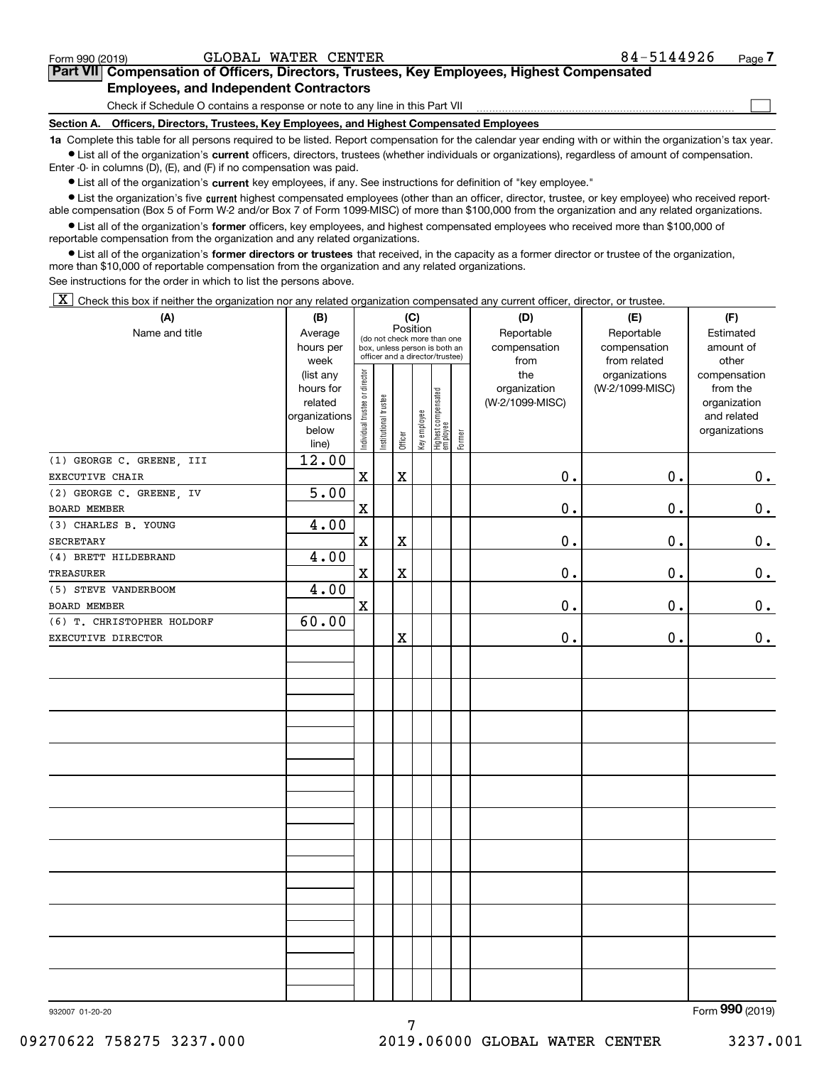| Form 990 (2019 |  |       |  |  |
|----------------|--|-------|--|--|
|                |  | ----- |  |  |

 $\mathcal{L}^{\text{max}}$ 

| orm 990 (2019) <sup>.</sup> | GLOBAL WATER CENTER                           |  | 84-5144926                                                                                 | Page <i>I</i> |
|-----------------------------|-----------------------------------------------|--|--------------------------------------------------------------------------------------------|---------------|
|                             |                                               |  | Part VII Compensation of Officers, Directors, Trustees, Key Employees, Highest Compensated |               |
|                             | <b>Employees, and Independent Contractors</b> |  |                                                                                            |               |

Check if Schedule O contains a response or note to any line in this Part VII

**Section A. Officers, Directors, Trustees, Key Employees, and Highest Compensated Employees**

**1a**  Complete this table for all persons required to be listed. Report compensation for the calendar year ending with or within the organization's tax year. **•** List all of the organization's current officers, directors, trustees (whether individuals or organizations), regardless of amount of compensation.

Enter -0- in columns (D), (E), and (F) if no compensation was paid.

 $\bullet$  List all of the organization's  $\,$ current key employees, if any. See instructions for definition of "key employee."

**•** List the organization's five current highest compensated employees (other than an officer, director, trustee, or key employee) who received reportable compensation (Box 5 of Form W-2 and/or Box 7 of Form 1099-MISC) of more than \$100,000 from the organization and any related organizations.

**•** List all of the organization's former officers, key employees, and highest compensated employees who received more than \$100,000 of reportable compensation from the organization and any related organizations.

**former directors or trustees**  ¥ List all of the organization's that received, in the capacity as a former director or trustee of the organization, more than \$10,000 of reportable compensation from the organization and any related organizations.

See instructions for the order in which to list the persons above.

 $\boxed{\textbf{X}}$  Check this box if neither the organization nor any related organization compensated any current officer, director, or trustee.

| (A)                        | (B)                      | (C)                                                              |                       |             |              |                                 |            | (D)             | (E)             | (F)                         |  |  |
|----------------------------|--------------------------|------------------------------------------------------------------|-----------------------|-------------|--------------|---------------------------------|------------|-----------------|-----------------|-----------------------------|--|--|
| Name and title             | Average                  | Position<br>(do not check more than one                          |                       |             |              |                                 | Reportable | Reportable      | Estimated       |                             |  |  |
|                            | hours per                | box, unless person is both an<br>officer and a director/trustee) |                       |             |              |                                 |            | compensation    | compensation    | amount of                   |  |  |
|                            | week                     |                                                                  |                       |             |              |                                 |            | from            | from related    | other                       |  |  |
|                            | (list any                |                                                                  |                       |             |              |                                 |            | the             | organizations   | compensation                |  |  |
|                            | hours for                |                                                                  |                       |             |              |                                 |            | organization    | (W-2/1099-MISC) | from the                    |  |  |
|                            | related<br>organizations |                                                                  |                       |             |              |                                 |            | (W-2/1099-MISC) |                 | organization<br>and related |  |  |
|                            | below                    |                                                                  |                       |             |              |                                 |            |                 |                 | organizations               |  |  |
|                            | line)                    | Individual trustee or director                                   | Institutional trustee | Officer     | Key employee | Highest compensated<br>employee | Former     |                 |                 |                             |  |  |
| (1) GEORGE C. GREENE, III  | 12.00                    |                                                                  |                       |             |              |                                 |            |                 |                 |                             |  |  |
| <b>EXECUTIVE CHAIR</b>     |                          | $\mathbf x$                                                      |                       | $\mathbf X$ |              |                                 |            | 0.              | 0.              | $0_{.}$                     |  |  |
| (2) GEORGE C. GREENE, IV   | 5.00                     |                                                                  |                       |             |              |                                 |            |                 |                 |                             |  |  |
| BOARD MEMBER               |                          | $\mathbf X$                                                      |                       |             |              |                                 |            | 0.              | 0.              | $\mathbf 0$ .               |  |  |
| (3) CHARLES B. YOUNG       | 4.00                     |                                                                  |                       |             |              |                                 |            |                 |                 |                             |  |  |
| SECRETARY                  |                          | $\rm X$                                                          |                       | $\mathbf X$ |              |                                 |            | $\mathbf 0$ .   | 0.              | 0.                          |  |  |
| (4) BRETT HILDEBRAND       | 4.00                     |                                                                  |                       |             |              |                                 |            |                 |                 |                             |  |  |
| TREASURER                  |                          | $\mathbf x$                                                      |                       | $\mathbf X$ |              |                                 |            | $0$ .           | 0.              | 0.                          |  |  |
| (5) STEVE VANDERBOOM       | 4.00                     |                                                                  |                       |             |              |                                 |            |                 |                 |                             |  |  |
| BOARD MEMBER               |                          | $\mathbf X$                                                      |                       |             |              |                                 |            | $0$ .           | 0.              | $\mathbf 0$ .               |  |  |
| (6) T. CHRISTOPHER HOLDORF | 60.00                    |                                                                  |                       |             |              |                                 |            |                 |                 |                             |  |  |
| EXECUTIVE DIRECTOR         |                          |                                                                  |                       | $\mathbf X$ |              |                                 |            | $0$ .           | 0.              | 0.                          |  |  |
|                            |                          |                                                                  |                       |             |              |                                 |            |                 |                 |                             |  |  |
|                            |                          |                                                                  |                       |             |              |                                 |            |                 |                 |                             |  |  |
|                            |                          |                                                                  |                       |             |              |                                 |            |                 |                 |                             |  |  |
|                            |                          |                                                                  |                       |             |              |                                 |            |                 |                 |                             |  |  |
|                            |                          |                                                                  |                       |             |              |                                 |            |                 |                 |                             |  |  |
|                            |                          |                                                                  |                       |             |              |                                 |            |                 |                 |                             |  |  |
|                            |                          |                                                                  |                       |             |              |                                 |            |                 |                 |                             |  |  |
|                            |                          |                                                                  |                       |             |              |                                 |            |                 |                 |                             |  |  |
|                            |                          |                                                                  |                       |             |              |                                 |            |                 |                 |                             |  |  |
|                            |                          |                                                                  |                       |             |              |                                 |            |                 |                 |                             |  |  |
|                            |                          |                                                                  |                       |             |              |                                 |            |                 |                 |                             |  |  |
|                            |                          |                                                                  |                       |             |              |                                 |            |                 |                 |                             |  |  |
|                            |                          |                                                                  |                       |             |              |                                 |            |                 |                 |                             |  |  |
|                            |                          |                                                                  |                       |             |              |                                 |            |                 |                 |                             |  |  |
|                            |                          |                                                                  |                       |             |              |                                 |            |                 |                 |                             |  |  |
|                            |                          |                                                                  |                       |             |              |                                 |            |                 |                 |                             |  |  |
|                            |                          |                                                                  |                       |             |              |                                 |            |                 |                 |                             |  |  |
|                            |                          |                                                                  |                       |             |              |                                 |            |                 |                 |                             |  |  |
|                            |                          |                                                                  |                       |             |              |                                 |            |                 |                 |                             |  |  |
|                            |                          |                                                                  |                       |             |              |                                 |            |                 |                 |                             |  |  |
|                            |                          |                                                                  |                       |             |              |                                 |            |                 |                 | $\overline{2}$              |  |  |

7

Form (2019) **990**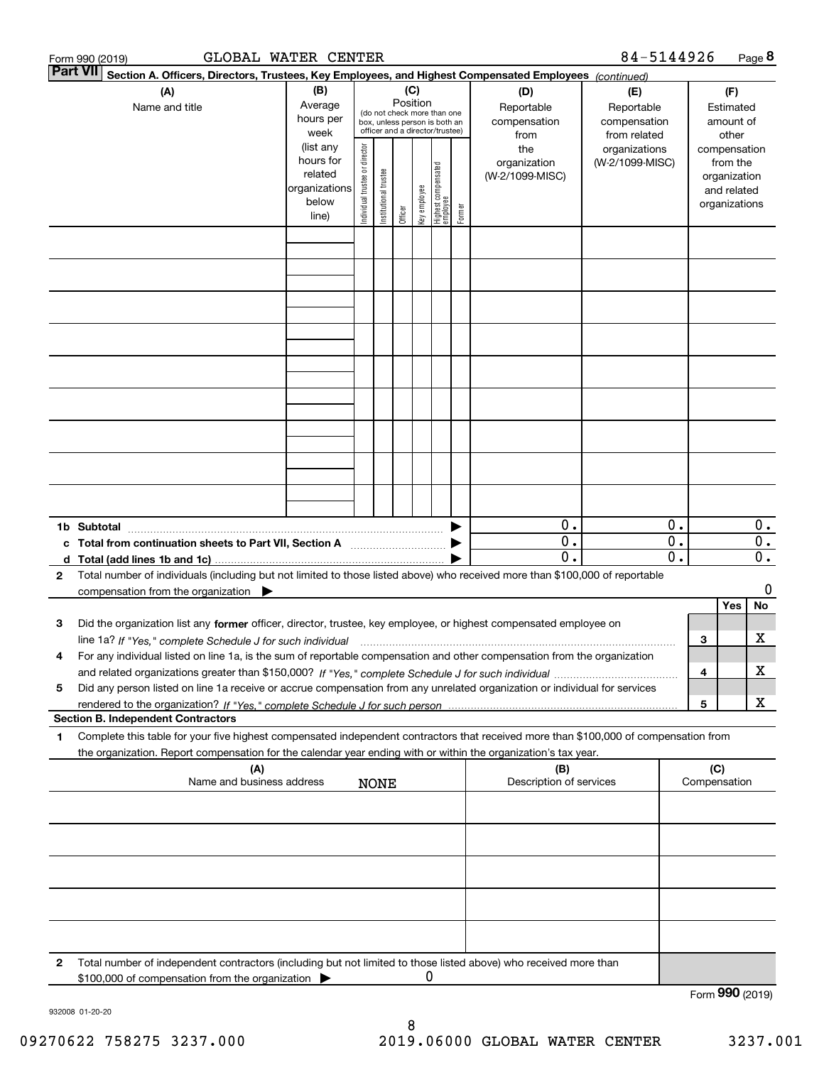|              | GLOBAL WATER CENTER<br>Form 990 (2019)                                                                                                                                                                                                                 |                                                         |                                |                       |         |              |                                                                                                             |        |                                                  | 84-5144926                                                         |                                            |                                                        |                                                          | Page 8                                     |
|--------------|--------------------------------------------------------------------------------------------------------------------------------------------------------------------------------------------------------------------------------------------------------|---------------------------------------------------------|--------------------------------|-----------------------|---------|--------------|-------------------------------------------------------------------------------------------------------------|--------|--------------------------------------------------|--------------------------------------------------------------------|--------------------------------------------|--------------------------------------------------------|----------------------------------------------------------|--------------------------------------------|
|              | <b>Part VII</b><br>Section A. Officers, Directors, Trustees, Key Employees, and Highest Compensated Employees (continued)                                                                                                                              |                                                         |                                |                       |         |              |                                                                                                             |        |                                                  |                                                                    |                                            |                                                        |                                                          |                                            |
|              | (A)<br>Name and title                                                                                                                                                                                                                                  | (B)<br>Average<br>hours per<br>week<br>(list any        |                                |                       |         |              | Position<br>(do not check more than one<br>box, unless person is both an<br>officer and a director/trustee) |        | (D)<br>Reportable<br>compensation<br>from<br>the | (E)<br>Reportable<br>compensation<br>from related<br>organizations |                                            | (F)<br>Estimated<br>amount of<br>other<br>compensation |                                                          |                                            |
|              |                                                                                                                                                                                                                                                        | hours for<br>related<br>organizations<br>below<br>line) | Individual trustee or director | Institutional trustee | Officer | Key employee | Highest compensated<br>employee                                                                             | Former | organization<br>(W-2/1099-MISC)                  | (W-2/1099-MISC)                                                    |                                            |                                                        | from the<br>organization<br>and related<br>organizations |                                            |
|              |                                                                                                                                                                                                                                                        |                                                         |                                |                       |         |              |                                                                                                             |        |                                                  |                                                                    |                                            |                                                        |                                                          |                                            |
|              |                                                                                                                                                                                                                                                        |                                                         |                                |                       |         |              |                                                                                                             |        |                                                  |                                                                    |                                            |                                                        |                                                          |                                            |
|              |                                                                                                                                                                                                                                                        |                                                         |                                |                       |         |              |                                                                                                             |        |                                                  |                                                                    |                                            |                                                        |                                                          |                                            |
|              |                                                                                                                                                                                                                                                        |                                                         |                                |                       |         |              |                                                                                                             |        |                                                  |                                                                    |                                            |                                                        |                                                          |                                            |
|              |                                                                                                                                                                                                                                                        |                                                         |                                |                       |         |              |                                                                                                             |        |                                                  |                                                                    |                                            |                                                        |                                                          |                                            |
|              |                                                                                                                                                                                                                                                        |                                                         |                                |                       |         |              |                                                                                                             |        |                                                  |                                                                    |                                            |                                                        |                                                          |                                            |
| c<br>d       | 1b Subtotal<br>Total (add lines 1b and 1c)                                                                                                                                                                                                             |                                                         |                                |                       |         |              |                                                                                                             |        | 0.<br>$\overline{0}$ .<br>$\mathbf 0$ .          |                                                                    | 0.<br>$\overline{0}$ .<br>$\overline{0}$ . |                                                        |                                                          | 0.<br>$\overline{0}$ .<br>$\overline{0}$ . |
| $\mathbf{2}$ | Total number of individuals (including but not limited to those listed above) who received more than \$100,000 of reportable<br>compensation from the organization                                                                                     |                                                         |                                |                       |         |              |                                                                                                             |        |                                                  |                                                                    |                                            |                                                        | Yes                                                      | 0<br>No                                    |
| З            | Did the organization list any former officer, director, trustee, key employee, or highest compensated employee on                                                                                                                                      |                                                         |                                |                       |         |              |                                                                                                             |        |                                                  |                                                                    |                                            | 3                                                      |                                                          | х                                          |
| 4<br>5       | For any individual listed on line 1a, is the sum of reportable compensation and other compensation from the organization<br>Did any person listed on line 1a receive or accrue compensation from any unrelated organization or individual for services |                                                         |                                |                       |         |              |                                                                                                             |        |                                                  |                                                                    |                                            | 4                                                      |                                                          | х                                          |
|              | <b>Section B. Independent Contractors</b>                                                                                                                                                                                                              |                                                         |                                |                       |         |              |                                                                                                             |        |                                                  |                                                                    |                                            | 5                                                      |                                                          | x                                          |
| 1            | Complete this table for your five highest compensated independent contractors that received more than \$100,000 of compensation from<br>the organization. Report compensation for the calendar year ending with or within the organization's tax year. |                                                         |                                |                       |         |              |                                                                                                             |        |                                                  |                                                                    |                                            |                                                        |                                                          |                                            |
|              | (A)<br>Name and business address                                                                                                                                                                                                                       |                                                         |                                | <b>NONE</b>           |         |              |                                                                                                             |        | (B)<br>Description of services                   |                                                                    |                                            | (C)                                                    | Compensation                                             |                                            |
|              |                                                                                                                                                                                                                                                        |                                                         |                                |                       |         |              |                                                                                                             |        |                                                  |                                                                    |                                            |                                                        |                                                          |                                            |
|              |                                                                                                                                                                                                                                                        |                                                         |                                |                       |         |              |                                                                                                             |        |                                                  |                                                                    |                                            |                                                        |                                                          |                                            |
|              |                                                                                                                                                                                                                                                        |                                                         |                                |                       |         |              |                                                                                                             |        |                                                  |                                                                    |                                            |                                                        |                                                          |                                            |
| 2            | Total number of independent contractors (including but not limited to those listed above) who received more than<br>\$100,000 of compensation from the organization                                                                                    |                                                         |                                |                       |         | 0            |                                                                                                             |        |                                                  |                                                                    |                                            |                                                        |                                                          |                                            |
|              |                                                                                                                                                                                                                                                        |                                                         |                                |                       |         |              |                                                                                                             |        |                                                  |                                                                    |                                            |                                                        | Form 990 (2019)                                          |                                            |

932008 01-20-20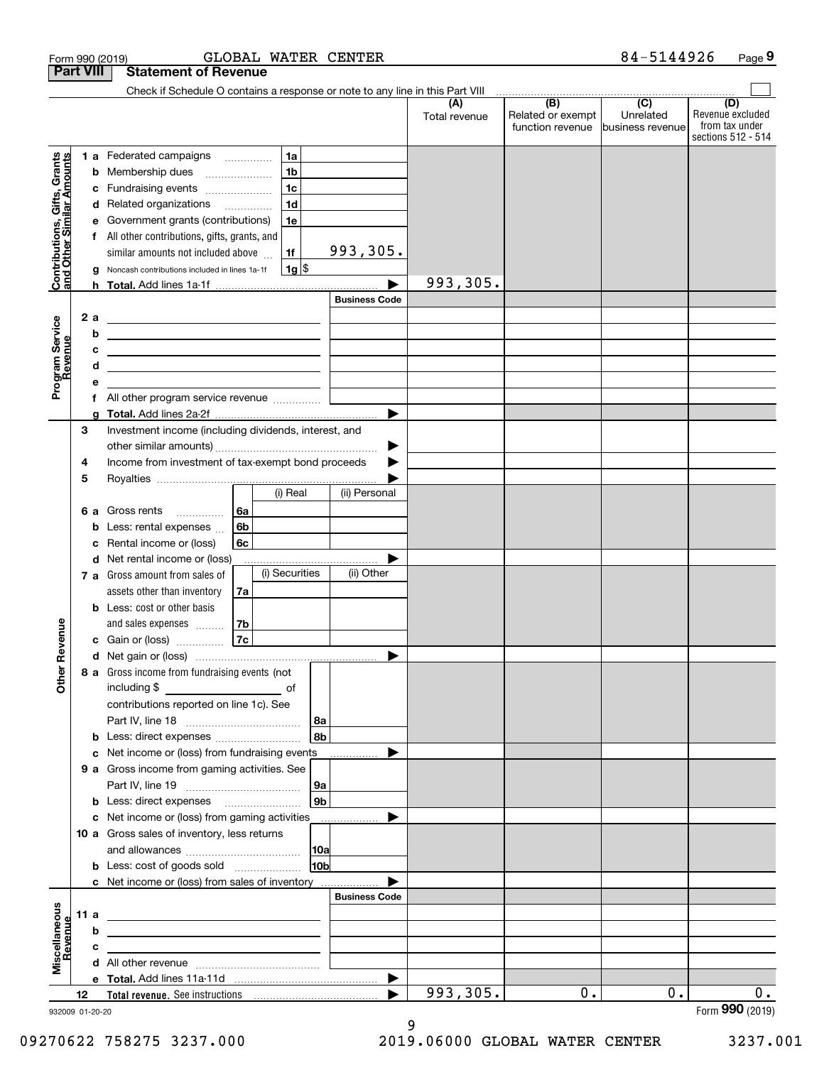|                                                           | <b>Part VIII</b>        | <b>Statement of Revenue</b>                                                                                                                                                                                                                                                                                                                                    |                                  |                      |                                              |                                                   |                                                                 |
|-----------------------------------------------------------|-------------------------|----------------------------------------------------------------------------------------------------------------------------------------------------------------------------------------------------------------------------------------------------------------------------------------------------------------------------------------------------------------|----------------------------------|----------------------|----------------------------------------------|---------------------------------------------------|-----------------------------------------------------------------|
|                                                           |                         | Check if Schedule O contains a response or note to any line in this Part VIII                                                                                                                                                                                                                                                                                  |                                  |                      |                                              |                                                   |                                                                 |
|                                                           |                         |                                                                                                                                                                                                                                                                                                                                                                |                                  | (A)<br>Total revenue | (B)<br>Related or exempt<br>function revenue | $\overline{(C)}$<br>Unrelated<br>business revenue | (D)<br>Revenue excluded<br>from tax under<br>sections 512 - 514 |
| Contributions, Gifts, Grants<br>and Other Similar Amounts | b<br>с<br>d<br>е<br>2 a | <b>1a</b><br>1 a Federated campaigns<br>1 <sub>b</sub><br>Membership dues<br>1 <sub>c</sub><br>Fundraising events<br>1 <sub>d</sub><br>Related organizations<br>1e<br>Government grants (contributions)<br>All other contributions, gifts, grants, and<br>similar amounts not included above<br>1f<br>$1g$ \$<br>Noncash contributions included in lines 1a-1f | 993,305.<br><b>Business Code</b> | 993,305.             |                                              |                                                   |                                                                 |
| Program Service<br>Revenue                                | b<br>c<br>d<br>е        | <u> 1989 - Johann Barbara, martin amerikan basar dan berasal dalam basa dalam basar dalam basar dalam basar dala</u><br><u> 1989 - Johann Barbara, martin amerikan basar dan berasal dalam basa dalam basar dalam basar dalam basar dala</u><br>All other program service revenue                                                                              |                                  |                      |                                              |                                                   |                                                                 |
|                                                           | g<br>3<br>4<br>5        | Investment income (including dividends, interest, and<br>Income from investment of tax-exempt bond proceeds                                                                                                                                                                                                                                                    | ▶                                |                      |                                              |                                                   |                                                                 |
|                                                           | 6а<br>b<br>c            | (i) Real<br>Gross rents<br>6a<br>.<br>6b<br>Less: rental expenses<br>6c<br>Rental income or (loss)                                                                                                                                                                                                                                                             | (ii) Personal                    |                      |                                              |                                                   |                                                                 |
|                                                           | d<br>b                  | Net rental income or (loss)<br>(i) Securities<br>7 a Gross amount from sales of<br>assets other than inventory<br>7a<br>Less: cost or other basis<br>and sales expenses<br>7b                                                                                                                                                                                  | (ii) Other                       |                      |                                              |                                                   |                                                                 |
| Revenue                                                   |                         | 7c<br>c Gain or (loss)                                                                                                                                                                                                                                                                                                                                         |                                  |                      |                                              |                                                   |                                                                 |
| Other                                                     | b                       | 8 a Gross income from fundraising events (not  <br>including $$$<br><u>of</u> of<br>contributions reported on line 1c). See<br>  8a<br>8 <sub>b</sub>                                                                                                                                                                                                          |                                  |                      |                                              |                                                   |                                                                 |
|                                                           | c<br>b                  | Net income or (loss) from fundraising events<br>9 a Gross income from gaming activities. See<br>9a<br>9 <sub>b</sub>                                                                                                                                                                                                                                           | <u>.</u>                         |                      |                                              |                                                   |                                                                 |
|                                                           |                         | c Net income or (loss) from gaming activities<br>10 a Gross sales of inventory, less returns<br> 10a<br>10 <sub>b</sub><br><b>b</b> Less: cost of goods sold                                                                                                                                                                                                   |                                  |                      |                                              |                                                   |                                                                 |
|                                                           |                         | c Net income or (loss) from sales of inventory                                                                                                                                                                                                                                                                                                                 | <b>Business Code</b>             |                      |                                              |                                                   |                                                                 |
| Miscellaneous<br>Revenue                                  | 11 a<br>b<br>с          |                                                                                                                                                                                                                                                                                                                                                                |                                  |                      |                                              |                                                   |                                                                 |
|                                                           |                         |                                                                                                                                                                                                                                                                                                                                                                | ▶                                |                      |                                              |                                                   |                                                                 |
|                                                           | 12<br>932009 01-20-20   | Total revenue. See instructions [100] [100] [100] [100] [100] [100] [100] [100] [100] [100] [100] [100] [100] [100] [100] [100] [100] [100] [100] [100] [100] [100] [100] [100] [100] [100] [100] [100] [100] [100] [100] [100                                                                                                                                 |                                  | 993,305.             | 0.                                           | 0.                                                | 0.<br>Form 990 (2019)                                           |

932009 01-20-20

9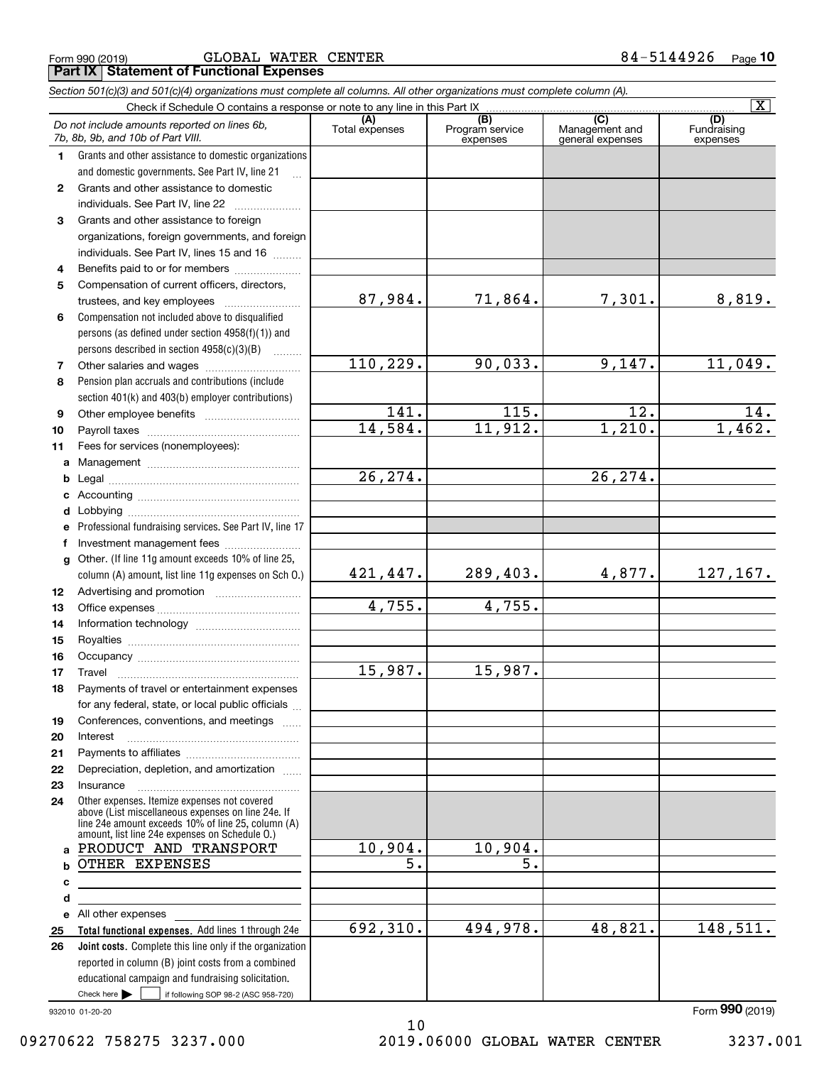|    | Do not include amounts reported on lines 6b,<br>7b, 8b, 9b, and 10b of Part VIII.                        | (A)<br>Total expenses  | (B)<br>Program service<br>expenses | (C)<br>Management and<br>general expenses | (D)<br>Fundraising<br>expenses |
|----|----------------------------------------------------------------------------------------------------------|------------------------|------------------------------------|-------------------------------------------|--------------------------------|
| 1  | Grants and other assistance to domestic organizations                                                    |                        |                                    |                                           |                                |
|    | and domestic governments. See Part IV, line 21                                                           |                        |                                    |                                           |                                |
| 2  | Grants and other assistance to domestic                                                                  |                        |                                    |                                           |                                |
|    | individuals. See Part IV, line 22                                                                        |                        |                                    |                                           |                                |
| 3  | Grants and other assistance to foreign                                                                   |                        |                                    |                                           |                                |
|    | organizations, foreign governments, and foreign                                                          |                        |                                    |                                           |                                |
|    | individuals. See Part IV, lines 15 and 16                                                                |                        |                                    |                                           |                                |
| 4  | Benefits paid to or for members                                                                          |                        |                                    |                                           |                                |
| 5  | Compensation of current officers, directors,                                                             |                        |                                    |                                           |                                |
|    | trustees, and key employees                                                                              | 87,984.                | 71,864.                            | 7,301.                                    | 8,819.                         |
| 6  | Compensation not included above to disqualified                                                          |                        |                                    |                                           |                                |
|    | persons (as defined under section $4958(f)(1)$ ) and                                                     |                        |                                    |                                           |                                |
|    | persons described in section 4958(c)(3)(B)                                                               |                        |                                    |                                           |                                |
| 7  |                                                                                                          | 110, 229.              | 90,033.                            | 9,147.                                    | 11,049.                        |
| 8  | Pension plan accruals and contributions (include                                                         |                        |                                    |                                           |                                |
|    |                                                                                                          |                        |                                    |                                           |                                |
|    | section 401(k) and 403(b) employer contributions)                                                        | 141.                   | $\overline{115}$ .                 | $\overline{12}$ .                         | 14.                            |
| 9  |                                                                                                          | 14,584.                | 11,912.                            | 1,210.                                    | 1,462.                         |
| 10 |                                                                                                          |                        |                                    |                                           |                                |
| 11 | Fees for services (nonemployees):                                                                        |                        |                                    |                                           |                                |
| a  |                                                                                                          |                        |                                    |                                           |                                |
| b  |                                                                                                          | $\overline{26, 274}$ . |                                    | $\overline{26, 274}$ .                    |                                |
| c  |                                                                                                          |                        |                                    |                                           |                                |
| d  |                                                                                                          |                        |                                    |                                           |                                |
| е  | Professional fundraising services. See Part IV, line 17                                                  |                        |                                    |                                           |                                |
| f  | Investment management fees                                                                               |                        |                                    |                                           |                                |
| g  | Other. (If line 11g amount exceeds 10% of line 25,                                                       |                        |                                    |                                           |                                |
|    | column (A) amount, list line 11g expenses on Sch O.)                                                     | 421,447.               | 289,403.                           | 4,877.                                    | 127, 167.                      |
| 12 |                                                                                                          |                        |                                    |                                           |                                |
| 13 |                                                                                                          | 4,755.                 | 4,755.                             |                                           |                                |
| 14 |                                                                                                          |                        |                                    |                                           |                                |
| 15 |                                                                                                          |                        |                                    |                                           |                                |
| 16 |                                                                                                          |                        |                                    |                                           |                                |
| 17 | Travel                                                                                                   | 15,987.                | 15,987.                            |                                           |                                |
| 18 | Payments of travel or entertainment expenses                                                             |                        |                                    |                                           |                                |
|    | for any federal, state, or local public officials                                                        |                        |                                    |                                           |                                |
| 19 | Conferences, conventions, and meetings                                                                   |                        |                                    |                                           |                                |
| 20 | Interest                                                                                                 |                        |                                    |                                           |                                |
| 21 |                                                                                                          |                        |                                    |                                           |                                |
| 22 | Depreciation, depletion, and amortization                                                                |                        |                                    |                                           |                                |
| 23 | Insurance                                                                                                |                        |                                    |                                           |                                |
| 24 | Other expenses. Itemize expenses not covered                                                             |                        |                                    |                                           |                                |
|    | above (List miscellaneous expenses on line 24e. If<br>line 24e amount exceeds 10% of line 25, column (A) |                        |                                    |                                           |                                |
|    | amount, list line 24e expenses on Schedule 0.)<br>PRODUCT AND TRANSPORT                                  | 10,904.                | 10,904.                            |                                           |                                |
| a  |                                                                                                          |                        |                                    |                                           |                                |
|    | <b>b OTHER EXPENSES</b>                                                                                  | 5.                     | $\overline{5}$ .                   |                                           |                                |
| c  |                                                                                                          |                        |                                    |                                           |                                |
| d  |                                                                                                          |                        |                                    |                                           |                                |
|    | e All other expenses                                                                                     |                        |                                    |                                           |                                |
| 25 | Total functional expenses. Add lines 1 through 24e                                                       | 692,310.               | 494,978.                           | 48,821.                                   | 148,511.                       |
| 26 | Joint costs. Complete this line only if the organization                                                 |                        |                                    |                                           |                                |
|    | reported in column (B) joint costs from a combined                                                       |                        |                                    |                                           |                                |
|    | educational campaign and fundraising solicitation.                                                       |                        |                                    |                                           |                                |
|    | Check here $\blacktriangleright$<br>if following SOP 98-2 (ASC 958-720)<br><b>Contract</b>               |                        |                                    |                                           |                                |

Check if Schedule O contains a response or note to any line in this Part IX

932010 01-20-20

09270622 758275 3237.000 2019.06000 GLOBAL WATER CENTER 3237.001

10

**10**

 $\boxed{\text{X}}$ 

#### Form 990 (2019) GLOBAL WATER CENTER 8 4 – 5 $144926$  page **Part IX Statement of Functional Expenses**

*Section 501(c)(3) and 501(c)(4) organizations must complete all columns. All other organizations must complete column (A).*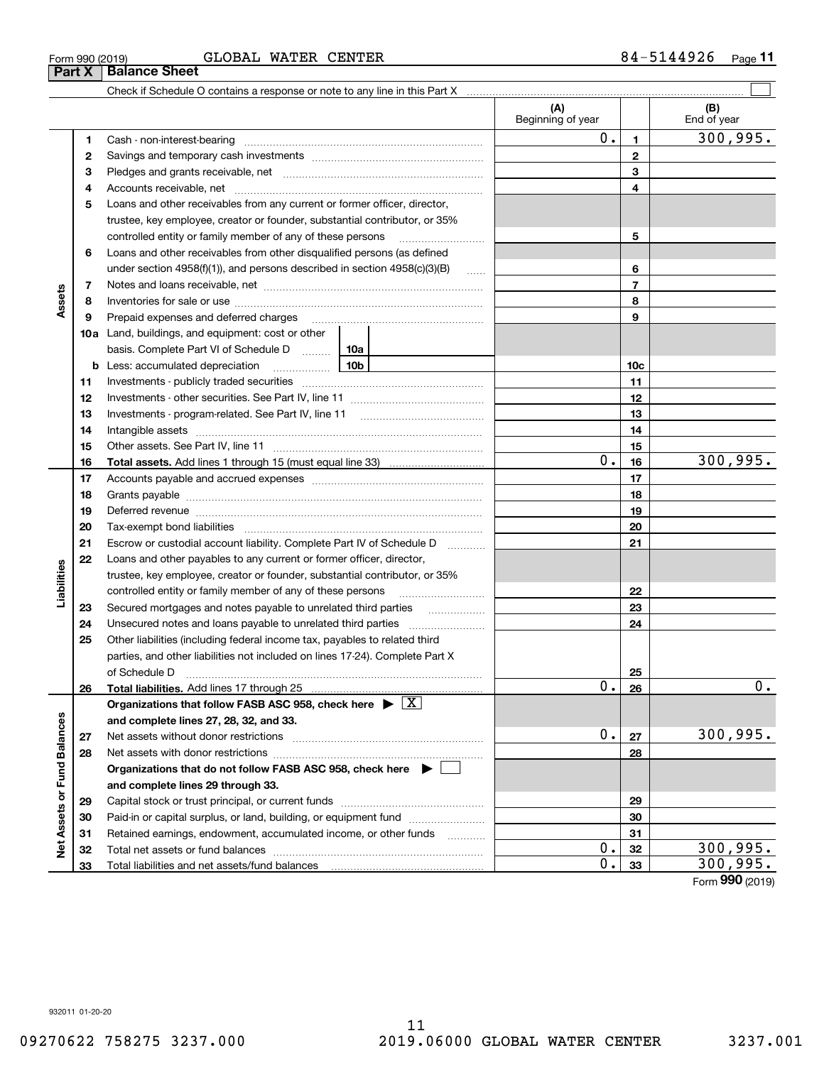## Form 990 (2019) GLOBAL WATER CENTER 8 4 – 5 $144926$  page

|                             |    |                                                                                                                                                                                                                                |          | (A)<br>Beginning of year |                 | (B)<br>End of year |
|-----------------------------|----|--------------------------------------------------------------------------------------------------------------------------------------------------------------------------------------------------------------------------------|----------|--------------------------|-----------------|--------------------|
|                             | 1  |                                                                                                                                                                                                                                |          | 0.                       | $\mathbf{1}$    | 300,995.           |
|                             | 2  |                                                                                                                                                                                                                                |          |                          | $\mathbf{2}$    |                    |
|                             | з  |                                                                                                                                                                                                                                |          |                          | 3               |                    |
|                             | 4  |                                                                                                                                                                                                                                |          |                          | 4               |                    |
|                             | 5  | Loans and other receivables from any current or former officer, director,                                                                                                                                                      |          |                          |                 |                    |
|                             |    | trustee, key employee, creator or founder, substantial contributor, or 35%                                                                                                                                                     |          |                          |                 |                    |
|                             |    | controlled entity or family member of any of these persons                                                                                                                                                                     |          |                          | 5               |                    |
|                             | 6  | Loans and other receivables from other disqualified persons (as defined                                                                                                                                                        |          |                          |                 |                    |
|                             |    | under section 4958(f)(1)), and persons described in section 4958(c)(3)(B)                                                                                                                                                      | $\ldots$ |                          | 6               |                    |
|                             | 7  |                                                                                                                                                                                                                                |          |                          | $\overline{7}$  |                    |
| Assets                      | 8  |                                                                                                                                                                                                                                |          |                          | 8               |                    |
|                             | 9  | Prepaid expenses and deferred charges [11] [11] prepaid expenses and deferred charges [11] [11] minimum materials                                                                                                              |          | 9                        |                 |                    |
|                             |    | <b>10a</b> Land, buildings, and equipment: cost or other                                                                                                                                                                       |          |                          |                 |                    |
|                             |    | basis. Complete Part VI of Schedule D  10a                                                                                                                                                                                     |          |                          |                 |                    |
|                             |    | <u>10b</u><br><b>b</b> Less: accumulated depreciation                                                                                                                                                                          |          |                          | 10 <sub>c</sub> |                    |
|                             | 11 |                                                                                                                                                                                                                                |          |                          | 11              |                    |
|                             | 12 |                                                                                                                                                                                                                                |          |                          | 12              |                    |
|                             | 13 |                                                                                                                                                                                                                                |          |                          | 13              |                    |
|                             | 14 |                                                                                                                                                                                                                                |          |                          | 14              |                    |
|                             | 15 |                                                                                                                                                                                                                                |          |                          | 15              |                    |
|                             | 16 |                                                                                                                                                                                                                                |          | 0.                       | 16              | 300, 995.          |
|                             | 17 |                                                                                                                                                                                                                                |          |                          | 17              |                    |
|                             | 18 |                                                                                                                                                                                                                                |          |                          | 18              |                    |
|                             | 19 | Deferred revenue manual contracts and contracts are all the contracts and contracts are contracted and contracts are contracted and contract are contracted and contract are contracted and contract are contracted and contra |          | 19                       |                 |                    |
|                             | 20 |                                                                                                                                                                                                                                |          |                          | 20              |                    |
|                             | 21 | Escrow or custodial account liability. Complete Part IV of Schedule D                                                                                                                                                          | .        |                          | 21              |                    |
|                             | 22 | Loans and other payables to any current or former officer, director,                                                                                                                                                           |          |                          |                 |                    |
| Liabilities                 |    | trustee, key employee, creator or founder, substantial contributor, or 35%                                                                                                                                                     |          |                          |                 |                    |
|                             |    | controlled entity or family member of any of these persons                                                                                                                                                                     |          |                          | 22              |                    |
|                             | 23 |                                                                                                                                                                                                                                |          |                          | 23              |                    |
|                             | 24 |                                                                                                                                                                                                                                |          |                          | 24              |                    |
|                             | 25 | Other liabilities (including federal income tax, payables to related third                                                                                                                                                     |          |                          |                 |                    |
|                             |    | parties, and other liabilities not included on lines 17-24). Complete Part X                                                                                                                                                   |          |                          |                 |                    |
|                             |    |                                                                                                                                                                                                                                |          |                          | 25              |                    |
|                             | 26 |                                                                                                                                                                                                                                |          | $\overline{0}$ .         | 26              | $\mathbf 0$ .      |
|                             |    | Organizations that follow FASB ASC 958, check here $\blacktriangleright \boxed{X}$                                                                                                                                             |          |                          |                 |                    |
|                             |    | and complete lines 27, 28, 32, and 33.                                                                                                                                                                                         |          |                          |                 |                    |
|                             | 27 |                                                                                                                                                                                                                                |          | 0.                       | 27              | 300,995.           |
|                             | 28 | Net assets with donor restrictions                                                                                                                                                                                             |          |                          | 28              |                    |
|                             |    | Organizations that do not follow FASB ASC 958, check here $\blacktriangleright \lfloor$                                                                                                                                        |          |                          |                 |                    |
| Net Assets or Fund Balances |    | and complete lines 29 through 33.                                                                                                                                                                                              |          |                          |                 |                    |
|                             | 29 |                                                                                                                                                                                                                                |          |                          | 29              |                    |
|                             | 30 | Paid-in or capital surplus, or land, building, or equipment fund                                                                                                                                                               |          |                          | 30              |                    |
|                             | 31 | Retained earnings, endowment, accumulated income, or other funds                                                                                                                                                               |          |                          | 31              |                    |
|                             | 32 | Total net assets or fund balances                                                                                                                                                                                              |          | $\mathbf 0$ .            | 32              | 300,995.           |
|                             | 33 |                                                                                                                                                                                                                                |          | $\overline{0}$ .         | 33              | 300,995.           |

Form (2019) **990**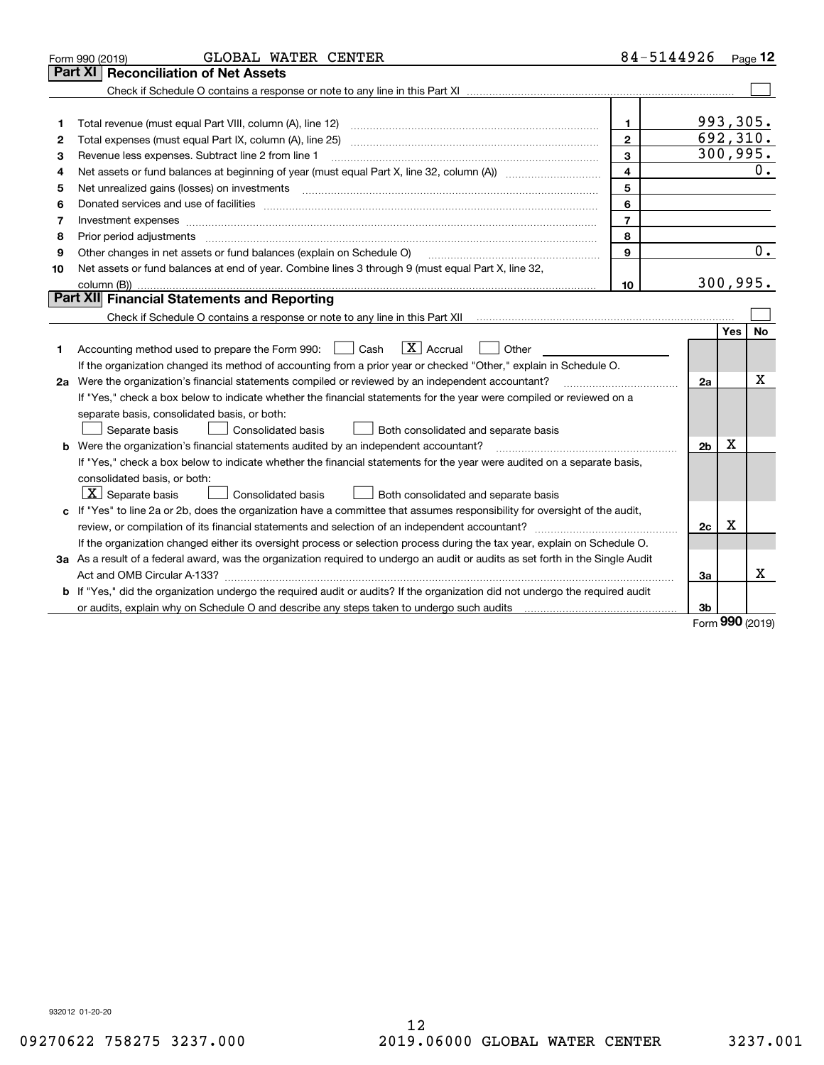|    | GLOBAL WATER CENTER<br>Form 990 (2019)                                                                                               |                | 84-5144926     |            | Page $12$        |  |  |
|----|--------------------------------------------------------------------------------------------------------------------------------------|----------------|----------------|------------|------------------|--|--|
|    | <b>Part XI   Reconciliation of Net Assets</b>                                                                                        |                |                |            |                  |  |  |
|    |                                                                                                                                      |                |                |            |                  |  |  |
|    |                                                                                                                                      |                |                |            |                  |  |  |
| 1  |                                                                                                                                      | $\mathbf{1}$   | 993,305.       |            |                  |  |  |
| 2  |                                                                                                                                      | $\mathbf{2}$   |                |            | 692,310.         |  |  |
| з  | Revenue less expenses. Subtract line 2 from line 1<br>3                                                                              |                |                |            |                  |  |  |
| 4  | Net assets or fund balances at beginning of year (must equal Part X, line 32, column (A)) <i>manageredial</i>                        | 4              |                |            | 0.               |  |  |
| 5  |                                                                                                                                      | 5              |                |            |                  |  |  |
| 6  |                                                                                                                                      | 6              |                |            |                  |  |  |
| 7  | Investment expenses www.communication.com/www.communication.com/www.communication.com/www.com                                        | $\overline{7}$ |                |            |                  |  |  |
| 8  |                                                                                                                                      | 8              |                |            |                  |  |  |
| 9  | Other changes in net assets or fund balances (explain on Schedule O)                                                                 | 9              |                |            | $\overline{0}$ . |  |  |
| 10 | Net assets or fund balances at end of year. Combine lines 3 through 9 (must equal Part X, line 32,                                   |                |                |            |                  |  |  |
|    |                                                                                                                                      | 10             |                |            | 300, 995.        |  |  |
|    | Part XII Financial Statements and Reporting                                                                                          |                |                |            |                  |  |  |
|    |                                                                                                                                      |                |                |            |                  |  |  |
|    |                                                                                                                                      |                |                | <b>Yes</b> | <b>No</b>        |  |  |
| 1  | $\boxed{\mathbf{X}}$ Accrual<br>Accounting method used to prepare the Form 990: <u>[</u> Cash<br>Other                               |                |                |            |                  |  |  |
|    | If the organization changed its method of accounting from a prior year or checked "Other," explain in Schedule O.                    |                |                |            | х                |  |  |
|    | 2a Were the organization's financial statements compiled or reviewed by an independent accountant?                                   |                |                |            |                  |  |  |
|    | If "Yes," check a box below to indicate whether the financial statements for the year were compiled or reviewed on a                 |                |                |            |                  |  |  |
|    | separate basis, consolidated basis, or both:                                                                                         |                |                |            |                  |  |  |
|    | Both consolidated and separate basis<br>Separate basis<br>Consolidated basis                                                         |                |                |            |                  |  |  |
|    | <b>b</b> Were the organization's financial statements audited by an independent accountant?                                          |                | 2 <sub>b</sub> | х          |                  |  |  |
|    | If "Yes," check a box below to indicate whether the financial statements for the year were audited on a separate basis,              |                |                |            |                  |  |  |
|    | consolidated basis, or both:                                                                                                         |                |                |            |                  |  |  |
|    | $\lfloor x \rfloor$ Separate basis<br>Both consolidated and separate basis<br><b>Consolidated basis</b>                              |                |                |            |                  |  |  |
|    | c If "Yes" to line 2a or 2b, does the organization have a committee that assumes responsibility for oversight of the audit,          |                |                |            |                  |  |  |
|    |                                                                                                                                      |                | 2c             | x          |                  |  |  |
|    | If the organization changed either its oversight process or selection process during the tax year, explain on Schedule O.            |                |                |            |                  |  |  |
|    | 3a As a result of a federal award, was the organization required to undergo an audit or audits as set forth in the Single Audit      |                |                |            |                  |  |  |
|    |                                                                                                                                      |                | 3a             |            | x                |  |  |
|    | <b>b</b> If "Yes," did the organization undergo the required audit or audits? If the organization did not undergo the required audit |                |                |            |                  |  |  |
|    |                                                                                                                                      |                | 3b             | nn n       |                  |  |  |

Form (2019) **990**

932012 01-20-20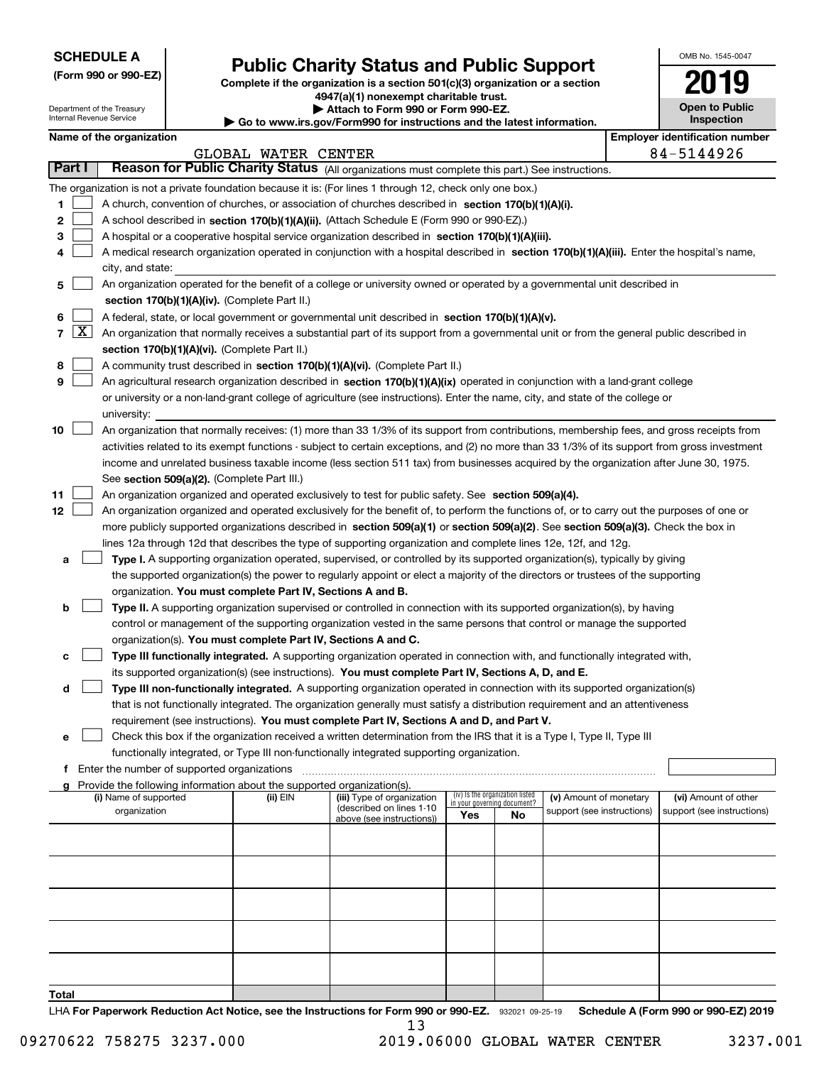| <b>SCHEDULE A</b> |
|-------------------|
|-------------------|

Department of the Treasury Internal Revenue Service

**(Form 990 or 990-EZ)**

# **Public Charity Status and Public Support**

**Complete if the organization is a section 501(c)(3) organization or a section 4947(a)(1) nonexempt charitable trust.**

**| Attach to Form 990 or Form 990-EZ.** 

**| Go to www.irs.gov/Form990 for instructions and the latest information.**

| OMB No 1545-0047 |
|------------------|
| 2011             |
| Open to Public   |

**Inspection**

| Name of the organization |  |
|--------------------------|--|
|--------------------------|--|

|                |                                                                                                                | Name of the organization                                                                                                                      |                     |                                                        |                                                                |    |                            |  | <b>Employer identification number</b> |  |  |  |
|----------------|----------------------------------------------------------------------------------------------------------------|-----------------------------------------------------------------------------------------------------------------------------------------------|---------------------|--------------------------------------------------------|----------------------------------------------------------------|----|----------------------------|--|---------------------------------------|--|--|--|
|                |                                                                                                                |                                                                                                                                               | GLOBAL WATER CENTER |                                                        |                                                                |    |                            |  | 84-5144926                            |  |  |  |
| Part I         |                                                                                                                | Reason for Public Charity Status (All organizations must complete this part.) See instructions.                                               |                     |                                                        |                                                                |    |                            |  |                                       |  |  |  |
|                |                                                                                                                | The organization is not a private foundation because it is: (For lines 1 through 12, check only one box.)                                     |                     |                                                        |                                                                |    |                            |  |                                       |  |  |  |
| 1              |                                                                                                                | A church, convention of churches, or association of churches described in section $170(b)(1)(A)(i)$ .                                         |                     |                                                        |                                                                |    |                            |  |                                       |  |  |  |
| 2              |                                                                                                                | A school described in section 170(b)(1)(A)(ii). (Attach Schedule E (Form 990 or 990-EZ).)                                                     |                     |                                                        |                                                                |    |                            |  |                                       |  |  |  |
| 3              |                                                                                                                | A hospital or a cooperative hospital service organization described in section 170(b)(1)(A)(iii).                                             |                     |                                                        |                                                                |    |                            |  |                                       |  |  |  |
|                |                                                                                                                | A medical research organization operated in conjunction with a hospital described in section 170(b)(1)(A)(iii). Enter the hospital's name,    |                     |                                                        |                                                                |    |                            |  |                                       |  |  |  |
|                |                                                                                                                | city, and state:                                                                                                                              |                     |                                                        |                                                                |    |                            |  |                                       |  |  |  |
| 5              |                                                                                                                | An organization operated for the benefit of a college or university owned or operated by a governmental unit described in                     |                     |                                                        |                                                                |    |                            |  |                                       |  |  |  |
|                |                                                                                                                | section 170(b)(1)(A)(iv). (Complete Part II.)                                                                                                 |                     |                                                        |                                                                |    |                            |  |                                       |  |  |  |
|                |                                                                                                                | A federal, state, or local government or governmental unit described in section 170(b)(1)(A)(v).                                              |                     |                                                        |                                                                |    |                            |  |                                       |  |  |  |
| $\overline{7}$ | $\lfloor x \rfloor$                                                                                            | An organization that normally receives a substantial part of its support from a governmental unit or from the general public described in     |                     |                                                        |                                                                |    |                            |  |                                       |  |  |  |
|                |                                                                                                                | section 170(b)(1)(A)(vi). (Complete Part II.)                                                                                                 |                     |                                                        |                                                                |    |                            |  |                                       |  |  |  |
| 8              |                                                                                                                | A community trust described in section 170(b)(1)(A)(vi). (Complete Part II.)                                                                  |                     |                                                        |                                                                |    |                            |  |                                       |  |  |  |
| 9              |                                                                                                                | An agricultural research organization described in section 170(b)(1)(A)(ix) operated in conjunction with a land-grant college                 |                     |                                                        |                                                                |    |                            |  |                                       |  |  |  |
|                |                                                                                                                | or university or a non-land-grant college of agriculture (see instructions). Enter the name, city, and state of the college or                |                     |                                                        |                                                                |    |                            |  |                                       |  |  |  |
|                |                                                                                                                | university:                                                                                                                                   |                     |                                                        |                                                                |    |                            |  |                                       |  |  |  |
| 10             |                                                                                                                | An organization that normally receives: (1) more than 33 1/3% of its support from contributions, membership fees, and gross receipts from     |                     |                                                        |                                                                |    |                            |  |                                       |  |  |  |
|                |                                                                                                                | activities related to its exempt functions - subject to certain exceptions, and (2) no more than 33 1/3% of its support from gross investment |                     |                                                        |                                                                |    |                            |  |                                       |  |  |  |
|                |                                                                                                                | income and unrelated business taxable income (less section 511 tax) from businesses acquired by the organization after June 30, 1975.         |                     |                                                        |                                                                |    |                            |  |                                       |  |  |  |
|                |                                                                                                                | See section 509(a)(2). (Complete Part III.)                                                                                                   |                     |                                                        |                                                                |    |                            |  |                                       |  |  |  |
| 11             |                                                                                                                | An organization organized and operated exclusively to test for public safety. See section 509(a)(4).                                          |                     |                                                        |                                                                |    |                            |  |                                       |  |  |  |
| 12             |                                                                                                                | An organization organized and operated exclusively for the benefit of, to perform the functions of, or to carry out the purposes of one or    |                     |                                                        |                                                                |    |                            |  |                                       |  |  |  |
|                |                                                                                                                | more publicly supported organizations described in section 509(a)(1) or section 509(a)(2). See section 509(a)(3). Check the box in            |                     |                                                        |                                                                |    |                            |  |                                       |  |  |  |
|                | lines 12a through 12d that describes the type of supporting organization and complete lines 12e, 12f, and 12g. |                                                                                                                                               |                     |                                                        |                                                                |    |                            |  |                                       |  |  |  |
| а              |                                                                                                                | Type I. A supporting organization operated, supervised, or controlled by its supported organization(s), typically by giving                   |                     |                                                        |                                                                |    |                            |  |                                       |  |  |  |
|                |                                                                                                                | the supported organization(s) the power to regularly appoint or elect a majority of the directors or trustees of the supporting               |                     |                                                        |                                                                |    |                            |  |                                       |  |  |  |
|                |                                                                                                                | organization. You must complete Part IV, Sections A and B.                                                                                    |                     |                                                        |                                                                |    |                            |  |                                       |  |  |  |
| b              |                                                                                                                | Type II. A supporting organization supervised or controlled in connection with its supported organization(s), by having                       |                     |                                                        |                                                                |    |                            |  |                                       |  |  |  |
|                |                                                                                                                | control or management of the supporting organization vested in the same persons that control or manage the supported                          |                     |                                                        |                                                                |    |                            |  |                                       |  |  |  |
|                |                                                                                                                | organization(s). You must complete Part IV, Sections A and C.                                                                                 |                     |                                                        |                                                                |    |                            |  |                                       |  |  |  |
| с              |                                                                                                                | Type III functionally integrated. A supporting organization operated in connection with, and functionally integrated with,                    |                     |                                                        |                                                                |    |                            |  |                                       |  |  |  |
|                |                                                                                                                | its supported organization(s) (see instructions). You must complete Part IV, Sections A, D, and E.                                            |                     |                                                        |                                                                |    |                            |  |                                       |  |  |  |
| d              |                                                                                                                | Type III non-functionally integrated. A supporting organization operated in connection with its supported organization(s)                     |                     |                                                        |                                                                |    |                            |  |                                       |  |  |  |
|                |                                                                                                                | that is not functionally integrated. The organization generally must satisfy a distribution requirement and an attentiveness                  |                     |                                                        |                                                                |    |                            |  |                                       |  |  |  |
|                |                                                                                                                | requirement (see instructions). You must complete Part IV, Sections A and D, and Part V.                                                      |                     |                                                        |                                                                |    |                            |  |                                       |  |  |  |
| е              |                                                                                                                | Check this box if the organization received a written determination from the IRS that it is a Type I, Type II, Type III                       |                     |                                                        |                                                                |    |                            |  |                                       |  |  |  |
|                |                                                                                                                | functionally integrated, or Type III non-functionally integrated supporting organization.                                                     |                     |                                                        |                                                                |    |                            |  |                                       |  |  |  |
|                |                                                                                                                | Enter the number of supported organizations                                                                                                   |                     |                                                        |                                                                |    |                            |  |                                       |  |  |  |
|                |                                                                                                                | g Provide the following information about the supported organization(s).                                                                      |                     |                                                        |                                                                |    |                            |  |                                       |  |  |  |
|                |                                                                                                                | (i) Name of supported                                                                                                                         | (ii) EIN            | (iii) Type of organization<br>(described on lines 1-10 | (iv) Is the organization listed<br>in your governing document? |    | (v) Amount of monetary     |  | (vi) Amount of other                  |  |  |  |
|                |                                                                                                                | organization                                                                                                                                  |                     | above (see instructions))                              | Yes                                                            | No | support (see instructions) |  | support (see instructions)            |  |  |  |
|                |                                                                                                                |                                                                                                                                               |                     |                                                        |                                                                |    |                            |  |                                       |  |  |  |
|                |                                                                                                                |                                                                                                                                               |                     |                                                        |                                                                |    |                            |  |                                       |  |  |  |
|                |                                                                                                                |                                                                                                                                               |                     |                                                        |                                                                |    |                            |  |                                       |  |  |  |
|                |                                                                                                                |                                                                                                                                               |                     |                                                        |                                                                |    |                            |  |                                       |  |  |  |
|                |                                                                                                                |                                                                                                                                               |                     |                                                        |                                                                |    |                            |  |                                       |  |  |  |
|                |                                                                                                                |                                                                                                                                               |                     |                                                        |                                                                |    |                            |  |                                       |  |  |  |
|                |                                                                                                                |                                                                                                                                               |                     |                                                        |                                                                |    |                            |  |                                       |  |  |  |
|                |                                                                                                                |                                                                                                                                               |                     |                                                        |                                                                |    |                            |  |                                       |  |  |  |
|                |                                                                                                                |                                                                                                                                               |                     |                                                        |                                                                |    |                            |  |                                       |  |  |  |
| Total          |                                                                                                                |                                                                                                                                               |                     |                                                        |                                                                |    |                            |  |                                       |  |  |  |

LHA For Paperwork Reduction Act Notice, see the Instructions for Form 990 or 990-EZ. 932021 09-25-19 Schedule A (Form 990 or 990-EZ) 2019 13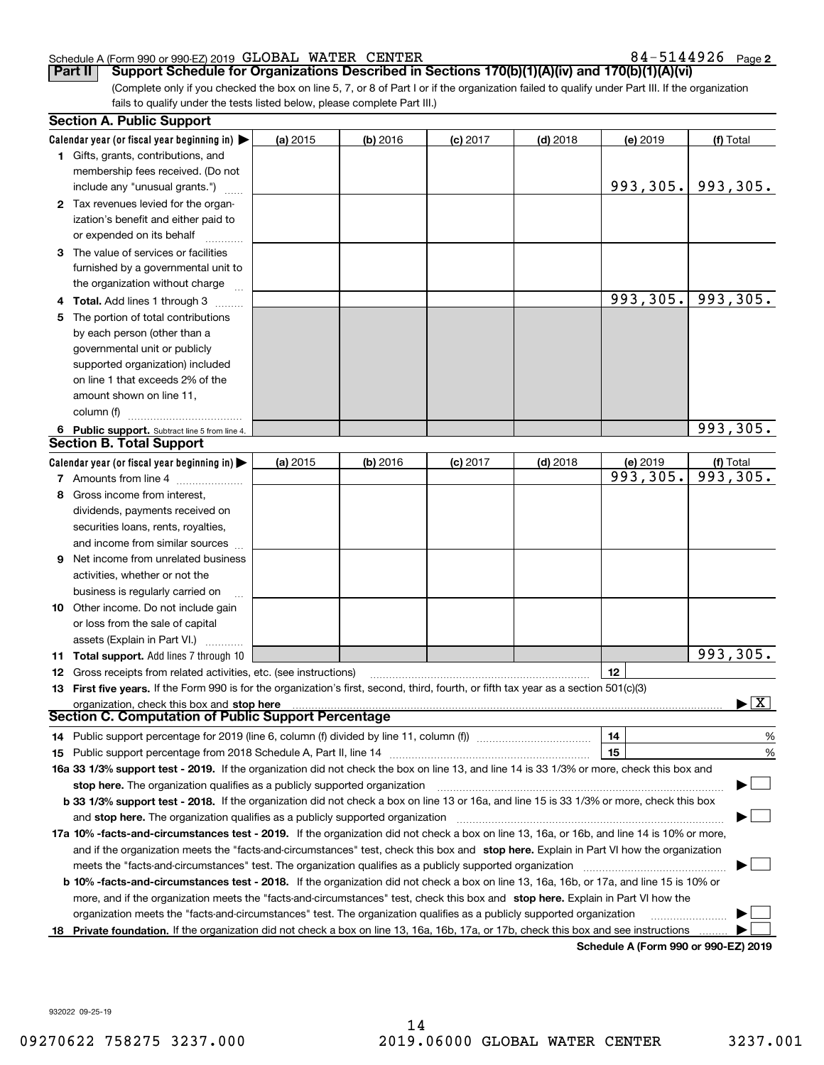#### Schedule A (Form 990 or 990-EZ) 2019 Page GLOBAL WATER CENTER 84-5144926

**2**

(Complete only if you checked the box on line 5, 7, or 8 of Part I or if the organization failed to qualify under Part III. If the organization fails to qualify under the tests listed below, please complete Part III.) **Part II Support Schedule for Organizations Described in Sections 170(b)(1)(A)(iv) and 170(b)(1)(A)(vi)**

|    | <b>Section A. Public Support</b>                                                                                                               |          |          |            |            |                                      |                         |
|----|------------------------------------------------------------------------------------------------------------------------------------------------|----------|----------|------------|------------|--------------------------------------|-------------------------|
|    | Calendar year (or fiscal year beginning in) $\blacktriangleright$                                                                              | (a) 2015 | (b) 2016 | $(c)$ 2017 | $(d)$ 2018 | (e) 2019                             | (f) Total               |
|    | <b>1</b> Gifts, grants, contributions, and                                                                                                     |          |          |            |            |                                      |                         |
|    | membership fees received. (Do not                                                                                                              |          |          |            |            |                                      |                         |
|    | include any "unusual grants.")                                                                                                                 |          |          |            |            | 993,305.                             | 993,305.                |
|    | 2 Tax revenues levied for the organ-                                                                                                           |          |          |            |            |                                      |                         |
|    | ization's benefit and either paid to                                                                                                           |          |          |            |            |                                      |                         |
|    | or expended on its behalf                                                                                                                      |          |          |            |            |                                      |                         |
|    | 3 The value of services or facilities                                                                                                          |          |          |            |            |                                      |                         |
|    | furnished by a governmental unit to                                                                                                            |          |          |            |            |                                      |                         |
|    | the organization without charge                                                                                                                |          |          |            |            |                                      |                         |
|    | 4 Total. Add lines 1 through 3                                                                                                                 |          |          |            |            | 993,305.                             | 993,305.                |
| 5  | The portion of total contributions                                                                                                             |          |          |            |            |                                      |                         |
|    | by each person (other than a                                                                                                                   |          |          |            |            |                                      |                         |
|    | governmental unit or publicly                                                                                                                  |          |          |            |            |                                      |                         |
|    | supported organization) included                                                                                                               |          |          |            |            |                                      |                         |
|    | on line 1 that exceeds 2% of the                                                                                                               |          |          |            |            |                                      |                         |
|    | amount shown on line 11,                                                                                                                       |          |          |            |            |                                      |                         |
|    | column (f)                                                                                                                                     |          |          |            |            |                                      |                         |
|    | 6 Public support. Subtract line 5 from line 4.                                                                                                 |          |          |            |            |                                      | 993,305.                |
|    | <b>Section B. Total Support</b>                                                                                                                |          |          |            |            |                                      |                         |
|    | Calendar year (or fiscal year beginning in)                                                                                                    | (a) 2015 | (b) 2016 | $(c)$ 2017 | $(d)$ 2018 | (e) 2019                             | (f) Total               |
|    | 7 Amounts from line 4                                                                                                                          |          |          |            |            | 993,305.                             | 993,305.                |
| 8  | Gross income from interest,                                                                                                                    |          |          |            |            |                                      |                         |
|    | dividends, payments received on                                                                                                                |          |          |            |            |                                      |                         |
|    | securities loans, rents, royalties,                                                                                                            |          |          |            |            |                                      |                         |
|    | and income from similar sources                                                                                                                |          |          |            |            |                                      |                         |
| 9  | Net income from unrelated business                                                                                                             |          |          |            |            |                                      |                         |
|    | activities, whether or not the                                                                                                                 |          |          |            |            |                                      |                         |
|    | business is regularly carried on                                                                                                               |          |          |            |            |                                      |                         |
|    | <b>10</b> Other income. Do not include gain                                                                                                    |          |          |            |            |                                      |                         |
|    | or loss from the sale of capital                                                                                                               |          |          |            |            |                                      |                         |
|    | assets (Explain in Part VI.)                                                                                                                   |          |          |            |            |                                      |                         |
|    | 11 Total support. Add lines 7 through 10                                                                                                       |          |          |            |            |                                      | 993,305.                |
|    | 12 Gross receipts from related activities, etc. (see instructions)                                                                             |          |          |            |            | 12                                   |                         |
|    | 13 First five years. If the Form 990 is for the organization's first, second, third, fourth, or fifth tax year as a section 501(c)(3)          |          |          |            |            |                                      |                         |
|    | organization, check this box and stop here                                                                                                     |          |          |            |            |                                      | $\overline{\mathbf{X}}$ |
|    | Section C. Computation of Public Support Percentage                                                                                            |          |          |            |            |                                      |                         |
|    |                                                                                                                                                |          |          |            |            | 14                                   | %                       |
|    |                                                                                                                                                |          |          |            |            | 15                                   | %                       |
|    | 16a 33 1/3% support test - 2019. If the organization did not check the box on line 13, and line 14 is 33 1/3% or more, check this box and      |          |          |            |            |                                      |                         |
|    | stop here. The organization qualifies as a publicly supported organization                                                                     |          |          |            |            |                                      |                         |
|    | b 33 1/3% support test - 2018. If the organization did not check a box on line 13 or 16a, and line 15 is 33 1/3% or more, check this box       |          |          |            |            |                                      |                         |
|    | and stop here. The organization qualifies as a publicly supported organization                                                                 |          |          |            |            |                                      |                         |
|    | 17a 10% -facts-and-circumstances test - 2019. If the organization did not check a box on line 13, 16a, or 16b, and line 14 is 10% or more,     |          |          |            |            |                                      |                         |
|    | and if the organization meets the "facts-and-circumstances" test, check this box and stop here. Explain in Part VI how the organization        |          |          |            |            |                                      |                         |
|    | meets the "facts-and-circumstances" test. The organization qualifies as a publicly supported organization                                      |          |          |            |            |                                      |                         |
|    | <b>b 10% -facts-and-circumstances test - 2018.</b> If the organization did not check a box on line 13, 16a, 16b, or 17a, and line 15 is 10% or |          |          |            |            |                                      |                         |
|    | more, and if the organization meets the "facts-and-circumstances" test, check this box and stop here. Explain in Part VI how the               |          |          |            |            |                                      |                         |
|    | organization meets the "facts-and-circumstances" test. The organization qualifies as a publicly supported organization                         |          |          |            |            |                                      |                         |
| 18 | Private foundation. If the organization did not check a box on line 13, 16a, 16b, 17a, or 17b, check this box and see instructions             |          |          |            |            |                                      |                         |
|    |                                                                                                                                                |          |          |            |            | Schodule A (Form 000 or 000 F7) 2010 |                         |

**Schedule A (Form 990 or 990-EZ) 2019**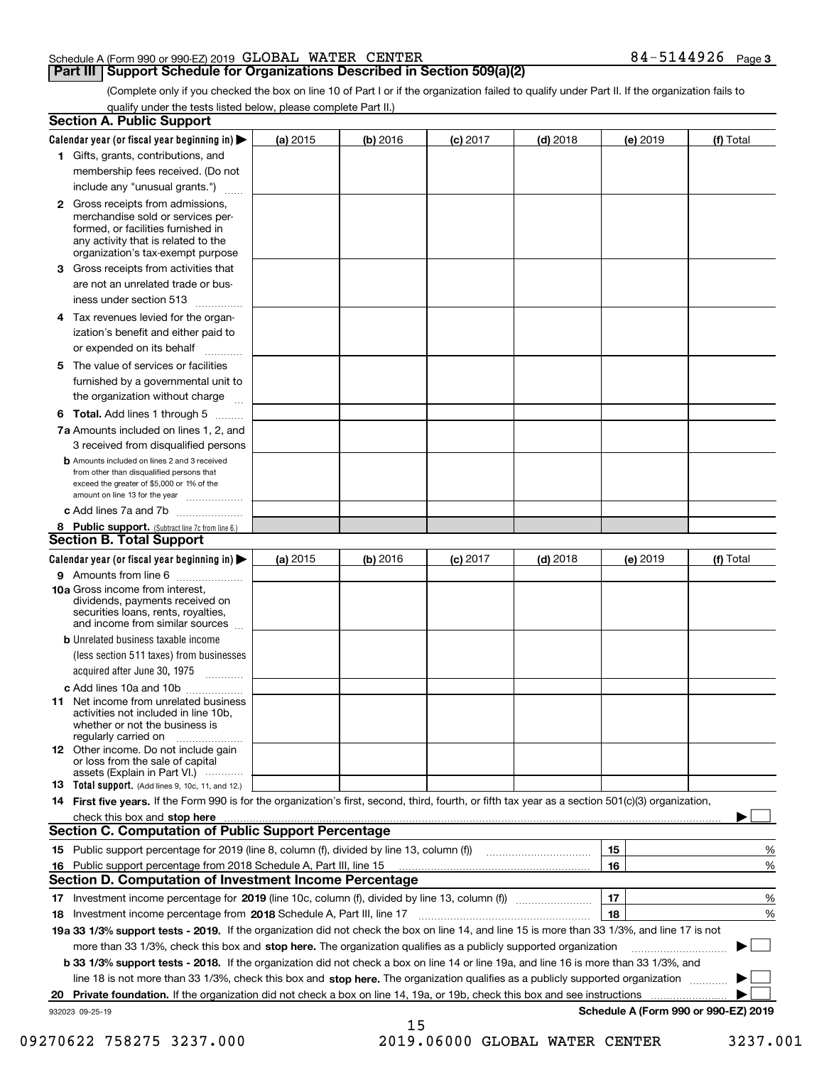### Schedule A (Form 990 or 990-EZ) 2019 Page GLOBAL WATER CENTER 84-5144926

## **Part III Support Schedule for Organizations Described in Section 509(a)(2)**

**3**

(Complete only if you checked the box on line 10 of Part I or if the organization failed to qualify under Part II. If the organization fails to qualify under the tests listed below, please complete Part II.)

| <b>Section A. Public Support</b>                                                                                                                                                                                                                                                             |            |          |            |            |          |                                      |
|----------------------------------------------------------------------------------------------------------------------------------------------------------------------------------------------------------------------------------------------------------------------------------------------|------------|----------|------------|------------|----------|--------------------------------------|
| Calendar year (or fiscal year beginning in) $\blacktriangleright$                                                                                                                                                                                                                            | (a) 2015   | (b) 2016 | $(c)$ 2017 | $(d)$ 2018 | (e) 2019 | (f) Total                            |
| 1 Gifts, grants, contributions, and                                                                                                                                                                                                                                                          |            |          |            |            |          |                                      |
| membership fees received. (Do not                                                                                                                                                                                                                                                            |            |          |            |            |          |                                      |
| include any "unusual grants.")                                                                                                                                                                                                                                                               |            |          |            |            |          |                                      |
| 2 Gross receipts from admissions,<br>merchandise sold or services per-<br>formed, or facilities furnished in<br>any activity that is related to the<br>organization's tax-exempt purpose                                                                                                     |            |          |            |            |          |                                      |
| 3 Gross receipts from activities that                                                                                                                                                                                                                                                        |            |          |            |            |          |                                      |
| are not an unrelated trade or bus-                                                                                                                                                                                                                                                           |            |          |            |            |          |                                      |
| iness under section 513                                                                                                                                                                                                                                                                      |            |          |            |            |          |                                      |
| 4 Tax revenues levied for the organ-<br>ization's benefit and either paid to                                                                                                                                                                                                                 |            |          |            |            |          |                                      |
| or expended on its behalf<br>.                                                                                                                                                                                                                                                               |            |          |            |            |          |                                      |
| 5 The value of services or facilities<br>furnished by a governmental unit to                                                                                                                                                                                                                 |            |          |            |            |          |                                      |
| the organization without charge                                                                                                                                                                                                                                                              |            |          |            |            |          |                                      |
| <b>6 Total.</b> Add lines 1 through 5                                                                                                                                                                                                                                                        |            |          |            |            |          |                                      |
| 7a Amounts included on lines 1, 2, and<br>3 received from disqualified persons                                                                                                                                                                                                               |            |          |            |            |          |                                      |
| <b>b</b> Amounts included on lines 2 and 3 received<br>from other than disqualified persons that<br>exceed the greater of \$5,000 or 1% of the<br>amount on line 13 for the year                                                                                                             |            |          |            |            |          |                                      |
| c Add lines 7a and 7b                                                                                                                                                                                                                                                                        |            |          |            |            |          |                                      |
| 8 Public support. (Subtract line 7c from line 6.)<br><b>Section B. Total Support</b>                                                                                                                                                                                                         |            |          |            |            |          |                                      |
| Calendar year (or fiscal year beginning in) $\blacktriangleright$                                                                                                                                                                                                                            | (a) $2015$ | (b) 2016 | $(c)$ 2017 | $(d)$ 2018 | (e) 2019 | (f) Total                            |
| 9 Amounts from line 6                                                                                                                                                                                                                                                                        |            |          |            |            |          |                                      |
| 10a Gross income from interest,<br>dividends, payments received on<br>securities loans, rents, royalties,<br>and income from similar sources                                                                                                                                                 |            |          |            |            |          |                                      |
| <b>b</b> Unrelated business taxable income                                                                                                                                                                                                                                                   |            |          |            |            |          |                                      |
| (less section 511 taxes) from businesses                                                                                                                                                                                                                                                     |            |          |            |            |          |                                      |
| acquired after June 30, 1975<br>1.1.1.1.1.1.1.1.1.1                                                                                                                                                                                                                                          |            |          |            |            |          |                                      |
| c Add lines 10a and 10b                                                                                                                                                                                                                                                                      |            |          |            |            |          |                                      |
| <b>11</b> Net income from unrelated business<br>activities not included in line 10b,<br>whether or not the business is<br>regularly carried on                                                                                                                                               |            |          |            |            |          |                                      |
| <b>12</b> Other income. Do not include gain<br>or loss from the sale of capital<br>assets (Explain in Part VI.)                                                                                                                                                                              |            |          |            |            |          |                                      |
| <b>13</b> Total support. (Add lines 9, 10c, 11, and 12.)                                                                                                                                                                                                                                     |            |          |            |            |          |                                      |
| 14 First five years. If the Form 990 is for the organization's first, second, third, fourth, or fifth tax year as a section 501(c)(3) organization,                                                                                                                                          |            |          |            |            |          |                                      |
| check this box and stop here measurements are all the state of the state of the state of the state of the state of the state of the state of the state of the state of the state of the state of the state of the state of the<br><b>Section C. Computation of Public Support Percentage</b> |            |          |            |            |          |                                      |
| 15 Public support percentage for 2019 (line 8, column (f), divided by line 13, column (f))                                                                                                                                                                                                   |            |          |            |            | 15       | %                                    |
| 16 Public support percentage from 2018 Schedule A, Part III, line 15<br><b>Section D. Computation of Investment Income Percentage</b>                                                                                                                                                        |            |          |            |            | 16       | %                                    |
| 17 Investment income percentage for 2019 (line 10c, column (f), divided by line 13, column (f))                                                                                                                                                                                              |            |          |            |            | 17       | %                                    |
| 18 Investment income percentage from 2018 Schedule A, Part III, line 17                                                                                                                                                                                                                      |            |          |            |            | 18       | %                                    |
| 19a 33 1/3% support tests - 2019. If the organization did not check the box on line 14, and line 15 is more than 33 1/3%, and line 17 is not                                                                                                                                                 |            |          |            |            |          |                                      |
| more than 33 1/3%, check this box and stop here. The organization qualifies as a publicly supported organization                                                                                                                                                                             |            |          |            |            |          |                                      |
| b 33 1/3% support tests - 2018. If the organization did not check a box on line 14 or line 19a, and line 16 is more than 33 1/3%, and                                                                                                                                                        |            |          |            |            |          |                                      |
| line 18 is not more than 33 1/3%, check this box and stop here. The organization qualifies as a publicly supported organization                                                                                                                                                              |            |          |            |            |          |                                      |
| 20 Private foundation. If the organization did not check a box on line 14, 19a, or 19b, check this box and see instructions                                                                                                                                                                  |            |          |            |            |          |                                      |
| 932023 09-25-19                                                                                                                                                                                                                                                                              |            |          |            |            |          | Schedule A (Form 990 or 990-EZ) 2019 |
|                                                                                                                                                                                                                                                                                              |            | 15       |            |            |          |                                      |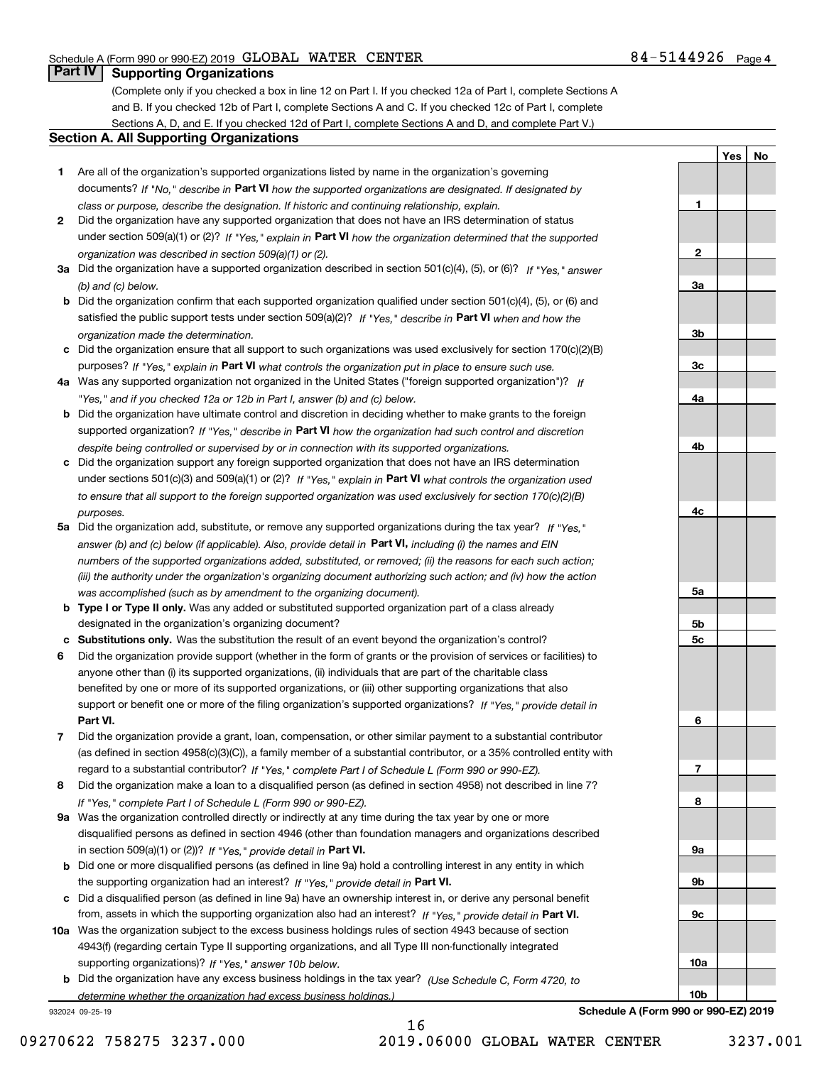**1**

**2**

**3a**

**3b**

**3c**

**4a**

**4b**

**4c**

**5a**

**5b5c**

**6**

**7**

**8**

**YesNo**

## **Part IV Supporting Organizations**

(Complete only if you checked a box in line 12 on Part I. If you checked 12a of Part I, complete Sections A and B. If you checked 12b of Part I, complete Sections A and C. If you checked 12c of Part I, complete Sections A, D, and E. If you checked 12d of Part I, complete Sections A and D, and complete Part V.)

### **Section A. All Supporting Organizations**

- **1** Are all of the organization's supported organizations listed by name in the organization's governing documents? If "No," describe in **Part VI** how the supported organizations are designated. If designated by *class or purpose, describe the designation. If historic and continuing relationship, explain.*
- **2** Did the organization have any supported organization that does not have an IRS determination of status under section 509(a)(1) or (2)? If "Yes," explain in Part VI how the organization determined that the supported *organization was described in section 509(a)(1) or (2).*
- **3a** Did the organization have a supported organization described in section 501(c)(4), (5), or (6)? If "Yes," answer *(b) and (c) below.*
- **b** Did the organization confirm that each supported organization qualified under section 501(c)(4), (5), or (6) and satisfied the public support tests under section 509(a)(2)? If "Yes," describe in **Part VI** when and how the *organization made the determination.*
- **c**Did the organization ensure that all support to such organizations was used exclusively for section 170(c)(2)(B) purposes? If "Yes," explain in **Part VI** what controls the organization put in place to ensure such use.
- **4a***If* Was any supported organization not organized in the United States ("foreign supported organization")? *"Yes," and if you checked 12a or 12b in Part I, answer (b) and (c) below.*
- **b** Did the organization have ultimate control and discretion in deciding whether to make grants to the foreign supported organization? If "Yes," describe in **Part VI** how the organization had such control and discretion *despite being controlled or supervised by or in connection with its supported organizations.*
- **c** Did the organization support any foreign supported organization that does not have an IRS determination under sections 501(c)(3) and 509(a)(1) or (2)? If "Yes," explain in **Part VI** what controls the organization used *to ensure that all support to the foreign supported organization was used exclusively for section 170(c)(2)(B) purposes.*
- **5a** Did the organization add, substitute, or remove any supported organizations during the tax year? If "Yes," answer (b) and (c) below (if applicable). Also, provide detail in **Part VI,** including (i) the names and EIN *numbers of the supported organizations added, substituted, or removed; (ii) the reasons for each such action; (iii) the authority under the organization's organizing document authorizing such action; and (iv) how the action was accomplished (such as by amendment to the organizing document).*
- **b** Type I or Type II only. Was any added or substituted supported organization part of a class already designated in the organization's organizing document?
- **cSubstitutions only.**  Was the substitution the result of an event beyond the organization's control?
- **6** Did the organization provide support (whether in the form of grants or the provision of services or facilities) to **Part VI.** *If "Yes," provide detail in* support or benefit one or more of the filing organization's supported organizations? anyone other than (i) its supported organizations, (ii) individuals that are part of the charitable class benefited by one or more of its supported organizations, or (iii) other supporting organizations that also
- **7**Did the organization provide a grant, loan, compensation, or other similar payment to a substantial contributor *If "Yes," complete Part I of Schedule L (Form 990 or 990-EZ).* regard to a substantial contributor? (as defined in section 4958(c)(3)(C)), a family member of a substantial contributor, or a 35% controlled entity with
- **8** Did the organization make a loan to a disqualified person (as defined in section 4958) not described in line 7? *If "Yes," complete Part I of Schedule L (Form 990 or 990-EZ).*
- **9a** Was the organization controlled directly or indirectly at any time during the tax year by one or more in section 509(a)(1) or (2))? If "Yes," *provide detail in* <code>Part VI.</code> disqualified persons as defined in section 4946 (other than foundation managers and organizations described
- **b** Did one or more disqualified persons (as defined in line 9a) hold a controlling interest in any entity in which the supporting organization had an interest? If "Yes," provide detail in P**art VI**.
- **c**Did a disqualified person (as defined in line 9a) have an ownership interest in, or derive any personal benefit from, assets in which the supporting organization also had an interest? If "Yes," provide detail in P**art VI.**
- **10a** Was the organization subject to the excess business holdings rules of section 4943 because of section supporting organizations)? If "Yes," answer 10b below. 4943(f) (regarding certain Type II supporting organizations, and all Type III non-functionally integrated
- **b** Did the organization have any excess business holdings in the tax year? (Use Schedule C, Form 4720, to *determine whether the organization had excess business holdings.)*

932024 09-25-19

**9a 9b9c10a10bSchedule A (Form 990 or 990-EZ) 2019**

16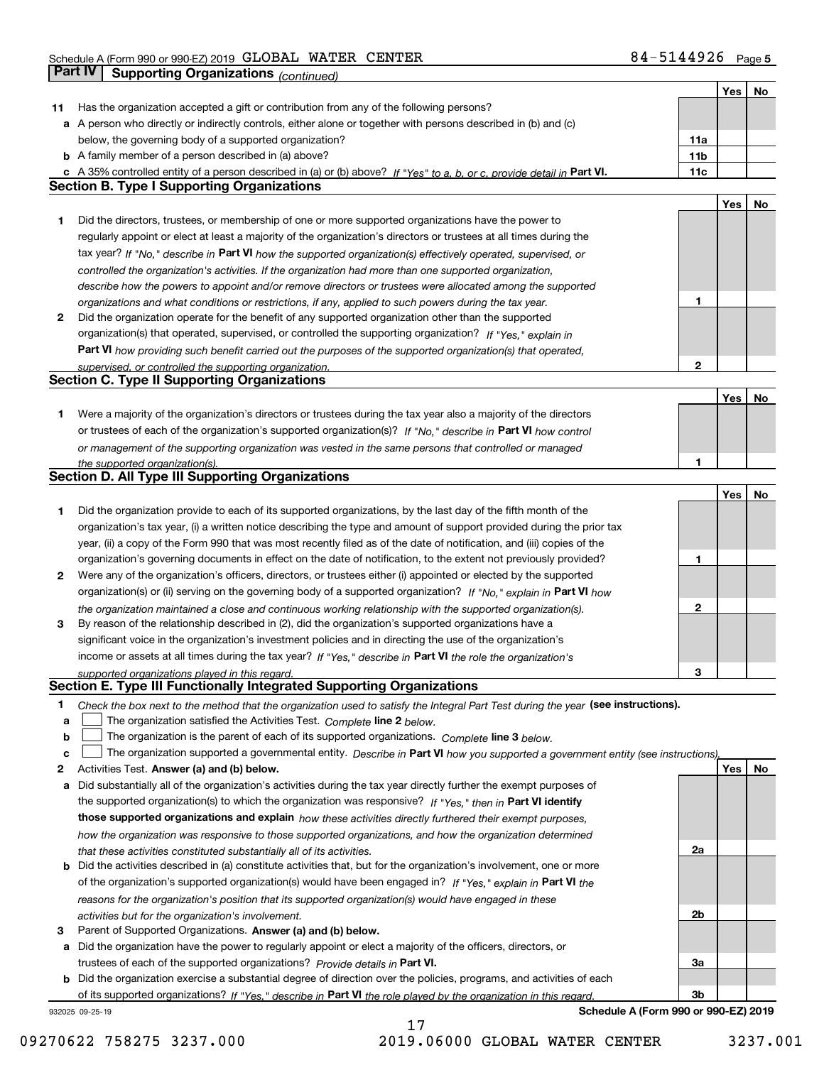|    |                                                                                                                                   |                 | <b>Yes</b> | No |
|----|-----------------------------------------------------------------------------------------------------------------------------------|-----------------|------------|----|
| 11 | Has the organization accepted a gift or contribution from any of the following persons?                                           |                 |            |    |
|    | a A person who directly or indirectly controls, either alone or together with persons described in (b) and (c)                    |                 |            |    |
|    | below, the governing body of a supported organization?                                                                            | 11a             |            |    |
|    | <b>b</b> A family member of a person described in (a) above?                                                                      | 11 <sub>b</sub> |            |    |
|    | c A 35% controlled entity of a person described in (a) or (b) above? If "Yes" to a, b, or c, provide detail in Part VI.           | 11c             |            |    |
|    | <b>Section B. Type I Supporting Organizations</b>                                                                                 |                 |            |    |
|    |                                                                                                                                   |                 | Yes        | No |
| 1  | Did the directors, trustees, or membership of one or more supported organizations have the power to                               |                 |            |    |
|    |                                                                                                                                   |                 |            |    |
|    | regularly appoint or elect at least a majority of the organization's directors or trustees at all times during the                |                 |            |    |
|    | tax year? If "No," describe in Part VI how the supported organization(s) effectively operated, supervised, or                     |                 |            |    |
|    | controlled the organization's activities. If the organization had more than one supported organization,                           |                 |            |    |
|    | describe how the powers to appoint and/or remove directors or trustees were allocated among the supported                         |                 |            |    |
|    | organizations and what conditions or restrictions, if any, applied to such powers during the tax year.                            | 1               |            |    |
| 2  | Did the organization operate for the benefit of any supported organization other than the supported                               |                 |            |    |
|    | organization(s) that operated, supervised, or controlled the supporting organization? If "Yes," explain in                        |                 |            |    |
|    | Part VI how providing such benefit carried out the purposes of the supported organization(s) that operated,                       |                 |            |    |
|    | supervised, or controlled the supporting organization.                                                                            | 2               |            |    |
|    | <b>Section C. Type II Supporting Organizations</b>                                                                                |                 |            |    |
|    |                                                                                                                                   |                 | Yes        | No |
| 1. | Were a majority of the organization's directors or trustees during the tax year also a majority of the directors                  |                 |            |    |
|    | or trustees of each of the organization's supported organization(s)? If "No," describe in Part VI how control                     |                 |            |    |
|    | or management of the supporting organization was vested in the same persons that controlled or managed                            |                 |            |    |
|    | the supported organization(s).                                                                                                    | 1               |            |    |
|    | <b>Section D. All Type III Supporting Organizations</b>                                                                           |                 |            |    |
|    |                                                                                                                                   |                 | Yes        | No |
| 1  | Did the organization provide to each of its supported organizations, by the last day of the fifth month of the                    |                 |            |    |
|    | organization's tax year, (i) a written notice describing the type and amount of support provided during the prior tax             |                 |            |    |
|    | year, (ii) a copy of the Form 990 that was most recently filed as of the date of notification, and (iii) copies of the            |                 |            |    |
|    | organization's governing documents in effect on the date of notification, to the extent not previously provided?                  | 1               |            |    |
| 2  | Were any of the organization's officers, directors, or trustees either (i) appointed or elected by the supported                  |                 |            |    |
|    |                                                                                                                                   |                 |            |    |
|    | organization(s) or (ii) serving on the governing body of a supported organization? If "No," explain in Part VI how                |                 |            |    |
|    | the organization maintained a close and continuous working relationship with the supported organization(s).                       | 2               |            |    |
| 3  | By reason of the relationship described in (2), did the organization's supported organizations have a                             |                 |            |    |
|    | significant voice in the organization's investment policies and in directing the use of the organization's                        |                 |            |    |
|    | income or assets at all times during the tax year? If "Yes," describe in Part VI the role the organization's                      |                 |            |    |
|    | supported organizations played in this regard.<br>Section E. Type III Functionally Integrated Supporting Organizations            | 3               |            |    |
|    |                                                                                                                                   |                 |            |    |
| 1  | Check the box next to the method that the organization used to satisfy the Integral Part Test during the year (see instructions). |                 |            |    |
| а  | The organization satisfied the Activities Test. Complete line 2 below.                                                            |                 |            |    |
| b  | The organization is the parent of each of its supported organizations. Complete line 3 below.                                     |                 |            |    |
| c  | The organization supported a governmental entity. Describe in Part VI how you supported a government entity (see instructions),   |                 |            |    |
| 2  | Activities Test. Answer (a) and (b) below.                                                                                        |                 | Yes        | No |
| а  | Did substantially all of the organization's activities during the tax year directly further the exempt purposes of                |                 |            |    |
|    | the supported organization(s) to which the organization was responsive? If "Yes," then in Part VI identify                        |                 |            |    |
|    | those supported organizations and explain how these activities directly furthered their exempt purposes,                          |                 |            |    |
|    | how the organization was responsive to those supported organizations, and how the organization determined                         |                 |            |    |
|    | that these activities constituted substantially all of its activities.                                                            | 2a              |            |    |
| b  | Did the activities described in (a) constitute activities that, but for the organization's involvement, one or more               |                 |            |    |
|    | of the organization's supported organization(s) would have been engaged in? If "Yes," explain in Part VI the                      |                 |            |    |
|    | reasons for the organization's position that its supported organization(s) would have engaged in these                            |                 |            |    |
|    | activities but for the organization's involvement.                                                                                | 2b              |            |    |
| 3  | Parent of Supported Organizations. Answer (a) and (b) below.                                                                      |                 |            |    |
| а  | Did the organization have the power to regularly appoint or elect a majority of the officers, directors, or                       |                 |            |    |
|    | trustees of each of the supported organizations? Provide details in Part VI.                                                      | За              |            |    |
|    | <b>b</b> Did the organization exercise a substantial degree of direction over the policies, programs, and activities of each      |                 |            |    |
|    | of its supported organizations? If "Yes," describe in Part VI the role played by the organization in this regard                  | 3b              |            |    |
|    | Schedule A (Form 990 or 990-EZ) 2019<br>932025 09-25-19                                                                           |                 |            |    |
|    |                                                                                                                                   |                 |            |    |

09270622 758275 3237.000 2019.06000 GLOBAL WATER CENTER 3237.001

17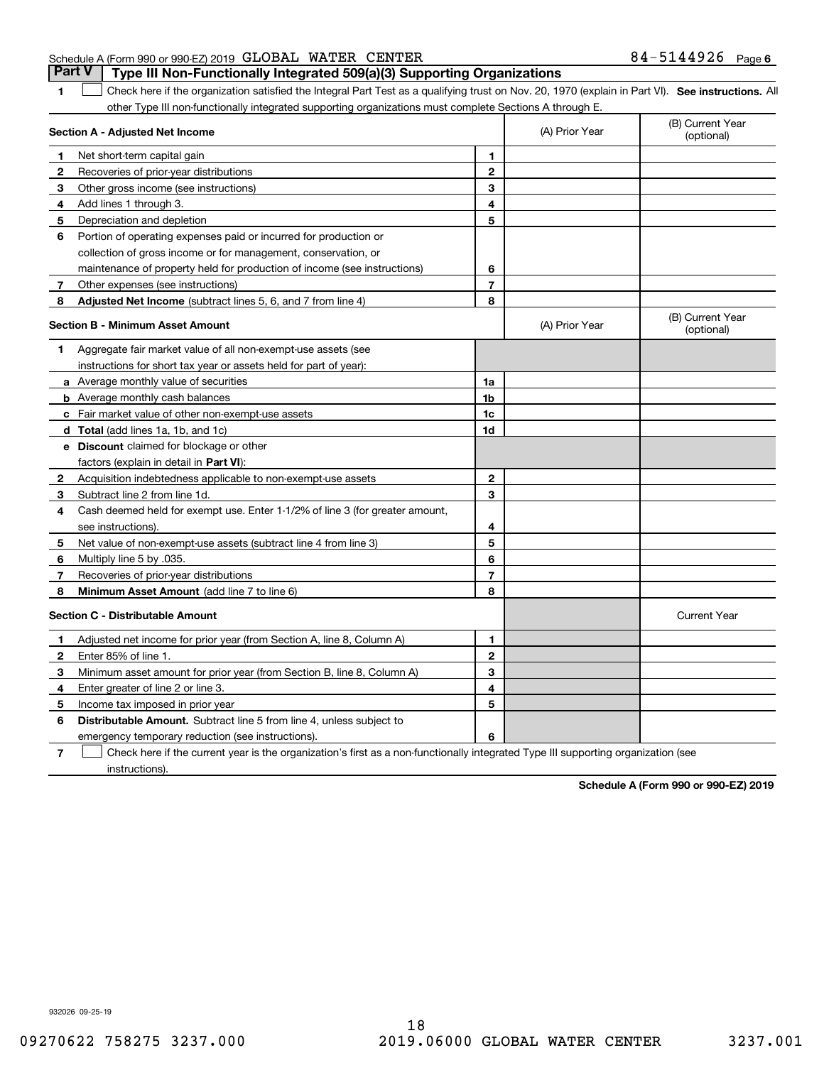| Schedule A (Form 990 or 990-EZ) 2019 GLOBAL WATER CENTER |  |                                                                                  | 84-5144926 <sub>Page 6</sub> |  |
|----------------------------------------------------------|--|----------------------------------------------------------------------------------|------------------------------|--|
|                                                          |  | Part V   Type III Non-Functionally Integrated 509(a)(3) Supporting Organizations |                              |  |

**1**

1 Check here if the organization satisfied the Integral Part Test as a qualifying trust on Nov. 20, 1970 (explain in Part VI). See instructions. All other Type III non-functionally integrated supporting organizations must complete Sections A through E.

|    | Section A - Adjusted Net Income                                                                                                   |                | (A) Prior Year | (B) Current Year<br>(optional) |
|----|-----------------------------------------------------------------------------------------------------------------------------------|----------------|----------------|--------------------------------|
| п. | Net short-term capital gain                                                                                                       | 1              |                |                                |
| 2  | Recoveries of prior-year distributions                                                                                            | $\mathbf{2}$   |                |                                |
| З  | Other gross income (see instructions)                                                                                             | 3              |                |                                |
| 4  | Add lines 1 through 3.                                                                                                            | 4              |                |                                |
| 5  | Depreciation and depletion                                                                                                        | 5              |                |                                |
| 6  | Portion of operating expenses paid or incurred for production or                                                                  |                |                |                                |
|    | collection of gross income or for management, conservation, or                                                                    |                |                |                                |
|    | maintenance of property held for production of income (see instructions)                                                          | 6              |                |                                |
| 7  | Other expenses (see instructions)                                                                                                 | $\overline{7}$ |                |                                |
| 8  | Adjusted Net Income (subtract lines 5, 6, and 7 from line 4)                                                                      | 8              |                |                                |
|    | <b>Section B - Minimum Asset Amount</b>                                                                                           |                | (A) Prior Year | (B) Current Year<br>(optional) |
| 1  | Aggregate fair market value of all non-exempt-use assets (see                                                                     |                |                |                                |
|    | instructions for short tax year or assets held for part of year):                                                                 |                |                |                                |
|    | a Average monthly value of securities                                                                                             | 1a             |                |                                |
|    | <b>b</b> Average monthly cash balances                                                                                            | 1b             |                |                                |
|    | c Fair market value of other non-exempt-use assets                                                                                | 1c             |                |                                |
|    | d Total (add lines 1a, 1b, and 1c)                                                                                                | 1d             |                |                                |
|    | e Discount claimed for blockage or other                                                                                          |                |                |                                |
|    | factors (explain in detail in Part VI):                                                                                           |                |                |                                |
| 2  | Acquisition indebtedness applicable to non-exempt-use assets                                                                      | $\mathbf 2$    |                |                                |
| 3  | Subtract line 2 from line 1d.                                                                                                     | 3              |                |                                |
| 4  | Cash deemed held for exempt use. Enter 1-1/2% of line 3 (for greater amount,                                                      |                |                |                                |
|    | see instructions).                                                                                                                | 4              |                |                                |
| 5  | Net value of non-exempt-use assets (subtract line 4 from line 3)                                                                  | 5              |                |                                |
| 6  | Multiply line 5 by .035.                                                                                                          | 6              |                |                                |
| 7  | Recoveries of prior-year distributions                                                                                            | $\overline{7}$ |                |                                |
| 8  | Minimum Asset Amount (add line 7 to line 6)                                                                                       | 8              |                |                                |
|    | <b>Section C - Distributable Amount</b>                                                                                           |                |                | <b>Current Year</b>            |
| 1  | Adjusted net income for prior year (from Section A, line 8, Column A)                                                             | 1              |                |                                |
| 2  | Enter 85% of line 1.                                                                                                              | $\mathbf{2}$   |                |                                |
| з  | Minimum asset amount for prior year (from Section B, line 8, Column A)                                                            | 3              |                |                                |
| 4  | Enter greater of line 2 or line 3.                                                                                                | 4              |                |                                |
| 5  | Income tax imposed in prior year                                                                                                  | 5              |                |                                |
| 6  | <b>Distributable Amount.</b> Subtract line 5 from line 4, unless subject to                                                       |                |                |                                |
|    | emergency temporary reduction (see instructions).                                                                                 | 6              |                |                                |
| 7  | Check here if the current year is the organization's first as a non-functionally integrated Type III supporting organization (see |                |                |                                |

instructions).

**Schedule A (Form 990 or 990-EZ) 2019**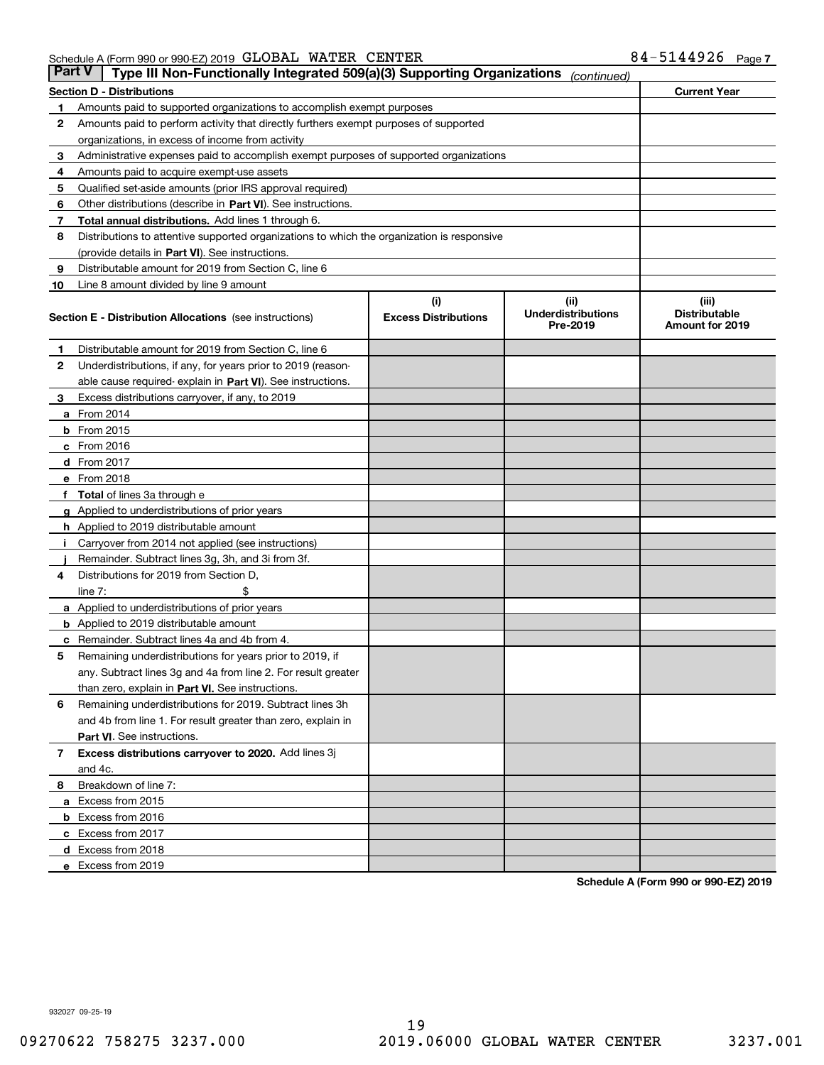| Part V | Type III Non-Functionally Integrated 509(a)(3) Supporting Organizations                    |                             | (continued)                           |                                         |  |  |  |
|--------|--------------------------------------------------------------------------------------------|-----------------------------|---------------------------------------|-----------------------------------------|--|--|--|
|        | <b>Section D - Distributions</b>                                                           |                             |                                       | <b>Current Year</b>                     |  |  |  |
| 1      | Amounts paid to supported organizations to accomplish exempt purposes                      |                             |                                       |                                         |  |  |  |
| 2      | Amounts paid to perform activity that directly furthers exempt purposes of supported       |                             |                                       |                                         |  |  |  |
|        | organizations, in excess of income from activity                                           |                             |                                       |                                         |  |  |  |
| з      | Administrative expenses paid to accomplish exempt purposes of supported organizations      |                             |                                       |                                         |  |  |  |
| 4      | Amounts paid to acquire exempt-use assets                                                  |                             |                                       |                                         |  |  |  |
| 5      | Qualified set-aside amounts (prior IRS approval required)                                  |                             |                                       |                                         |  |  |  |
| 6      | Other distributions (describe in Part VI). See instructions.                               |                             |                                       |                                         |  |  |  |
| 7      | <b>Total annual distributions.</b> Add lines 1 through 6.                                  |                             |                                       |                                         |  |  |  |
| 8      | Distributions to attentive supported organizations to which the organization is responsive |                             |                                       |                                         |  |  |  |
|        | (provide details in Part VI). See instructions.                                            |                             |                                       |                                         |  |  |  |
| 9      | Distributable amount for 2019 from Section C, line 6                                       |                             |                                       |                                         |  |  |  |
| 10     | Line 8 amount divided by line 9 amount                                                     |                             |                                       |                                         |  |  |  |
|        |                                                                                            | (i)                         | (iii)                                 | (iii)                                   |  |  |  |
|        | <b>Section E - Distribution Allocations</b> (see instructions)                             | <b>Excess Distributions</b> | <b>Underdistributions</b><br>Pre-2019 | <b>Distributable</b><br>Amount for 2019 |  |  |  |
| 1      | Distributable amount for 2019 from Section C, line 6                                       |                             |                                       |                                         |  |  |  |
| 2      | Underdistributions, if any, for years prior to 2019 (reason-                               |                             |                                       |                                         |  |  |  |
|        | able cause required- explain in Part VI). See instructions.                                |                             |                                       |                                         |  |  |  |
| з      | Excess distributions carryover, if any, to 2019                                            |                             |                                       |                                         |  |  |  |
|        | <b>a</b> From 2014                                                                         |                             |                                       |                                         |  |  |  |
|        | <b>b</b> From 2015                                                                         |                             |                                       |                                         |  |  |  |
|        | $c$ From 2016                                                                              |                             |                                       |                                         |  |  |  |
|        | d From 2017                                                                                |                             |                                       |                                         |  |  |  |
|        | e From 2018                                                                                |                             |                                       |                                         |  |  |  |
|        | Total of lines 3a through e                                                                |                             |                                       |                                         |  |  |  |
|        | <b>g</b> Applied to underdistributions of prior years                                      |                             |                                       |                                         |  |  |  |
|        | <b>h</b> Applied to 2019 distributable amount                                              |                             |                                       |                                         |  |  |  |
|        | Carryover from 2014 not applied (see instructions)                                         |                             |                                       |                                         |  |  |  |
|        | Remainder. Subtract lines 3g, 3h, and 3i from 3f.                                          |                             |                                       |                                         |  |  |  |
| 4      | Distributions for 2019 from Section D,                                                     |                             |                                       |                                         |  |  |  |
|        | line $7:$                                                                                  |                             |                                       |                                         |  |  |  |
|        | <b>a</b> Applied to underdistributions of prior years                                      |                             |                                       |                                         |  |  |  |
|        | <b>b</b> Applied to 2019 distributable amount                                              |                             |                                       |                                         |  |  |  |
| с      | Remainder. Subtract lines 4a and 4b from 4.                                                |                             |                                       |                                         |  |  |  |
| 5      | Remaining underdistributions for years prior to 2019, if                                   |                             |                                       |                                         |  |  |  |
|        | any. Subtract lines 3g and 4a from line 2. For result greater                              |                             |                                       |                                         |  |  |  |
|        | than zero, explain in Part VI. See instructions.                                           |                             |                                       |                                         |  |  |  |
| 6      | Remaining underdistributions for 2019. Subtract lines 3h                                   |                             |                                       |                                         |  |  |  |
|        | and 4b from line 1. For result greater than zero, explain in                               |                             |                                       |                                         |  |  |  |
|        | Part VI. See instructions.                                                                 |                             |                                       |                                         |  |  |  |
| 7      | Excess distributions carryover to 2020. Add lines 3j                                       |                             |                                       |                                         |  |  |  |
|        | and 4c.                                                                                    |                             |                                       |                                         |  |  |  |
| 8      | Breakdown of line 7:                                                                       |                             |                                       |                                         |  |  |  |
|        | a Excess from 2015                                                                         |                             |                                       |                                         |  |  |  |
|        | <b>b</b> Excess from 2016                                                                  |                             |                                       |                                         |  |  |  |
|        | c Excess from 2017                                                                         |                             |                                       |                                         |  |  |  |
|        | d Excess from 2018                                                                         |                             |                                       |                                         |  |  |  |
|        | e Excess from 2019                                                                         |                             |                                       |                                         |  |  |  |

**Schedule A (Form 990 or 990-EZ) 2019**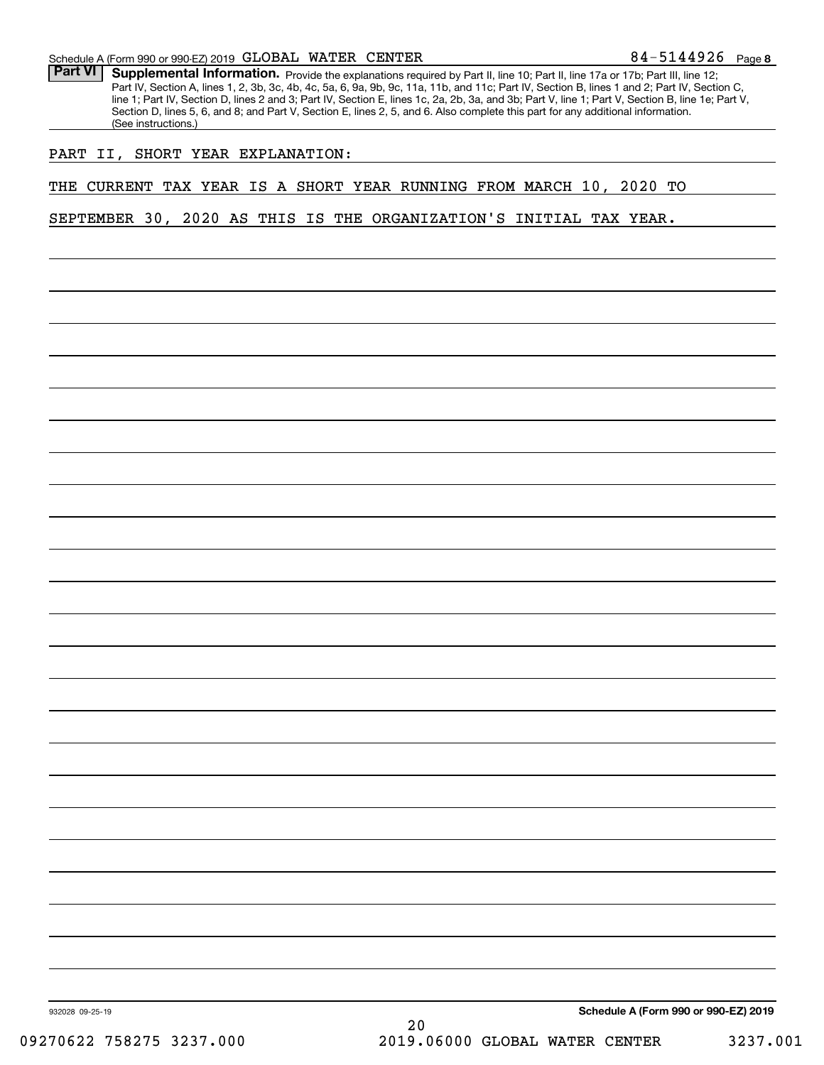**8**84-5144926

Part VI | Supplemental Information. Provide the explanations required by Part II, line 10; Part II, line 17a or 17b; Part III, line 12; Part IV, Section A, lines 1, 2, 3b, 3c, 4b, 4c, 5a, 6, 9a, 9b, 9c, 11a, 11b, and 11c; Part IV, Section B, lines 1 and 2; Part IV, Section C, line 1; Part IV, Section D, lines 2 and 3; Part IV, Section E, lines 1c, 2a, 2b, 3a, and 3b; Part V, line 1; Part V, Section B, line 1e; Part V, Section D, lines 5, 6, and 8; and Part V, Section E, lines 2, 5, and 6. Also complete this part for any additional information. (See instructions.)

## PART II, SHORT YEAR EXPLANATION:

THE CURRENT TAX YEAR IS A SHORT YEAR RUNNING FROM MARCH 10, 2020 TO

SEPTEMBER 30, 2020 AS THIS IS THE ORGANIZATION'S INITIAL TAX YEAR.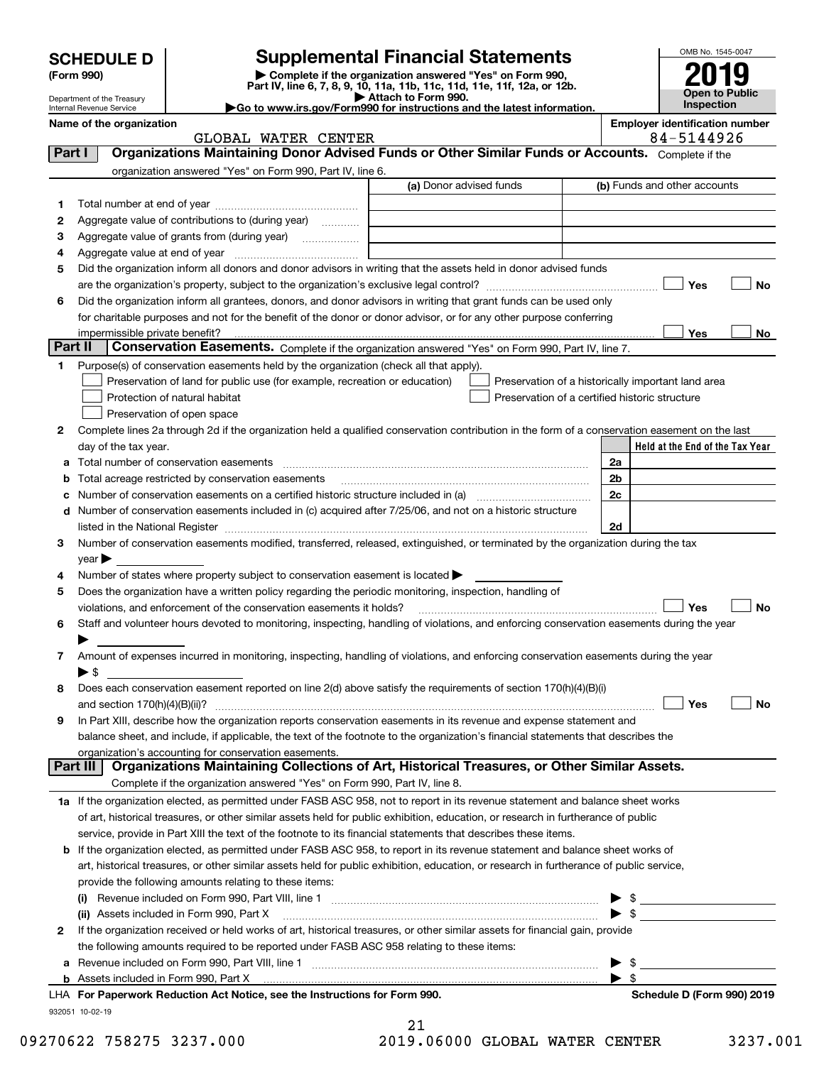|         | <b>SCHEDULE D</b>              |                                                                                                                                                                                                                               | <b>Supplemental Financial Statements</b>                                                        |                                       | OMB No. 1545-0047 |                                 |
|---------|--------------------------------|-------------------------------------------------------------------------------------------------------------------------------------------------------------------------------------------------------------------------------|-------------------------------------------------------------------------------------------------|---------------------------------------|-------------------|---------------------------------|
|         | (Form 990)                     |                                                                                                                                                                                                                               | Complete if the organization answered "Yes" on Form 990,                                        |                                       |                   |                                 |
|         | Department of the Treasury     |                                                                                                                                                                                                                               | Part IV, line 6, 7, 8, 9, 10, 11a, 11b, 11c, 11d, 11e, 11f, 12a, or 12b.<br>Attach to Form 990. |                                       |                   | <b>Open to Public</b>           |
|         | Internal Revenue Service       |                                                                                                                                                                                                                               | Go to www.irs.gov/Form990 for instructions and the latest information.                          |                                       | Inspection        |                                 |
|         | Name of the organization       | GLOBAL WATER CENTER                                                                                                                                                                                                           |                                                                                                 | <b>Employer identification number</b> | 84-5144926        |                                 |
| Part I  |                                | Organizations Maintaining Donor Advised Funds or Other Similar Funds or Accounts. Complete if the                                                                                                                             |                                                                                                 |                                       |                   |                                 |
|         |                                | organization answered "Yes" on Form 990, Part IV, line 6.                                                                                                                                                                     |                                                                                                 |                                       |                   |                                 |
|         |                                |                                                                                                                                                                                                                               | (a) Donor advised funds                                                                         | (b) Funds and other accounts          |                   |                                 |
| 1       |                                |                                                                                                                                                                                                                               |                                                                                                 |                                       |                   |                                 |
| 2       |                                | Aggregate value of contributions to (during year)                                                                                                                                                                             |                                                                                                 |                                       |                   |                                 |
| 3       |                                | Aggregate value of grants from (during year)                                                                                                                                                                                  |                                                                                                 |                                       |                   |                                 |
| 4       |                                |                                                                                                                                                                                                                               |                                                                                                 |                                       |                   |                                 |
| 5       |                                | Did the organization inform all donors and donor advisors in writing that the assets held in donor advised funds                                                                                                              |                                                                                                 |                                       |                   |                                 |
|         |                                |                                                                                                                                                                                                                               |                                                                                                 |                                       | Yes               | No                              |
| 6       |                                | Did the organization inform all grantees, donors, and donor advisors in writing that grant funds can be used only                                                                                                             |                                                                                                 |                                       |                   |                                 |
|         |                                | for charitable purposes and not for the benefit of the donor or donor advisor, or for any other purpose conferring                                                                                                            |                                                                                                 |                                       |                   |                                 |
|         | impermissible private benefit? |                                                                                                                                                                                                                               |                                                                                                 |                                       | Yes               | No                              |
| Part II |                                | Conservation Easements. Complete if the organization answered "Yes" on Form 990, Part IV, line 7.                                                                                                                             |                                                                                                 |                                       |                   |                                 |
| 1.      |                                | Purpose(s) of conservation easements held by the organization (check all that apply).                                                                                                                                         |                                                                                                 |                                       |                   |                                 |
|         |                                | Preservation of land for public use (for example, recreation or education)                                                                                                                                                    | Preservation of a historically important land area                                              |                                       |                   |                                 |
|         |                                | Protection of natural habitat                                                                                                                                                                                                 | Preservation of a certified historic structure                                                  |                                       |                   |                                 |
|         |                                | Preservation of open space                                                                                                                                                                                                    |                                                                                                 |                                       |                   |                                 |
| 2       | day of the tax year.           | Complete lines 2a through 2d if the organization held a qualified conservation contribution in the form of a conservation easement on the last                                                                                |                                                                                                 |                                       |                   | Held at the End of the Tax Year |
| а       |                                |                                                                                                                                                                                                                               |                                                                                                 | 2a                                    |                   |                                 |
| b       |                                | Total acreage restricted by conservation easements                                                                                                                                                                            |                                                                                                 | 2 <sub>b</sub>                        |                   |                                 |
| c       |                                |                                                                                                                                                                                                                               |                                                                                                 | 2c                                    |                   |                                 |
| d       |                                | Number of conservation easements included in (c) acquired after 7/25/06, and not on a historic structure                                                                                                                      |                                                                                                 |                                       |                   |                                 |
|         |                                | listed in the National Register [111] Marshall Register [11] Marshall Register [11] Marshall Register [11] Marshall Register [11] Marshall Register [11] Marshall Register [11] Marshall Register [11] Marshall Register [11] |                                                                                                 | 2d                                    |                   |                                 |
| 3       |                                | Number of conservation easements modified, transferred, released, extinguished, or terminated by the organization during the tax                                                                                              |                                                                                                 |                                       |                   |                                 |
|         | $year \blacktriangleright$     |                                                                                                                                                                                                                               |                                                                                                 |                                       |                   |                                 |
| 4       |                                | Number of states where property subject to conservation easement is located >                                                                                                                                                 |                                                                                                 |                                       |                   |                                 |
| 5       |                                | Does the organization have a written policy regarding the periodic monitoring, inspection, handling of                                                                                                                        |                                                                                                 |                                       |                   |                                 |
|         |                                | violations, and enforcement of the conservation easements it holds?                                                                                                                                                           |                                                                                                 |                                       | Yes               | No                              |
| 6       |                                | Staff and volunteer hours devoted to monitoring, inspecting, handling of violations, and enforcing conservation easements during the year                                                                                     |                                                                                                 |                                       |                   |                                 |
|         |                                |                                                                                                                                                                                                                               |                                                                                                 |                                       |                   |                                 |
| 7       |                                | Amount of expenses incurred in monitoring, inspecting, handling of violations, and enforcing conservation easements during the year                                                                                           |                                                                                                 |                                       |                   |                                 |
|         | $\blacktriangleright$ \$       |                                                                                                                                                                                                                               |                                                                                                 |                                       |                   |                                 |
| 8       |                                | Does each conservation easement reported on line 2(d) above satisfy the requirements of section 170(h)(4)(B)(i)                                                                                                               |                                                                                                 |                                       |                   |                                 |
|         |                                |                                                                                                                                                                                                                               |                                                                                                 |                                       | Yes               | No                              |
| 9       |                                | In Part XIII, describe how the organization reports conservation easements in its revenue and expense statement and                                                                                                           |                                                                                                 |                                       |                   |                                 |
|         |                                | balance sheet, and include, if applicable, the text of the footnote to the organization's financial statements that describes the                                                                                             |                                                                                                 |                                       |                   |                                 |
|         |                                | organization's accounting for conservation easements.<br>UIU L. Queenizations Mainteining: Qellections of Art, Uisteriaal Treasures, or Other Dimilar As                                                                      |                                                                                                 |                                       |                   |                                 |

| Part III   Organizations Maintaining Collections of Art, Historical Treasures, or Other Similar Assets.                         |
|---------------------------------------------------------------------------------------------------------------------------------|
| Complete if the organization answered "Yes" on Form 990, Part IV, line 8.                                                       |
| 1a If the organization elected, as permitted under FASB ASC 958, not to report in its revenue statement and balance sheet works |

| Ta Through into the statement and particle with the track of the statement and particle statement and parameter works             |
|-----------------------------------------------------------------------------------------------------------------------------------|
| of art, historical treasures, or other similar assets held for public exhibition, education, or research in furtherance of public |
| service, provide in Part XIII the text of the footnote to its financial statements that describes these items.                    |

| <b>b</b> If the organization elected, as permitted under FASB ASC 958, to report in its revenue statement and balance sheet works of    |  |  |
|-----------------------------------------------------------------------------------------------------------------------------------------|--|--|
| art, historical treasures, or other similar assets held for public exhibition, education, or research in furtherance of public service, |  |  |
| provide the following amounts relating to these items:                                                                                  |  |  |
| (i) Dovenus included on Form 000 Dout VIII line 1                                                                                       |  |  |

|   | Revenue included on Form 990, Part VIII, line 1<br>(i)                                                                       |  |                            |  |  |  |
|---|------------------------------------------------------------------------------------------------------------------------------|--|----------------------------|--|--|--|
|   | (ii) Assets included in Form 990, Part X [11] Marting the Matter of Assets included in Form 990, Part X                      |  |                            |  |  |  |
| 2 | If the organization received or held works of art, historical treasures, or other similar assets for financial gain, provide |  |                            |  |  |  |
|   | the following amounts required to be reported under FASB ASC 958 relating to these items:                                    |  |                            |  |  |  |
|   | a Revenue included on Form 990, Part VIII, line 1                                                                            |  |                            |  |  |  |
|   |                                                                                                                              |  |                            |  |  |  |
|   | LHA For Paperwork Reduction Act Notice, see the Instructions for Form 990.                                                   |  | Schedule D (Form 990) 2019 |  |  |  |

932051 10-02-19

| -21                |  |
|--------------------|--|
| 19.06000 GLOBAL WA |  |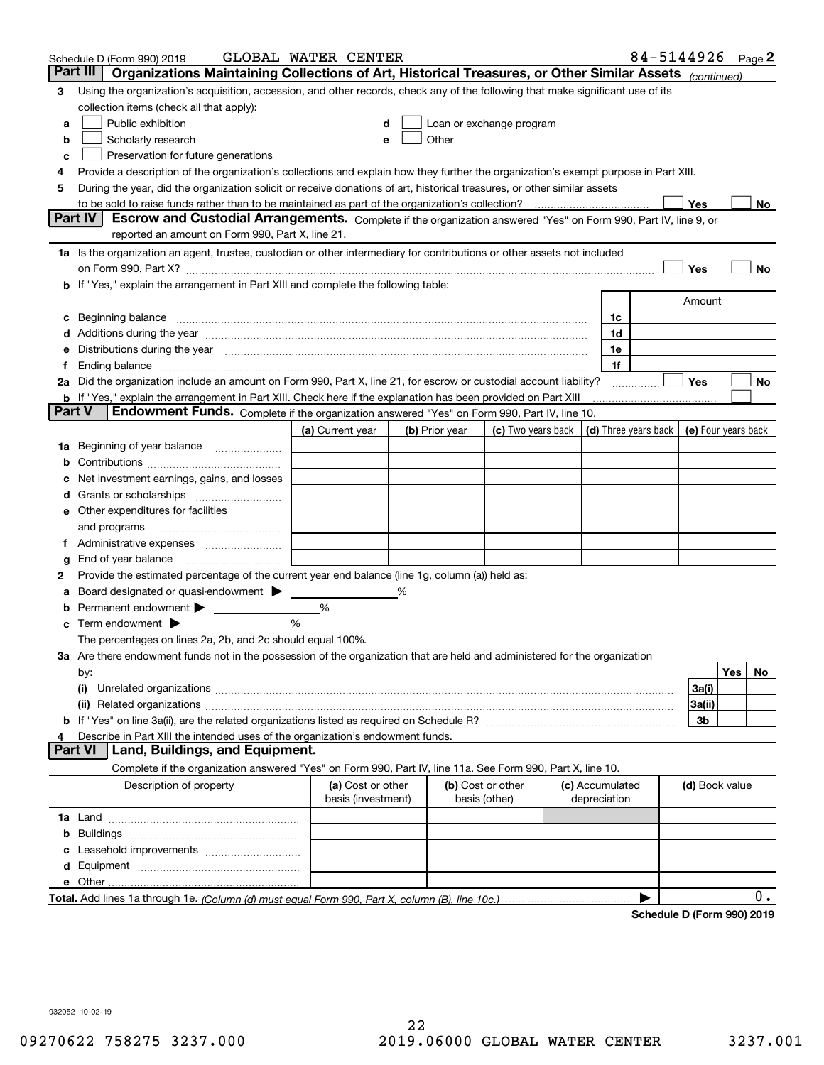|        | 84-5144926 Page 2<br>GLOBAL WATER CENTER<br>Schedule D (Form 990) 2019                                                                                                                                                         |                                         |   |                |                                                                                                                                                                                                                               |  |                 |                            |                     |            |     |
|--------|--------------------------------------------------------------------------------------------------------------------------------------------------------------------------------------------------------------------------------|-----------------------------------------|---|----------------|-------------------------------------------------------------------------------------------------------------------------------------------------------------------------------------------------------------------------------|--|-----------------|----------------------------|---------------------|------------|-----|
|        | Part III<br>Organizations Maintaining Collections of Art, Historical Treasures, or Other Similar Assets (continued)                                                                                                            |                                         |   |                |                                                                                                                                                                                                                               |  |                 |                            |                     |            |     |
| 3      | Using the organization's acquisition, accession, and other records, check any of the following that make significant use of its                                                                                                |                                         |   |                |                                                                                                                                                                                                                               |  |                 |                            |                     |            |     |
|        | collection items (check all that apply):                                                                                                                                                                                       |                                         |   |                |                                                                                                                                                                                                                               |  |                 |                            |                     |            |     |
| а      | Public exhibition                                                                                                                                                                                                              | d                                       |   |                | Loan or exchange program                                                                                                                                                                                                      |  |                 |                            |                     |            |     |
| b      | Scholarly research                                                                                                                                                                                                             | e                                       |   |                | Other and the contract of the contract of the contract of the contract of the contract of the contract of the contract of the contract of the contract of the contract of the contract of the contract of the contract of the |  |                 |                            |                     |            |     |
| с      | Preservation for future generations                                                                                                                                                                                            |                                         |   |                |                                                                                                                                                                                                                               |  |                 |                            |                     |            |     |
| 4      | Provide a description of the organization's collections and explain how they further the organization's exempt purpose in Part XIII.                                                                                           |                                         |   |                |                                                                                                                                                                                                                               |  |                 |                            |                     |            |     |
| 5      | During the year, did the organization solicit or receive donations of art, historical treasures, or other similar assets                                                                                                       |                                         |   |                |                                                                                                                                                                                                                               |  |                 |                            |                     |            |     |
|        | to be sold to raise funds rather than to be maintained as part of the organization's collection?                                                                                                                               |                                         |   |                |                                                                                                                                                                                                                               |  |                 |                            | Yes                 |            | No  |
|        | Escrow and Custodial Arrangements. Complete if the organization answered "Yes" on Form 990, Part IV, line 9, or<br><b>Part IV</b>                                                                                              |                                         |   |                |                                                                                                                                                                                                                               |  |                 |                            |                     |            |     |
|        | reported an amount on Form 990, Part X, line 21.                                                                                                                                                                               |                                         |   |                |                                                                                                                                                                                                                               |  |                 |                            |                     |            |     |
|        | 1a Is the organization an agent, trustee, custodian or other intermediary for contributions or other assets not included                                                                                                       |                                         |   |                |                                                                                                                                                                                                                               |  |                 |                            |                     |            |     |
|        |                                                                                                                                                                                                                                |                                         |   |                |                                                                                                                                                                                                                               |  |                 |                            | Yes                 |            | No  |
|        | b If "Yes," explain the arrangement in Part XIII and complete the following table:                                                                                                                                             |                                         |   |                |                                                                                                                                                                                                                               |  |                 |                            |                     |            |     |
|        |                                                                                                                                                                                                                                |                                         |   |                |                                                                                                                                                                                                                               |  | 1c              |                            | Amount              |            |     |
| c      | Beginning balance <u>www.maren.communication.communication.communication.communication.com</u>                                                                                                                                 |                                         |   |                |                                                                                                                                                                                                                               |  | 1d              |                            |                     |            |     |
|        | e Distributions during the year manufactured and an according to the distributions during the year manufactured and the state of the state of the state of the state of the state of the state of the state of the state of th |                                         |   |                |                                                                                                                                                                                                                               |  | 1e              |                            |                     |            |     |
|        |                                                                                                                                                                                                                                |                                         |   |                |                                                                                                                                                                                                                               |  | 1f              |                            |                     |            |     |
|        | 2a Did the organization include an amount on Form 990, Part X, line 21, for escrow or custodial account liability?                                                                                                             |                                         |   |                |                                                                                                                                                                                                                               |  |                 |                            | Yes                 |            | No  |
|        | <b>b</b> If "Yes," explain the arrangement in Part XIII. Check here if the explanation has been provided on Part XIII                                                                                                          |                                         |   |                |                                                                                                                                                                                                                               |  |                 |                            |                     |            |     |
| Part V | Endowment Funds. Complete if the organization answered "Yes" on Form 990, Part IV, line 10.                                                                                                                                    |                                         |   |                |                                                                                                                                                                                                                               |  |                 |                            |                     |            |     |
|        |                                                                                                                                                                                                                                | (a) Current year                        |   | (b) Prior year | (c) Two years back                                                                                                                                                                                                            |  |                 | (d) Three years back       | (e) Four years back |            |     |
|        | 1a Beginning of year balance                                                                                                                                                                                                   |                                         |   |                |                                                                                                                                                                                                                               |  |                 |                            |                     |            |     |
| b      |                                                                                                                                                                                                                                |                                         |   |                |                                                                                                                                                                                                                               |  |                 |                            |                     |            |     |
| c      | Net investment earnings, gains, and losses                                                                                                                                                                                     |                                         |   |                |                                                                                                                                                                                                                               |  |                 |                            |                     |            |     |
|        |                                                                                                                                                                                                                                |                                         |   |                |                                                                                                                                                                                                                               |  |                 |                            |                     |            |     |
|        | e Other expenditures for facilities                                                                                                                                                                                            |                                         |   |                |                                                                                                                                                                                                                               |  |                 |                            |                     |            |     |
|        | and programs                                                                                                                                                                                                                   |                                         |   |                |                                                                                                                                                                                                                               |  |                 |                            |                     |            |     |
|        |                                                                                                                                                                                                                                |                                         |   |                |                                                                                                                                                                                                                               |  |                 |                            |                     |            |     |
| g      |                                                                                                                                                                                                                                |                                         |   |                |                                                                                                                                                                                                                               |  |                 |                            |                     |            |     |
| 2      | Provide the estimated percentage of the current year end balance (line 1g, column (a)) held as:                                                                                                                                |                                         |   |                |                                                                                                                                                                                                                               |  |                 |                            |                     |            |     |
| а      | Board designated or quasi-endowment > _____                                                                                                                                                                                    |                                         | % |                |                                                                                                                                                                                                                               |  |                 |                            |                     |            |     |
| b      | Permanent endowment > 1                                                                                                                                                                                                        | %                                       |   |                |                                                                                                                                                                                                                               |  |                 |                            |                     |            |     |
|        | <b>c</b> Term endowment $\blacktriangleright$                                                                                                                                                                                  | %                                       |   |                |                                                                                                                                                                                                                               |  |                 |                            |                     |            |     |
|        | The percentages on lines 2a, 2b, and 2c should equal 100%.                                                                                                                                                                     |                                         |   |                |                                                                                                                                                                                                                               |  |                 |                            |                     |            |     |
|        | 3a Are there endowment funds not in the possession of the organization that are held and administered for the organization                                                                                                     |                                         |   |                |                                                                                                                                                                                                                               |  |                 |                            |                     |            |     |
|        | by:                                                                                                                                                                                                                            |                                         |   |                |                                                                                                                                                                                                                               |  |                 |                            |                     | <b>Yes</b> | No. |
|        | (i)                                                                                                                                                                                                                            |                                         |   |                |                                                                                                                                                                                                                               |  |                 |                            | 3a(i)               |            |     |
|        |                                                                                                                                                                                                                                |                                         |   |                |                                                                                                                                                                                                                               |  |                 |                            | 3a(ii)              |            |     |
|        |                                                                                                                                                                                                                                |                                         |   |                |                                                                                                                                                                                                                               |  |                 |                            | 3b                  |            |     |
|        | Describe in Part XIII the intended uses of the organization's endowment funds.<br>4<br>Land, Buildings, and Equipment.<br>Part VI                                                                                              |                                         |   |                |                                                                                                                                                                                                                               |  |                 |                            |                     |            |     |
|        | Complete if the organization answered "Yes" on Form 990, Part IV, line 11a. See Form 990, Part X, line 10.                                                                                                                     |                                         |   |                |                                                                                                                                                                                                                               |  |                 |                            |                     |            |     |
|        |                                                                                                                                                                                                                                |                                         |   |                | (b) Cost or other                                                                                                                                                                                                             |  | (c) Accumulated |                            |                     |            |     |
|        | Description of property                                                                                                                                                                                                        | (a) Cost or other<br>basis (investment) |   |                | basis (other)                                                                                                                                                                                                                 |  | depreciation    |                            | (d) Book value      |            |     |
|        |                                                                                                                                                                                                                                |                                         |   |                |                                                                                                                                                                                                                               |  |                 |                            |                     |            |     |
| b      |                                                                                                                                                                                                                                |                                         |   |                |                                                                                                                                                                                                                               |  |                 |                            |                     |            |     |
| с      |                                                                                                                                                                                                                                |                                         |   |                |                                                                                                                                                                                                                               |  |                 |                            |                     |            |     |
|        |                                                                                                                                                                                                                                |                                         |   |                |                                                                                                                                                                                                                               |  |                 |                            |                     |            |     |
|        |                                                                                                                                                                                                                                |                                         |   |                |                                                                                                                                                                                                                               |  |                 |                            |                     |            |     |
|        |                                                                                                                                                                                                                                |                                         |   |                |                                                                                                                                                                                                                               |  |                 |                            |                     |            | 0.  |
|        |                                                                                                                                                                                                                                |                                         |   |                |                                                                                                                                                                                                                               |  |                 | Schodule D (Form 000) 2010 |                     |            |     |

**Schedule D (Form 990) 2019**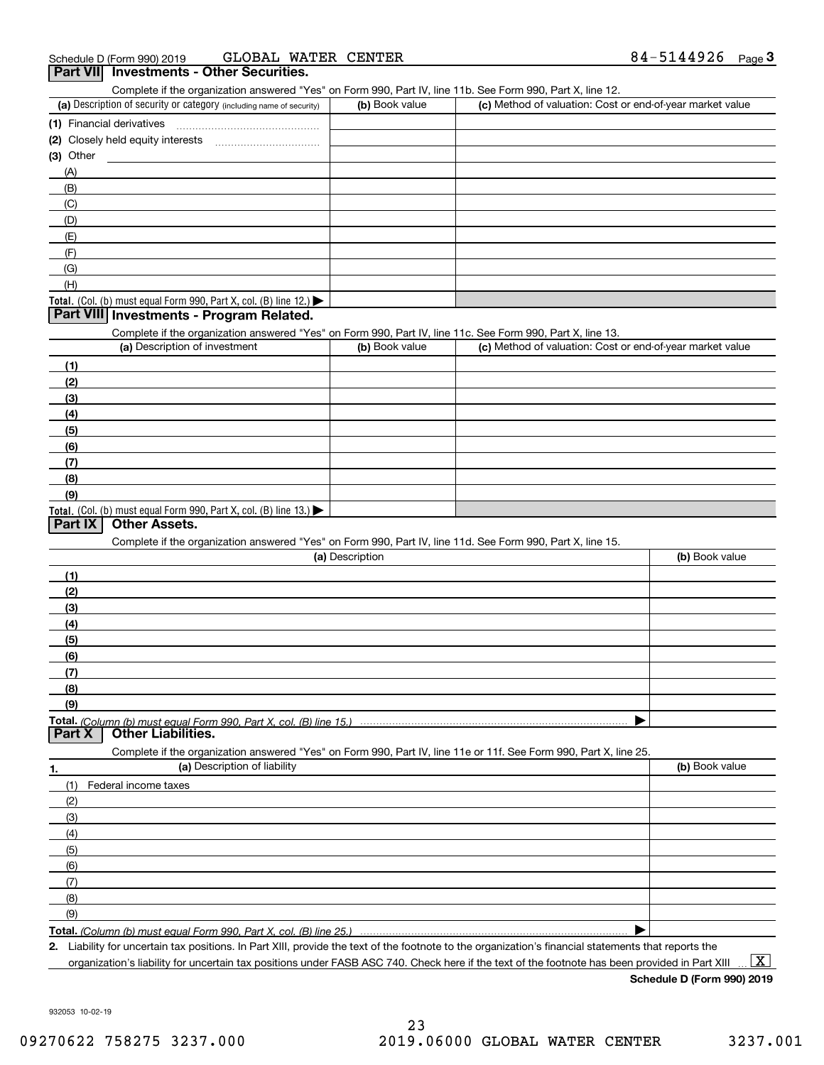Complete if the organization answered "Yes" on Form 990, Part IV, line 11b. See Form 990, Part X, line 12.

| (a) Description of security or category (including name of security)                          | (b) Book value | (c) Method of valuation: Cost or end-of-year market value |
|-----------------------------------------------------------------------------------------------|----------------|-----------------------------------------------------------|
| (1) Financial derivatives                                                                     |                |                                                           |
| (2) Closely held equity interests                                                             |                |                                                           |
| $(3)$ Other                                                                                   |                |                                                           |
| (A)                                                                                           |                |                                                           |
| (B)                                                                                           |                |                                                           |
| (C)                                                                                           |                |                                                           |
| (D)                                                                                           |                |                                                           |
| (E)                                                                                           |                |                                                           |
| (F)                                                                                           |                |                                                           |
| (G)                                                                                           |                |                                                           |
| (H)                                                                                           |                |                                                           |
| <b>Total.</b> (Col. (b) must equal Form 990, Part X, col. (B) line 12.) $\blacktriangleright$ |                |                                                           |

### **Part VIII Investments - Program Related.**

Complete if the organization answered "Yes" on Form 990, Part IV, line 11c. See Form 990, Part X, line 13.

| (a) Description of investment                                       | (b) Book value | (c) Method of valuation: Cost or end-of-year market value |
|---------------------------------------------------------------------|----------------|-----------------------------------------------------------|
| (1)                                                                 |                |                                                           |
| (2)                                                                 |                |                                                           |
| $\frac{1}{2}$                                                       |                |                                                           |
| (4)                                                                 |                |                                                           |
| $\left(5\right)$                                                    |                |                                                           |
| (6)                                                                 |                |                                                           |
| (7)                                                                 |                |                                                           |
| (8)                                                                 |                |                                                           |
| (9)                                                                 |                |                                                           |
| Total. (Col. (b) must equal Form 990, Part X, col. (B) line $13.$ ) |                |                                                           |

## **Part IX Other Assets.**

Complete if the organization answered "Yes" on Form 990, Part IV, line 11d. See Form 990, Part X, line 15.

| (a) Description                                                                                                   | (b) Book value |  |  |  |
|-------------------------------------------------------------------------------------------------------------------|----------------|--|--|--|
| (1)                                                                                                               |                |  |  |  |
| (2)                                                                                                               |                |  |  |  |
| (3)                                                                                                               |                |  |  |  |
| (4)                                                                                                               |                |  |  |  |
| $\frac{1}{2}$                                                                                                     |                |  |  |  |
| (6)                                                                                                               |                |  |  |  |
| (7)                                                                                                               |                |  |  |  |
| (8)                                                                                                               |                |  |  |  |
| (9)                                                                                                               |                |  |  |  |
|                                                                                                                   |                |  |  |  |
| <b>Other Liabilities.</b><br><b>Part X</b>                                                                        |                |  |  |  |
| Complete if the organization answered "Yes" on Form 990, Part IV, line 11e or 11f. See Form 990, Part X, line 25. |                |  |  |  |
|                                                                                                                   |                |  |  |  |

| 1.           | (a) Description of liability | (b) Book value |
|--------------|------------------------------|----------------|
|              | (1) Federal income taxes     |                |
| (2)          |                              |                |
| (3)          |                              |                |
| (4)          |                              |                |
| (5)          |                              |                |
| (6)          |                              |                |
| $\qquad$ (7) |                              |                |
| (8)          |                              |                |
| (9)          |                              |                |
|              |                              |                |

*(Column (b) must equal Form 990, Part X, col. (B) line 25.)* 

**2.**Liability for uncertain tax positions. In Part XIII, provide the text of the footnote to the organization's financial statements that reports the organization's liability for uncertain tax positions under FASB ASC 740. Check here if the text of the footnote has been provided in Part XIII

**Schedule D (Form 990) 2019**

932053 10-02-19

 $\boxed{\text{X}}$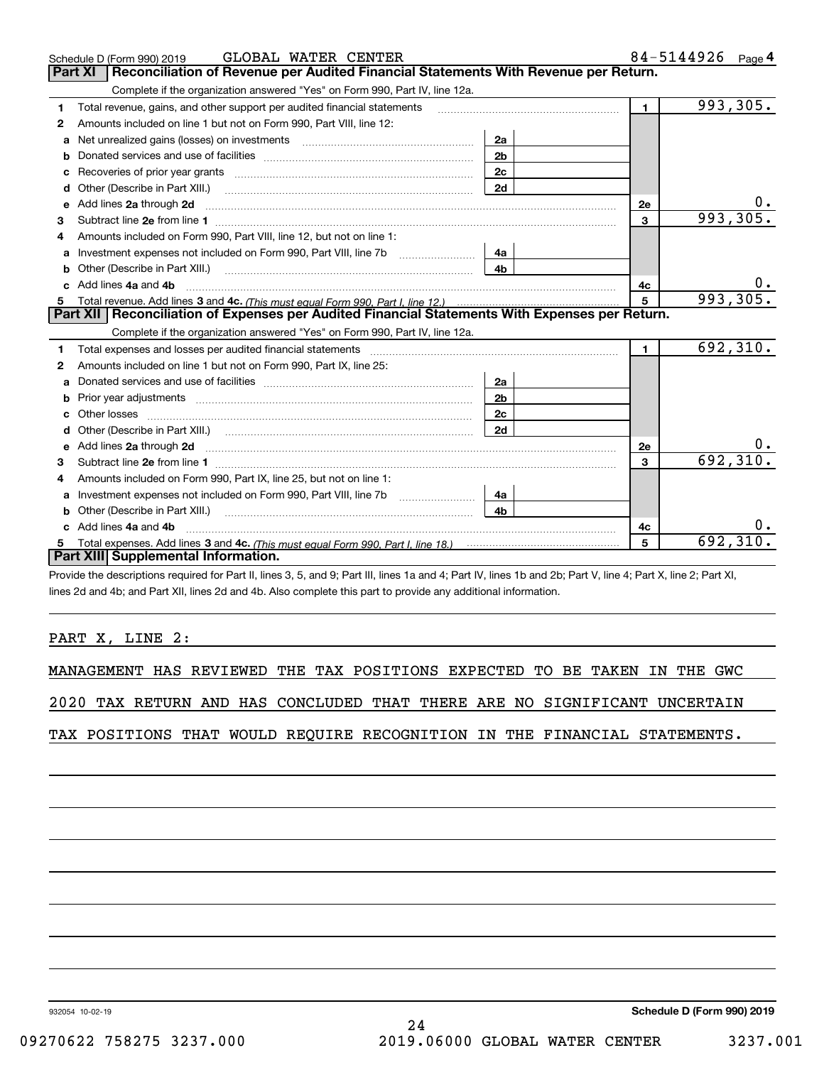|    | GLOBAL WATER CENTER<br>Schedule D (Form 990) 2019                                                                                                                                                                              |                |                | 84-5144926 Page 4 |  |  |
|----|--------------------------------------------------------------------------------------------------------------------------------------------------------------------------------------------------------------------------------|----------------|----------------|-------------------|--|--|
|    | Reconciliation of Revenue per Audited Financial Statements With Revenue per Return.<br><b>Part XI</b>                                                                                                                          |                |                |                   |  |  |
|    | Complete if the organization answered "Yes" on Form 990, Part IV, line 12a.                                                                                                                                                    |                |                |                   |  |  |
| 1  | Total revenue, gains, and other support per audited financial statements                                                                                                                                                       |                | $\mathbf{1}$   | 993,305.          |  |  |
| 2  | Amounts included on line 1 but not on Form 990, Part VIII, line 12:                                                                                                                                                            |                |                |                   |  |  |
| a  | Net unrealized gains (losses) on investments [11] matter contracts and the unrealized gains (losses) on investments                                                                                                            | 2a             |                |                   |  |  |
| b  |                                                                                                                                                                                                                                | 2 <sub>b</sub> |                |                   |  |  |
| c  | Recoveries of prior year grants [11] Recoveries of prior year grants [11] Recoveries of prior year grants                                                                                                                      | 2 <sub>c</sub> |                |                   |  |  |
| d  | Other (Describe in Part XIII.)                                                                                                                                                                                                 | 2d             |                |                   |  |  |
| е  | Add lines 2a through 2d <b>must be a constructed as the constant of the constant of the constant of the construction</b>                                                                                                       |                | <b>2e</b>      |                   |  |  |
| 3  |                                                                                                                                                                                                                                |                | 3              | 993,305.          |  |  |
|    | Amounts included on Form 990, Part VIII, line 12, but not on line 1:                                                                                                                                                           |                |                |                   |  |  |
| a  |                                                                                                                                                                                                                                | 4a             |                |                   |  |  |
| b  | Other (Describe in Part XIII.) <b>Construction Contract Construction</b> Chemistry Chemistry Chemistry Chemistry Chemistry                                                                                                     | 4 <sub>b</sub> |                |                   |  |  |
| c. | Add lines 4a and 4b                                                                                                                                                                                                            |                | 4c             | υ.                |  |  |
| 5  |                                                                                                                                                                                                                                |                | $\overline{5}$ | 993, 305.         |  |  |
|    | Part XII   Reconciliation of Expenses per Audited Financial Statements With Expenses per Return.                                                                                                                               |                |                |                   |  |  |
|    | Complete if the organization answered "Yes" on Form 990, Part IV, line 12a.                                                                                                                                                    |                |                |                   |  |  |
| 1  | Total expenses and losses per audited financial statements [11] [12] contain an intervention and contain a statements [13] [13] and the statements [13] [13] and the statements [13] and the statements and the statements and |                | $\mathbf{1}$   | 692,310.          |  |  |
| 2  | Amounts included on line 1 but not on Form 990, Part IX, line 25:                                                                                                                                                              |                |                |                   |  |  |
| a  |                                                                                                                                                                                                                                | 2a             |                |                   |  |  |
| b  |                                                                                                                                                                                                                                | 2 <sub>b</sub> |                |                   |  |  |
| c  |                                                                                                                                                                                                                                | 2c             |                |                   |  |  |
| d  |                                                                                                                                                                                                                                | 2d             |                |                   |  |  |
|    |                                                                                                                                                                                                                                |                | 2e             | 0.                |  |  |
| з  |                                                                                                                                                                                                                                |                | 3              | 692,310.          |  |  |
| 4  | Amounts included on Form 990, Part IX, line 25, but not on line 1:                                                                                                                                                             |                |                |                   |  |  |
|    | Investment expenses not included on Form 990, Part VIII, line 7b [100] [100] [100] [100] [100] [100] [100] [10                                                                                                                 | 4a             |                |                   |  |  |
| b  |                                                                                                                                                                                                                                | 4b             |                |                   |  |  |
|    | c Add lines 4a and 4b                                                                                                                                                                                                          |                | 4c             | υ.                |  |  |
|    |                                                                                                                                                                                                                                |                | 5              | 692, 310.         |  |  |
|    | Part XIII Supplemental Information.                                                                                                                                                                                            |                |                |                   |  |  |

Provide the descriptions required for Part II, lines 3, 5, and 9; Part III, lines 1a and 4; Part IV, lines 1b and 2b; Part V, line 4; Part X, line 2; Part XI, lines 2d and 4b; and Part XII, lines 2d and 4b. Also complete this part to provide any additional information.

## PART X, LINE 2:

MANAGEMENT HAS REVIEWED THE TAX POSITIONS EXPECTED TO BE TAKEN IN THE GWC

2020 TAX RETURN AND HAS CONCLUDED THAT THERE ARE NO SIGNIFICANT UNCERTAIN

TAX POSITIONS THAT WOULD REQUIRE RECOGNITION IN THE FINANCIAL STATEMENTS.

932054 10-02-19